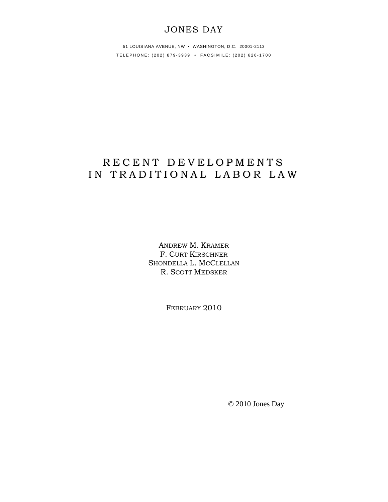## JONES DAY

51 LOUISIANA AVENUE, NW • WASHINGTON, D.C. 20001-2113 TELEPHONE: (202) 879-3939 • FACSIMILE: (202) 626-1700

# R E C E N T D E V E L O P M E N T S IN TRADITIONAL LABOR LAW

ANDREW M. KRAMER F. CURT KIRSCHNER SHONDELLA L. MCCLELLAN R. SCOTT MEDSKER

FEBRUARY 2010

© 2010 Jones Day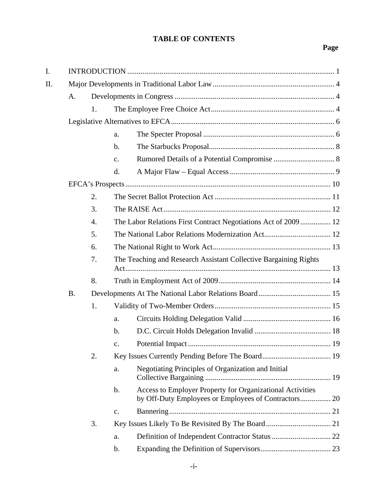### **TABLE OF CONTENTS**

| I.  |           |    |                |                                                                                                                   |  |  |
|-----|-----------|----|----------------|-------------------------------------------------------------------------------------------------------------------|--|--|
| II. |           |    |                |                                                                                                                   |  |  |
|     | A.        |    |                |                                                                                                                   |  |  |
|     |           | 1. |                |                                                                                                                   |  |  |
|     |           |    |                |                                                                                                                   |  |  |
|     |           |    | a.             |                                                                                                                   |  |  |
|     |           |    | b.             |                                                                                                                   |  |  |
|     |           |    | c.             |                                                                                                                   |  |  |
|     |           |    | d.             |                                                                                                                   |  |  |
|     |           |    |                |                                                                                                                   |  |  |
|     |           | 2. |                |                                                                                                                   |  |  |
|     |           | 3. |                |                                                                                                                   |  |  |
|     |           | 4. |                | The Labor Relations First Contract Negotiations Act of 2009  12                                                   |  |  |
|     |           | 5. |                |                                                                                                                   |  |  |
|     |           | 6. |                |                                                                                                                   |  |  |
|     |           | 7. |                | The Teaching and Research Assistant Collective Bargaining Rights                                                  |  |  |
|     |           | 8. |                |                                                                                                                   |  |  |
|     | <b>B.</b> |    |                |                                                                                                                   |  |  |
|     |           | 1. |                |                                                                                                                   |  |  |
|     |           |    | a.             |                                                                                                                   |  |  |
|     |           |    | b.             |                                                                                                                   |  |  |
|     |           |    | $\mathbf{C}$ . |                                                                                                                   |  |  |
|     |           | 2. |                |                                                                                                                   |  |  |
|     |           |    | a.             | Negotiating Principles of Organization and Initial                                                                |  |  |
|     |           |    | b.             | Access to Employer Property for Organizational Activities<br>by Off-Duty Employees or Employees of Contractors 20 |  |  |
|     |           |    | c.             |                                                                                                                   |  |  |
|     |           | 3. |                |                                                                                                                   |  |  |
|     |           |    | a.             |                                                                                                                   |  |  |
|     |           |    | b.             |                                                                                                                   |  |  |
|     |           |    |                |                                                                                                                   |  |  |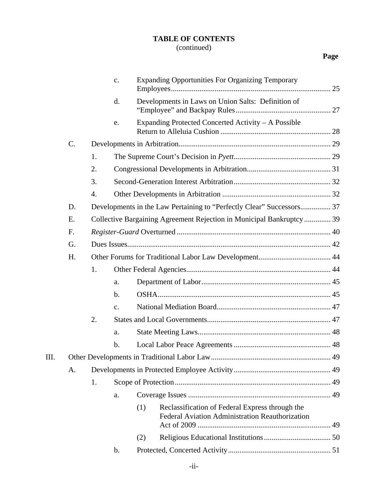## **TABLE OF CONTENTS**

## (continued)

|     |    |    | c.             |     | <b>Expanding Opportunities For Organizing Temporary</b>                                            |  |  |  |  |
|-----|----|----|----------------|-----|----------------------------------------------------------------------------------------------------|--|--|--|--|
|     |    |    | d.             |     | Developments in Laws on Union Salts: Definition of                                                 |  |  |  |  |
|     |    |    | e.             |     | Expanding Protected Concerted Activity - A Possible                                                |  |  |  |  |
|     | C. |    |                |     |                                                                                                    |  |  |  |  |
|     |    | 1. |                |     |                                                                                                    |  |  |  |  |
|     |    | 2. |                |     |                                                                                                    |  |  |  |  |
|     |    | 3. |                |     |                                                                                                    |  |  |  |  |
|     |    | 4. |                |     |                                                                                                    |  |  |  |  |
|     | D. |    |                |     | Developments in the Law Pertaining to "Perfectly Clear" Successors 37                              |  |  |  |  |
|     | E. |    |                |     | Collective Bargaining Agreement Rejection in Municipal Bankruptcy 39                               |  |  |  |  |
|     | F. |    |                |     |                                                                                                    |  |  |  |  |
|     | G. |    |                |     |                                                                                                    |  |  |  |  |
|     | H. |    |                |     |                                                                                                    |  |  |  |  |
|     |    | 1. |                |     |                                                                                                    |  |  |  |  |
|     |    |    | a.             |     |                                                                                                    |  |  |  |  |
|     |    |    | $\mathbf b$ .  |     |                                                                                                    |  |  |  |  |
|     |    |    | $\mathbf{C}$ . |     |                                                                                                    |  |  |  |  |
|     |    | 2. |                |     |                                                                                                    |  |  |  |  |
|     |    |    | a.             |     |                                                                                                    |  |  |  |  |
|     |    |    | $\mathbf b$ .  |     |                                                                                                    |  |  |  |  |
| III |    |    |                |     |                                                                                                    |  |  |  |  |
|     | Α. |    |                |     |                                                                                                    |  |  |  |  |
|     |    | 1. |                |     |                                                                                                    |  |  |  |  |
|     |    |    | a.             |     |                                                                                                    |  |  |  |  |
|     |    |    |                | (1) | Reclassification of Federal Express through the<br>Federal Aviation Administration Reauthorization |  |  |  |  |
|     |    |    |                | (2) |                                                                                                    |  |  |  |  |
|     |    |    | b.             |     |                                                                                                    |  |  |  |  |
|     |    |    |                |     |                                                                                                    |  |  |  |  |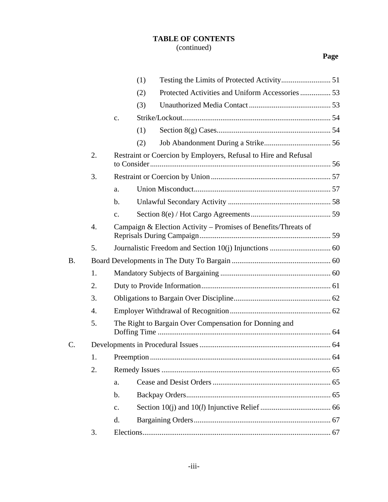# **TABLE OF CONTENTS**

## (continued)

| Protected Activities and Uniform Accessories 53<br>(2)<br>(3)<br>$\mathbf{C}$ .<br>(1)<br>(2)<br>2.<br>Restraint or Coercion by Employers, Refusal to Hire and Refusal<br>3.<br>a.<br>b.<br>$\mathbf{c}$ .<br>Campaign & Election Activity – Promises of Benefits/Threats of<br>$\overline{4}$ .<br>5.<br>B.<br>1.<br>2.<br>3.<br>$\overline{4}$ .<br>5.<br>The Right to Bargain Over Compensation for Donning and<br>C.<br>1.<br>2.<br>a.<br>$\mathbf b$ .<br>$\mathbf{c}$ .<br>d.<br>3. |  |  | (1) |  |  |  |
|-------------------------------------------------------------------------------------------------------------------------------------------------------------------------------------------------------------------------------------------------------------------------------------------------------------------------------------------------------------------------------------------------------------------------------------------------------------------------------------------|--|--|-----|--|--|--|
|                                                                                                                                                                                                                                                                                                                                                                                                                                                                                           |  |  |     |  |  |  |
|                                                                                                                                                                                                                                                                                                                                                                                                                                                                                           |  |  |     |  |  |  |
|                                                                                                                                                                                                                                                                                                                                                                                                                                                                                           |  |  |     |  |  |  |
|                                                                                                                                                                                                                                                                                                                                                                                                                                                                                           |  |  |     |  |  |  |
|                                                                                                                                                                                                                                                                                                                                                                                                                                                                                           |  |  |     |  |  |  |
|                                                                                                                                                                                                                                                                                                                                                                                                                                                                                           |  |  |     |  |  |  |
|                                                                                                                                                                                                                                                                                                                                                                                                                                                                                           |  |  |     |  |  |  |
|                                                                                                                                                                                                                                                                                                                                                                                                                                                                                           |  |  |     |  |  |  |
|                                                                                                                                                                                                                                                                                                                                                                                                                                                                                           |  |  |     |  |  |  |
|                                                                                                                                                                                                                                                                                                                                                                                                                                                                                           |  |  |     |  |  |  |
|                                                                                                                                                                                                                                                                                                                                                                                                                                                                                           |  |  |     |  |  |  |
|                                                                                                                                                                                                                                                                                                                                                                                                                                                                                           |  |  |     |  |  |  |
|                                                                                                                                                                                                                                                                                                                                                                                                                                                                                           |  |  |     |  |  |  |
|                                                                                                                                                                                                                                                                                                                                                                                                                                                                                           |  |  |     |  |  |  |
|                                                                                                                                                                                                                                                                                                                                                                                                                                                                                           |  |  |     |  |  |  |
|                                                                                                                                                                                                                                                                                                                                                                                                                                                                                           |  |  |     |  |  |  |
|                                                                                                                                                                                                                                                                                                                                                                                                                                                                                           |  |  |     |  |  |  |
|                                                                                                                                                                                                                                                                                                                                                                                                                                                                                           |  |  |     |  |  |  |
|                                                                                                                                                                                                                                                                                                                                                                                                                                                                                           |  |  |     |  |  |  |
|                                                                                                                                                                                                                                                                                                                                                                                                                                                                                           |  |  |     |  |  |  |
|                                                                                                                                                                                                                                                                                                                                                                                                                                                                                           |  |  |     |  |  |  |
|                                                                                                                                                                                                                                                                                                                                                                                                                                                                                           |  |  |     |  |  |  |
|                                                                                                                                                                                                                                                                                                                                                                                                                                                                                           |  |  |     |  |  |  |
|                                                                                                                                                                                                                                                                                                                                                                                                                                                                                           |  |  |     |  |  |  |
|                                                                                                                                                                                                                                                                                                                                                                                                                                                                                           |  |  |     |  |  |  |
|                                                                                                                                                                                                                                                                                                                                                                                                                                                                                           |  |  |     |  |  |  |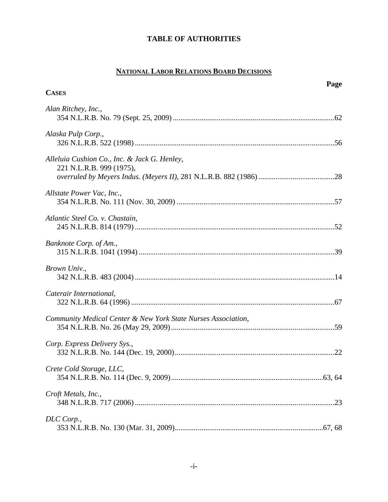## **NATIONAL LABOR RELATIONS BOARD DECISIONS**

| <b>CASES</b>                                                             | Page |
|--------------------------------------------------------------------------|------|
| Alan Ritchey, Inc.,                                                      |      |
| Alaska Pulp Corp.,                                                       |      |
| Alleluia Cushion Co., Inc. & Jack G. Henley,<br>221 N.L.R.B. 999 (1975), |      |
| Allstate Power Vac, Inc.,                                                |      |
| Atlantic Steel Co. v. Chastain,                                          |      |
| Banknote Corp. of Am.,                                                   |      |
| Brown Univ.,                                                             |      |
| Caterair International,                                                  |      |
| Community Medical Center & New York State Nurses Association,            |      |
| Corp. Express Delivery Sys.,                                             |      |
| Crete Cold Storage, LLC,                                                 |      |
| Croft Metals, Inc.,                                                      |      |
| DLC Corp.,                                                               |      |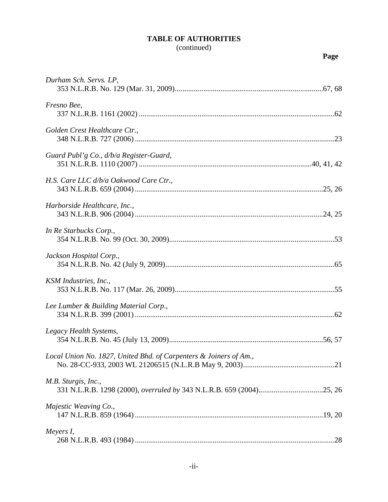| Durham Sch. Servs. LP,                                            |  |
|-------------------------------------------------------------------|--|
| Fresno Bee,                                                       |  |
| Golden Crest Healthcare Ctr.,                                     |  |
| Guard Publ'g Co., $d/b/a$ Register-Guard,                         |  |
| H.S. Care LLC d/b/a Oakwood Care Ctr.,                            |  |
| Harborside Healthcare, Inc.,                                      |  |
| In Re Starbucks Corp.,                                            |  |
| Jackson Hospital Corp.,                                           |  |
| KSM Industries, Inc.,                                             |  |
| Lee Lumber & Building Material Corp.,                             |  |
| Legacy Health Systems,                                            |  |
| Local Union No. 1827, United Bhd. of Carpenters & Joiners of Am., |  |
| M.B. Sturgis, Inc.,                                               |  |
| Majestic Weaving Co.,                                             |  |
| Meyers I,                                                         |  |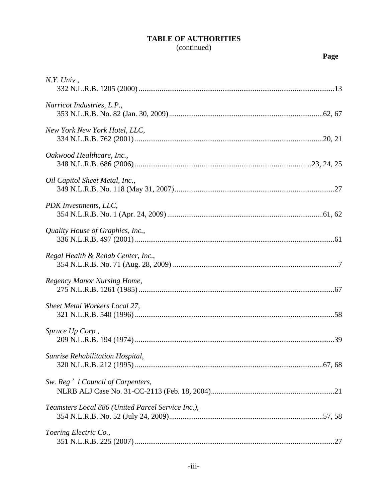| $N.Y.$ Univ.,                                     |  |
|---------------------------------------------------|--|
| Narricot Industries, L.P.,                        |  |
| New York New York Hotel, LLC,                     |  |
| Oakwood Healthcare, Inc.,                         |  |
| Oil Capitol Sheet Metal, Inc.,                    |  |
| PDK Investments, LLC,                             |  |
| Quality House of Graphics, Inc.,                  |  |
| Regal Health & Rehab Center, Inc.,                |  |
| Regency Manor Nursing Home,                       |  |
| Sheet Metal Workers Local 27,                     |  |
| Spruce Up Corp.,                                  |  |
| Sunrise Rehabilitation Hospital,                  |  |
| Sw. Reg <sup>'</sup> l Council of Carpenters,     |  |
| Teamsters Local 886 (United Parcel Service Inc.), |  |
| Toering Electric Co.,                             |  |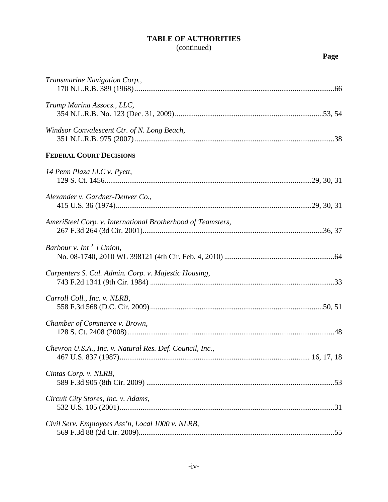### (continued)

| Transmarine Navigation Corp.,                                                                 |
|-----------------------------------------------------------------------------------------------|
| Trump Marina Assocs., LLC,                                                                    |
| Windsor Convalescent Ctr. of N. Long Beach,                                                   |
| <b>FEDERAL COURT DECISIONS</b>                                                                |
| 14 Penn Plaza LLC v. Pyett,                                                                   |
| Alexander v. Gardner-Denver Co.,                                                              |
| AmeriSteel Corp. v. International Brotherhood of Teamsters,                                   |
| Barbour v. Int' l Union,                                                                      |
| Carpenters S. Cal. Admin. Corp. v. Majestic Housing,                                          |
| Carroll Coll., Inc. v. NLRB,                                                                  |
| Chamber of Commerce v. Brown,                                                                 |
| Chevron U.S.A., Inc. v. Natural Res. Def. Council, Inc.,<br>$167$ II C 027 (1007)<br>17.17.10 |

| Windsor Convalescent Ctr. of N. Long Beach,                 |
|-------------------------------------------------------------|
| <b>FEDERAL COURT DECISIONS</b>                              |
| 14 Penn Plaza LLC v. Pyett,                                 |
| Alexander v. Gardner-Denver Co.,                            |
| AmeriSteel Corp. v. International Brotherhood of Teamsters, |
| Barbour v. Int' l Union,                                    |
| Carpenters S. Cal. Admin. Corp. v. Majestic Housing,        |
| Carroll Coll., Inc. v. NLRB,                                |
| Chamber of Commerce v. Brown,                               |
| Chevron U.S.A., Inc. v. Natural Res. Def. Council, Inc.,    |
| Cintas Corp. v. NLRB,                                       |
| Circuit City Stores, Inc. v. Adams,                         |
| Civil Serv. Employees Ass'n, Local 1000 v. NLRB,            |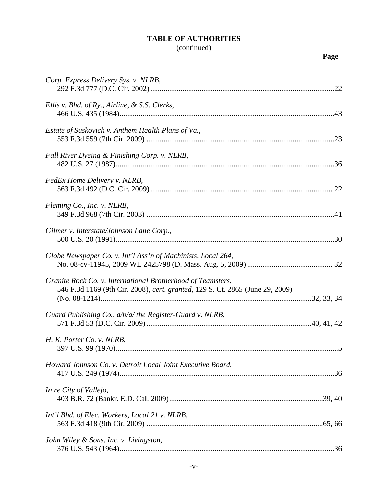| Corp. Express Delivery Sys. v. NLRB,                                                                                                         |  |
|----------------------------------------------------------------------------------------------------------------------------------------------|--|
| Ellis v. Bhd. of Ry., Airline, & S.S. Clerks,                                                                                                |  |
| Estate of Suskovich v. Anthem Health Plans of Va.,                                                                                           |  |
| Fall River Dyeing & Finishing Corp. v. NLRB,                                                                                                 |  |
| FedEx Home Delivery v. NLRB,                                                                                                                 |  |
| Fleming Co., Inc. v. NLRB,                                                                                                                   |  |
| Gilmer v. Interstate/Johnson Lane Corp.,                                                                                                     |  |
| Globe Newspaper Co. v. Int'l Ass'n of Machinists, Local 264,                                                                                 |  |
| Granite Rock Co. v. International Brotherhood of Teamsters,<br>546 F.3d 1169 (9th Cir. 2008), cert. granted, 129 S. Ct. 2865 (June 29, 2009) |  |
| Guard Publishing Co., d/b/a/ the Register-Guard v. NLRB,                                                                                     |  |
| H. K. Porter Co. v. NLRB,                                                                                                                    |  |
| Howard Johnson Co. v. Detroit Local Joint Executive Board,                                                                                   |  |
| In re City of Vallejo,                                                                                                                       |  |
| Int'l Bhd. of Elec. Workers, Local 21 v. NLRB,                                                                                               |  |
| John Wiley & Sons, Inc. v. Livingston,                                                                                                       |  |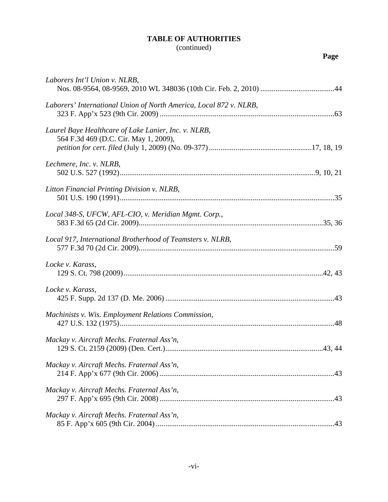| Laborers Int'l Union v. NLRB,                                                                 |
|-----------------------------------------------------------------------------------------------|
| Laborers' International Union of North America, Local 872 v. NLRB,                            |
| Laurel Baye Healthcare of Lake Lanier, Inc. v. NLRB,<br>564 F.3d 469 (D.C. Cir. May 1, 2009), |
| Lechmere, Inc. v. NLRB,                                                                       |
| Litton Financial Printing Division v. NLRB,                                                   |
| Local 348-S, UFCW, AFL-CIO, v. Meridian Mgmt. Corp.,                                          |
| Local 917, International Brotherhood of Teamsters v. NLRB,                                    |
| Locke v. Karass,                                                                              |
| Locke v. Karass,                                                                              |
| Machinists v. Wis. Employment Relations Commission,                                           |
| Mackay v. Aircraft Mechs. Fraternal Ass'n,                                                    |
|                                                                                               |
| Mackay v. Aircraft Mechs. Fraternal Ass'n,                                                    |
| Mackay v. Aircraft Mechs. Fraternal Ass'n,                                                    |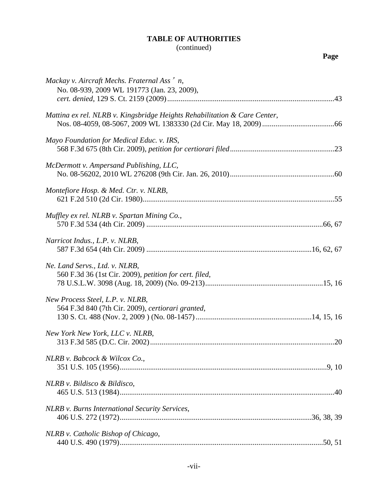| Mackay v. Aircraft Mechs. Fraternal Ass' n,<br>No. 08-939, 2009 WL 191773 (Jan. 23, 2009), |  |
|--------------------------------------------------------------------------------------------|--|
| Mattina ex rel. NLRB v. Kingsbridge Heights Rehabilitation & Care Center,                  |  |
| Mayo Foundation for Medical Educ. v. IRS,                                                  |  |
| McDermott v. Ampersand Publishing, LLC,                                                    |  |
| Montefiore Hosp. & Med. Ctr. v. NLRB,                                                      |  |
| Muffley ex rel. NLRB v. Spartan Mining Co.,                                                |  |
| Narricot Indus., L.P. v. NLRB,                                                             |  |
| Ne. Land Servs., Ltd. v. NLRB,<br>560 F.3d 36 (1st Cir. 2009), petition for cert. filed,   |  |
| New Process Steel, L.P. v. NLRB,<br>564 F.3d 840 (7th Cir. 2009), certiorari granted,      |  |
| New York New York, LLC v. NLRB,                                                            |  |
| NLRB v. Babcock & Wilcox Co.,                                                              |  |
| NLRB v. Bildisco & Bildisco,                                                               |  |
| NLRB v. Burns International Security Services,                                             |  |
| NLRB v. Catholic Bishop of Chicago,                                                        |  |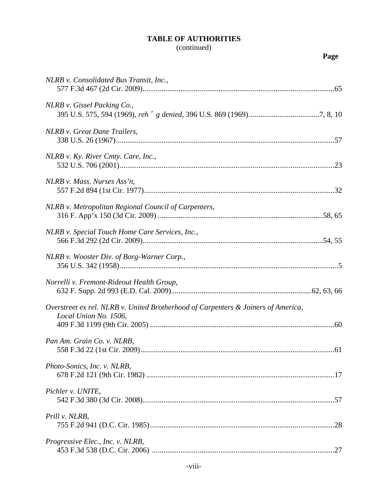| NLRB v. Consolidated Bus Transit, Inc.,                                                                    |
|------------------------------------------------------------------------------------------------------------|
| NLRB v. Gissel Packing Co.,                                                                                |
| NLRB v. Great Dane Trailers,                                                                               |
| NLRB v. Ky. River Cmty. Care, Inc.,                                                                        |
| NLRB v. Mass. Nurses Ass'n,                                                                                |
| NLRB v. Metropolitan Regional Council of Carpenters,                                                       |
| NLRB v. Special Touch Home Care Services, Inc.,                                                            |
| NLRB v. Wooster Div. of Borg-Warner Corp.,                                                                 |
| Norrelli v. Fremont-Rideout Health Group,                                                                  |
| Overstreet ex rel. NLRB v. United Brotherhood of Carpenters & Joiners of America,<br>Local Union No. 1506, |
| Pan Am. Grain Co. v. NLRB,                                                                                 |
| Photo-Sonics, Inc. v. NLRB,                                                                                |
| Pichler v. UNITE,                                                                                          |
| Prill v. NLRB,                                                                                             |
| Progressive Elec., Inc. v. NLRB,                                                                           |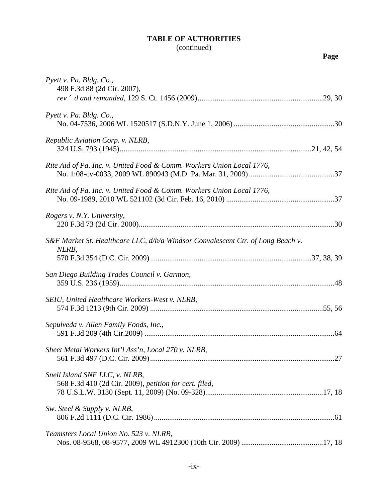| × |
|---|
|---|

| Pyett v. Pa. Bldg. Co.,<br>498 F.3d 88 (2d Cir. 2007),                                   |  |
|------------------------------------------------------------------------------------------|--|
|                                                                                          |  |
| Pyett v. Pa. Bldg. Co.,                                                                  |  |
| Republic Aviation Corp. v. NLRB,                                                         |  |
| Rite Aid of Pa. Inc. v. United Food & Comm. Workers Union Local 1776,                    |  |
| Rite Aid of Pa. Inc. v. United Food & Comm. Workers Union Local 1776,                    |  |
| Rogers v. N.Y. University,                                                               |  |
| S&F Market St. Healthcare LLC, d/b/a Windsor Convalescent Ctr. of Long Beach v.<br>NLRB, |  |
|                                                                                          |  |
| San Diego Building Trades Council v. Garmon,                                             |  |
| SEIU, United Healthcare Workers-West v. NLRB,                                            |  |
| Sepulveda v. Allen Family Foods, Inc.,                                                   |  |
| Sheet Metal Workers Int'l Ass'n, Local 270 v. NLRB,                                      |  |
| Snell Island SNF LLC, v. NLRB,<br>568 F.3d 410 (2d Cir. 2009), petition for cert. filed, |  |
|                                                                                          |  |
| Sw. Steel & Supply v. NLRB,                                                              |  |
| Teamsters Local Union No. 523 v. NLRB,                                                   |  |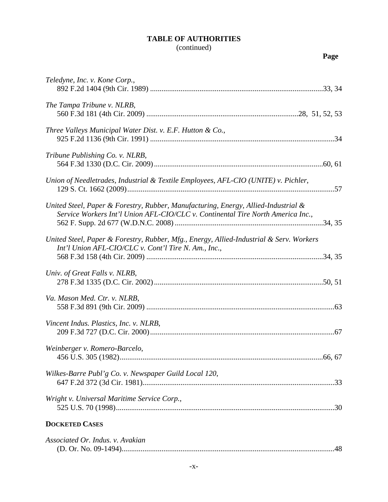| Teledyne, Inc. v. Kone Corp.,                                                                                                                                         |
|-----------------------------------------------------------------------------------------------------------------------------------------------------------------------|
| The Tampa Tribune v. NLRB,                                                                                                                                            |
| Three Valleys Municipal Water Dist. v. E.F. Hutton & Co.,                                                                                                             |
| Tribune Publishing Co. v. NLRB,                                                                                                                                       |
| Union of Needletrades, Industrial & Textile Employees, AFL-CIO (UNITE) v. Pichler,                                                                                    |
| United Steel, Paper & Forestry, Rubber, Manufacturing, Energy, Allied-Industrial &<br>Service Workers Int'l Union AFL-CIO/CLC v. Continental Tire North America Inc., |
| United Steel, Paper & Forestry, Rubber, Mfg., Energy, Allied-Industrial & Serv. Workers<br>Int'l Union AFL-CIO/CLC v. Cont'l Tire N. Am., Inc.,                       |
| Univ. of Great Falls v. NLRB,                                                                                                                                         |
| Va. Mason Med. Ctr. v. NLRB,                                                                                                                                          |
| Vincent Indus. Plastics, Inc. v. NLRB,                                                                                                                                |
| Weinberger v. Romero-Barcelo,<br>456 U.S. 305 (1982).<br>.66, 67                                                                                                      |
| Wilkes-Barre Publ'g Co. v. Newspaper Guild Local 120,                                                                                                                 |
| Wright v. Universal Maritime Service Corp.,                                                                                                                           |
| <b>DOCKETED CASES</b>                                                                                                                                                 |

| Associated Or. Indus. v. Avakian |  |
|----------------------------------|--|
|                                  |  |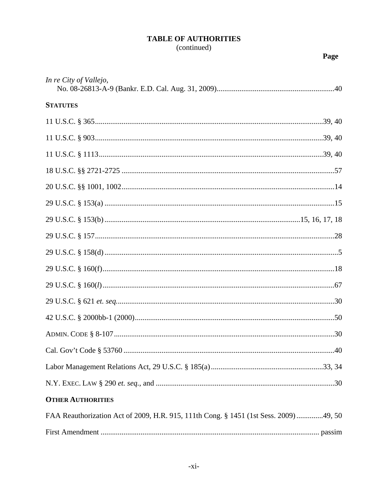| In re City of Vallejo,                                                               |  |
|--------------------------------------------------------------------------------------|--|
| <b>STATUTES</b>                                                                      |  |
|                                                                                      |  |
|                                                                                      |  |
|                                                                                      |  |
|                                                                                      |  |
|                                                                                      |  |
|                                                                                      |  |
|                                                                                      |  |
|                                                                                      |  |
|                                                                                      |  |
|                                                                                      |  |
|                                                                                      |  |
|                                                                                      |  |
|                                                                                      |  |
|                                                                                      |  |
|                                                                                      |  |
|                                                                                      |  |
|                                                                                      |  |
| <b>OTHER AUTHORITIES</b>                                                             |  |
| FAA Reauthorization Act of 2009, H.R. 915, 111th Cong. § 1451 (1st Sess. 2009)49, 50 |  |
|                                                                                      |  |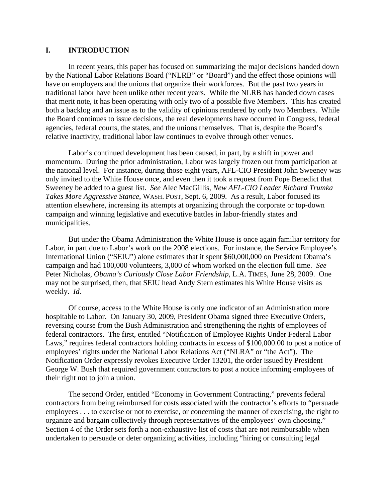### **I. INTRODUCTION**

In recent years, this paper has focused on summarizing the major decisions handed down by the National Labor Relations Board ("NLRB" or "Board") and the effect those opinions will have on employers and the unions that organize their workforces. But the past two years in traditional labor have been unlike other recent years. While the NLRB has handed down cases that merit note, it has been operating with only two of a possible five Members. This has created both a backlog and an issue as to the validity of opinions rendered by only two Members. While the Board continues to issue decisions, the real developments have occurred in Congress, federal agencies, federal courts, the states, and the unions themselves. That is, despite the Board's relative inactivity, traditional labor law continues to evolve through other venues.

Labor's continued development has been caused, in part, by a shift in power and momentum. During the prior administration, Labor was largely frozen out from participation at the national level. For instance, during those eight years, AFL-CIO President John Sweeney was only invited to the White House once, and even then it took a request from Pope Benedict that Sweeney be added to a guest list. *See* Alec MacGillis, *New AFL-CIO Leader Richard Trumka Takes More Aggressive Stance*, WASH. POST, Sept. 6, 2009. As a result, Labor focused its attention elsewhere, increasing its attempts at organizing through the corporate or top-down campaign and winning legislative and executive battles in labor-friendly states and municipalities.

But under the Obama Administration the White House is once again familiar territory for Labor, in part due to Labor's work on the 2008 elections. For instance, the Service Employee's International Union ("SEIU") alone estimates that it spent \$60,000,000 on President Obama's campaign and had 100,000 volunteers, 3,000 of whom worked on the election full time. *See* Peter Nicholas, *Obama's Curiously Close Labor Friendship*, L.A. TIMES, June 28, 2009. One may not be surprised, then, that SEIU head Andy Stern estimates his White House visits as weekly. *Id.*

Of course, access to the White House is only one indicator of an Administration more hospitable to Labor. On January 30, 2009, President Obama signed three Executive Orders, reversing course from the Bush Administration and strengthening the rights of employees of federal contractors. The first, entitled "Notification of Employee Rights Under Federal Labor Laws," requires federal contractors holding contracts in excess of \$100,000.00 to post a notice of employees' rights under the National Labor Relations Act ("NLRA" or "the Act"). The Notification Order expressly revokes Executive Order 13201, the order issued by President George W. Bush that required government contractors to post a notice informing employees of their right not to join a union.

The second Order, entitled "Economy in Government Contracting," prevents federal contractors from being reimbursed for costs associated with the contractor's efforts to "persuade employees . . . to exercise or not to exercise, or concerning the manner of exercising, the right to organize and bargain collectively through representatives of the employees' own choosing." Section 4 of the Order sets forth a non-exhaustive list of costs that are not reimbursable when undertaken to persuade or deter organizing activities, including "hiring or consulting legal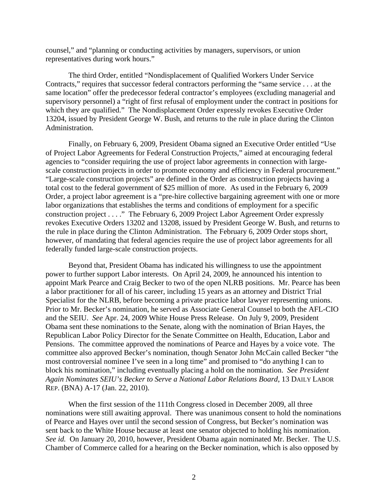counsel," and "planning or conducting activities by managers, supervisors, or union representatives during work hours."

The third Order, entitled "Nondisplacement of Qualified Workers Under Service Contracts," requires that successor federal contractors performing the "same service . . . at the same location" offer the predecessor federal contractor's employees (excluding managerial and supervisory personnel) a "right of first refusal of employment under the contract in positions for which they are qualified." The Nondisplacement Order expressly revokes Executive Order 13204, issued by President George W. Bush, and returns to the rule in place during the Clinton Administration.

Finally, on February 6, 2009, President Obama signed an Executive Order entitled "Use of Project Labor Agreements for Federal Construction Projects," aimed at encouraging federal agencies to "consider requiring the use of project labor agreements in connection with largescale construction projects in order to promote economy and efficiency in Federal procurement." "Large-scale construction projects" are defined in the Order as construction projects having a total cost to the federal government of \$25 million of more. As used in the February 6, 2009 Order, a project labor agreement is a "pre-hire collective bargaining agreement with one or more labor organizations that establishes the terms and conditions of employment for a specific construction project . . . ." The February 6, 2009 Project Labor Agreement Order expressly revokes Executive Orders 13202 and 13208, issued by President George W. Bush, and returns to the rule in place during the Clinton Administration. The February 6, 2009 Order stops short, however, of mandating that federal agencies require the use of project labor agreements for all federally funded large-scale construction projects.

Beyond that, President Obama has indicated his willingness to use the appointment power to further support Labor interests. On April 24, 2009, he announced his intention to appoint Mark Pearce and Craig Becker to two of the open NLRB positions. Mr. Pearce has been a labor practitioner for all of his career, including 15 years as an attorney and District Trial Specialist for the NLRB, before becoming a private practice labor lawyer representing unions. Prior to Mr. Becker's nomination, he served as Associate General Counsel to both the AFL-CIO and the SEIU. *See* Apr. 24, 2009 White House Press Release. On July 9, 2009, President Obama sent these nominations to the Senate, along with the nomination of Brian Hayes, the Republican Labor Policy Director for the Senate Committee on Health, Education, Labor and Pensions. The committee approved the nominations of Pearce and Hayes by a voice vote. The committee also approved Becker's nomination, though Senator John McCain called Becker "the most controversial nominee I've seen in a long time" and promised to "do anything I can to block his nomination," including eventually placing a hold on the nomination. *See President Again Nominates SEIU's Becker to Serve a National Labor Relations Board*, 13 DAILY LABOR REP. (BNA) A-17 (Jan. 22, 2010).

When the first session of the 111th Congress closed in December 2009, all three nominations were still awaiting approval. There was unanimous consent to hold the nominations of Pearce and Hayes over until the second session of Congress, but Becker's nomination was sent back to the White House because at least one senator objected to holding his nomination. *See id.* On January 20, 2010, however, President Obama again nominated Mr. Becker. The U.S. Chamber of Commerce called for a hearing on the Becker nomination, which is also opposed by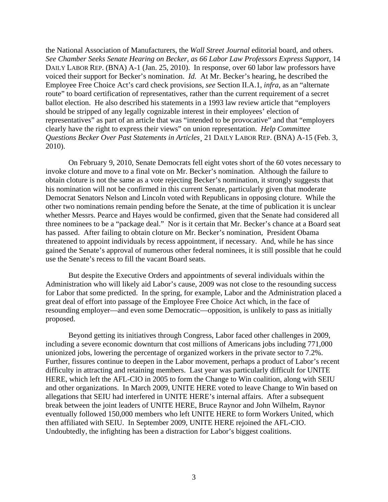the National Association of Manufacturers, the *Wall Street Journal* editorial board, and others. *See Chamber Seeks Senate Hearing on Becker, as 66 Labor Law Professors Express Support*, 14 DAILY LABOR REP. (BNA) A-1 (Jan. 25, 2010). In response, over 60 labor law professors have voiced their support for Becker's nomination. *Id.* At Mr. Becker's hearing, he described the Employee Free Choice Act's card check provisions, *see* Section II.A.1, *infra*, as an "alternate route" to board certification of representatives, rather than the current requirement of a secret ballot election. He also described his statements in a 1993 law review article that "employers should be stripped of any legally cognizable interest in their employees' election of representatives" as part of an article that was "intended to be provocative" and that "employers clearly have the right to express their views" on union representation. *Help Committee Questions Becker Over Past Statements in Articles*¸ 21 DAILY LABOR REP. (BNA) A-15 (Feb. 3, 2010).

On February 9, 2010, Senate Democrats fell eight votes short of the 60 votes necessary to invoke cloture and move to a final vote on Mr. Becker's nomination. Although the failure to obtain cloture is not the same as a vote rejecting Becker's nomination, it strongly suggests that his nomination will not be confirmed in this current Senate, particularly given that moderate Democrat Senators Nelson and Lincoln voted with Republicans in opposing cloture. While the other two nominations remain pending before the Senate, at the time of publication it is unclear whether Messrs. Pearce and Hayes would be confirmed, given that the Senate had considered all three nominees to be a "package deal." Nor is it certain that Mr. Becker's chance at a Board seat has passed. After failing to obtain cloture on Mr. Becker's nomination, President Obama threatened to appoint individuals by recess appointment, if necessary. And, while he has since gained the Senate's approval of numerous other federal nominees, it is still possible that he could use the Senate's recess to fill the vacant Board seats.

But despite the Executive Orders and appointments of several individuals within the Administration who will likely aid Labor's cause, 2009 was not close to the resounding success for Labor that some predicted. In the spring, for example, Labor and the Administration placed a great deal of effort into passage of the Employee Free Choice Act which, in the face of resounding employer—and even some Democratic—opposition, is unlikely to pass as initially proposed.

Beyond getting its initiatives through Congress, Labor faced other challenges in 2009, including a severe economic downturn that cost millions of Americans jobs including 771,000 unionized jobs, lowering the percentage of organized workers in the private sector to 7.2%. Further, fissures continue to deepen in the Labor movement, perhaps a product of Labor's recent difficulty in attracting and retaining members. Last year was particularly difficult for UNITE HERE, which left the AFL-CIO in 2005 to form the Change to Win coalition, along with SEIU and other organizations. In March 2009, UNITE HERE voted to leave Change to Win based on allegations that SEIU had interfered in UNITE HERE's internal affairs. After a subsequent break between the joint leaders of UNITE HERE, Bruce Raynor and John Wilhelm, Raynor eventually followed 150,000 members who left UNITE HERE to form Workers United, which then affiliated with SEIU. In September 2009, UNITE HERE rejoined the AFL-CIO. Undoubtedly, the infighting has been a distraction for Labor's biggest coalitions.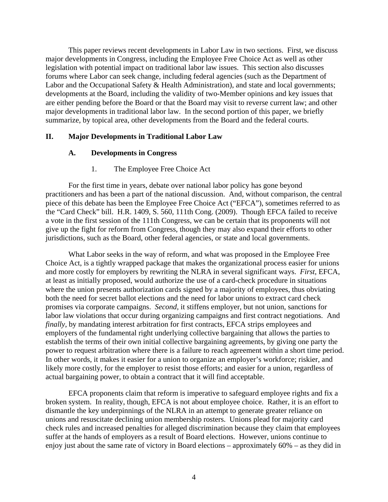This paper reviews recent developments in Labor Law in two sections. First, we discuss major developments in Congress, including the Employee Free Choice Act as well as other legislation with potential impact on traditional labor law issues. This section also discusses forums where Labor can seek change, including federal agencies (such as the Department of Labor and the Occupational Safety & Health Administration), and state and local governments; developments at the Board, including the validity of two-Member opinions and key issues that are either pending before the Board or that the Board may visit to reverse current law; and other major developments in traditional labor law. In the second portion of this paper, we briefly summarize, by topical area, other developments from the Board and the federal courts.

#### **II. Major Developments in Traditional Labor Law**

#### **A. Developments in Congress**

#### 1. The Employee Free Choice Act

For the first time in years, debate over national labor policy has gone beyond practitioners and has been a part of the national discussion. And, without comparison, the central piece of this debate has been the Employee Free Choice Act ("EFCA"), sometimes referred to as the "Card Check" bill. H.R. 1409, S. 560, 111th Cong. (2009). Though EFCA failed to receive a vote in the first session of the 111th Congress, we can be certain that its proponents will not give up the fight for reform from Congress, though they may also expand their efforts to other jurisdictions, such as the Board, other federal agencies, or state and local governments.

What Labor seeks in the way of reform, and what was proposed in the Employee Free Choice Act, is a tightly wrapped package that makes the organizational process easier for unions and more costly for employers by rewriting the NLRA in several significant ways. *First*, EFCA, at least as initially proposed, would authorize the use of a card-check procedure in situations where the union presents authorization cards signed by a majority of employees, thus obviating both the need for secret ballot elections and the need for labor unions to extract card check promises via corporate campaigns. *Second,* it stiffens employer, but not union, sanctions for labor law violations that occur during organizing campaigns and first contract negotiations. And *finally*, by mandating interest arbitration for first contracts, EFCA strips employees and employers of the fundamental right underlying collective bargaining that allows the parties to establish the terms of their own initial collective bargaining agreements, by giving one party the power to request arbitration where there is a failure to reach agreement within a short time period. In other words, it makes it easier for a union to organize an employer's workforce; riskier, and likely more costly, for the employer to resist those efforts; and easier for a union, regardless of actual bargaining power, to obtain a contract that it will find acceptable.

EFCA proponents claim that reform is imperative to safeguard employee rights and fix a broken system. In reality, though, EFCA is not about employee choice. Rather, it is an effort to dismantle the key underpinnings of the NLRA in an attempt to generate greater reliance on unions and resuscitate declining union membership rosters. Unions plead for majority card check rules and increased penalties for alleged discrimination because they claim that employees suffer at the hands of employers as a result of Board elections. However, unions continue to enjoy just about the same rate of victory in Board elections – approximately 60% – as they did in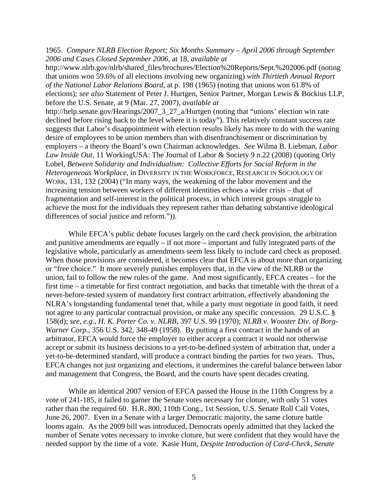1965. *Compare NLRB Election Report; Six Months Summary – April 2006 through September 2006 and Cases Closed September 2006*, at 18, *available at* 

http://www.nlrb.gov/nlrb/shared\_files/brochures/Election%20Reports/Sept.%202006.pdf (noting that unions won 59.6% of all elections involving new organizing) *with Thirtieth Annual Report of the National Labor Relations Board*, at p. 198 (1965) (noting that unions won 61.8% of elections); *see also* Statement of Peter J. Hurtgen, Senior Partner, Morgan Lewis & Bockius LLP, before the U.S. Senate, at 9 (Mar. 27, 2007), *available at*

http://help.senate.gov/Hearings/2007\_3\_27\_a/Hurtgen (noting that "unions' election win rate declined before rising back to the level where it is today"). This relatively constant success rate suggests that Labor's disappointment with election results likely has more to do with the waning desire of employees to be union members than with disenfranchisement or discrimination by employers – a theory the Board's own Chairman acknowledges. *See* Wilma B. Liebman, *Labor Law Inside Out*, 11 WorkingUSA: The Journal of Labor & Society 9 n.22 (2008) (quoting Orly Lobel, *Between Solidarity and Individualism: Collective Efforts for Social Reform in the Heterogeneous Workplace*, in DIVERSITY IN THE WORKFORCE, RESEARCH IN SOCIOLOGY OF WORK, 131, 132 (2004) ("In many ways, the weakening of the labor movement and the increasing tension between workers of different identities echoes a wider crisis – that of fragmentation and self-interest in the political process, in which interest groups struggle to achieve the most for the individuals they represent rather than debating substantive ideological differences of social justice and reform.")).

While EFCA's public debate focuses largely on the card check provision, the arbitration and punitive amendments are equally – if not more – important and fully integrated parts of the legislative whole, particularly as amendments seem less likely to include card check as proposed. When those provisions are considered, it becomes clear that EFCA is about more than organizing or "free choice." It more severely punishes employers that, in the view of the NLRB or the union, fail to follow the new rules of the game. And most significantly, EFCA creates – for the first time – a timetable for first contract negotiation, and backs that timetable with the threat of a never-before-tested system of mandatory first contract arbitration, effectively abandoning the NLRA's longstanding fundamental tenet that, while a party must negotiate in good faith, it need not agree to any particular contractual provision, or make any specific concession. 29 U.S.C. § 158(d); *see*, *e.g.*, *H. K. Porter Co. v. NLRB*, 397 U.S. 99 (1970); *NLRB v. Wooster Div. of Borg-Warner Corp.*, 356 U.S. 342, 348-49 (1958). By putting a first contract in the hands of an arbitrator, EFCA would force the employer to either accept a contract it would not otherwise accept or submit its business decisions to a yet-to-be-defined system of arbitration that, under a yet-to-be-determined standard, will produce a contract binding the parties for two years. Thus, EFCA changes not just organizing and elections, it undermines the careful balance between labor and management that Congress, the Board, and the courts have spent decades creating.

While an identical 2007 version of EFCA passed the House in the 110th Congress by a vote of 241-185, it failed to garner the Senate votes necessary for cloture, with only 51 votes rather than the required 60. H.R. 800, 110th Cong., 1st Session, U.S. Senate Roll Call Votes, June 26, 2007. Even in a Senate with a larger Democratic majority, the same cloture battle looms again. As the 2009 bill was introduced, Democrats openly admitted that they lacked the number of Senate votes necessary to invoke cloture, but were confident that they would have the needed support by the time of a vote. Kasie Hunt, *Despite Introduction of Card-Check, Senate*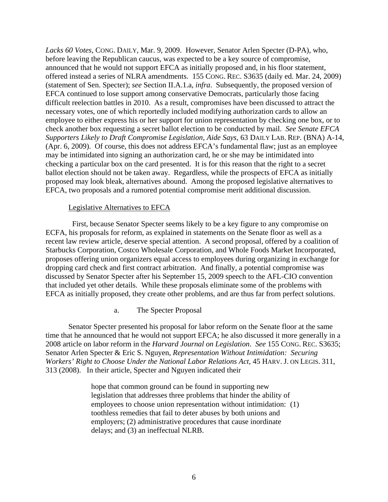*Lacks 60 Votes*, CONG. DAILY, Mar. 9, 2009. However, Senator Arlen Specter (D-PA), who, before leaving the Republican caucus, was expected to be a key source of compromise, announced that he would not support EFCA as initially proposed and, in his floor statement, offered instead a series of NLRA amendments. 155 CONG. REC. S3635 (daily ed. Mar. 24, 2009) (statement of Sen. Specter); *see* Section II.A.1.a, *infra*. Subsequently, the proposed version of EFCA continued to lose support among conservative Democrats, particularly those facing difficult reelection battles in 2010. As a result, compromises have been discussed to attract the necessary votes, one of which reportedly included modifying authorization cards to allow an employee to either express his or her support for union representation by checking one box, or to check another box requesting a secret ballot election to be conducted by mail. *See Senate EFCA Supporters Likely to Draft Compromise Legislation, Aide Says*, 63 DAILY LAB. REP. (BNA) A-14, (Apr. 6, 2009). Of course, this does not address EFCA's fundamental flaw; just as an employee may be intimidated into signing an authorization card, he or she may be intimidated into checking a particular box on the card presented. It is for this reason that the right to a secret ballot election should not be taken away. Regardless, while the prospects of EFCA as initially proposed may look bleak, alternatives abound. Among the proposed legislative alternatives to EFCA, two proposals and a rumored potential compromise merit additional discussion.

#### Legislative Alternatives to EFCA

 First, because Senator Specter seems likely to be a key figure to any compromise on ECFA, his proposals for reform, as explained in statements on the Senate floor as well as a recent law review article, deserve special attention. A second proposal, offered by a coalition of Starbucks Corporation, Costco Wholesale Corporation, and Whole Foods Market Incorporated, proposes offering union organizers equal access to employees during organizing in exchange for dropping card check and first contract arbitration. And finally, a potential compromise was discussed by Senator Specter after his September 15, 2009 speech to the AFL-CIO convention that included yet other details. While these proposals eliminate some of the problems with EFCA as initially proposed, they create other problems, and are thus far from perfect solutions.

### a. The Specter Proposal

Senator Specter presented his proposal for labor reform on the Senate floor at the same time that he announced that he would not support EFCA; he also discussed it more generally in a 2008 article on labor reform in the *Harvard Journal on Legislation*. *See* 155 CONG. REC. S3635; Senator Arlen Specter & Eric S. Nguyen, *Representation Without Intimidation: Securing Workers' Right to Choose Under the National Labor Relations Act*, 45 HARV. J. ON LEGIS. 311, 313 (2008). In their article, Specter and Nguyen indicated their

> hope that common ground can be found in supporting new legislation that addresses three problems that hinder the ability of employees to choose union representation without intimidation: (1) toothless remedies that fail to deter abuses by both unions and employers; (2) administrative procedures that cause inordinate delays; and (3) an ineffectual NLRB.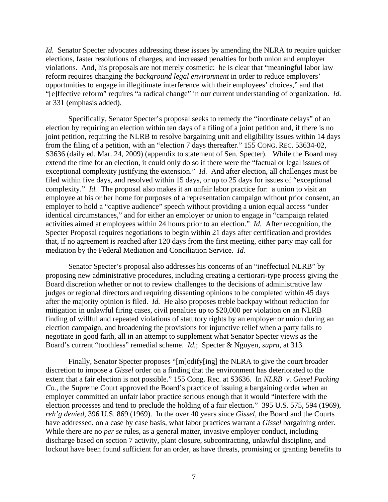*Id.* Senator Specter advocates addressing these issues by amending the NLRA to require quicker elections, faster resolutions of charges, and increased penalties for both union and employer violations. And, his proposals are not merely cosmetic: he is clear that "meaningful labor law reform requires changing *the background legal environment* in order to reduce employers' opportunities to engage in illegitimate interference with their employees' choices," and that "[e]ffective reform" requires "a radical change" in our current understanding of organization. *Id.* at 331 (emphasis added).

Specifically, Senator Specter's proposal seeks to remedy the "inordinate delays" of an election by requiring an election within ten days of a filing of a joint petition and, if there is no joint petition, requiring the NLRB to resolve bargaining unit and eligibility issues within 14 days from the filing of a petition, with an "election 7 days thereafter." 155 CONG. REC. 53634-02, S3636 (daily ed. Mar. 24, 2009) (appendix to statement of Sen. Specter). While the Board may extend the time for an election, it could only do so if there were the "factual or legal issues of exceptional complexity justifying the extension." *Id.* And after election, all challenges must be filed within five days, and resolved within 15 days, or up to 25 days for issues of "exceptional complexity." *Id.* The proposal also makes it an unfair labor practice for: a union to visit an employee at his or her home for purposes of a representation campaign without prior consent, an employer to hold a "captive audience" speech without providing a union equal access "under identical circumstances," and for either an employer or union to engage in "campaign related activities aimed at employees within 24 hours prior to an election." *Id.* After recognition, the Specter Proposal requires negotiations to begin within 21 days after certification and provides that, if no agreement is reached after 120 days from the first meeting, either party may call for mediation by the Federal Mediation and Conciliation Service. *Id.*

Senator Specter's proposal also addresses his concerns of an "ineffectual NLRB" by proposing new administrative procedures, including creating a certiorari-type process giving the Board discretion whether or not to review challenges to the decisions of administrative law judges or regional directors and requiring dissenting opinions to be completed within 45 days after the majority opinion is filed. *Id.* He also proposes treble backpay without reduction for mitigation in unlawful firing cases, civil penalties up to \$20,000 per violation on an NLRB finding of willful and repeated violations of statutory rights by an employer or union during an election campaign, and broadening the provisions for injunctive relief when a party fails to negotiate in good faith, all in an attempt to supplement what Senator Specter views as the Board's current "toothless" remedial scheme. *Id.*; Specter & Nguyen, *supra*, at 313.

Finally, Senator Specter proposes "[m]odify[ing] the NLRA to give the court broader discretion to impose a *Gissel* order on a finding that the environment has deteriorated to the extent that a fair election is not possible." 155 Cong. Rec. at S3636. In *NLRB v. Gissel Packing Co.*, the Supreme Court approved the Board's practice of issuing a bargaining order when an employer committed an unfair labor practice serious enough that it would "interfere with the election processes and tend to preclude the holding of a fair election." 395 U.S. 575, 594 (1969), *reh'g denied*, 396 U.S. 869 (1969). In the over 40 years since *Gissel*, the Board and the Courts have addressed, on a case by case basis, what labor practices warrant a *Gissel* bargaining order. While there are no *per se* rules, as a general matter, invasive employer conduct, including discharge based on section 7 activity, plant closure, subcontracting, unlawful discipline, and lockout have been found sufficient for an order, as have threats, promising or granting benefits to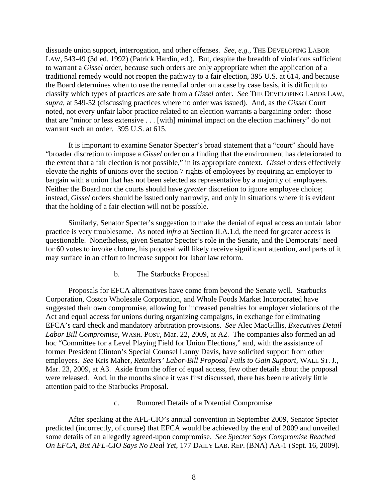dissuade union support, interrogation, and other offenses. *See, e.g.*, THE DEVELOPING LABOR LAW, 543-49 (3d ed. 1992) (Patrick Hardin, ed.). But, despite the breadth of violations sufficient to warrant a *Gissel* order, because such orders are only appropriate when the application of a traditional remedy would not reopen the pathway to a fair election, 395 U.S. at 614, and because the Board determines when to use the remedial order on a case by case basis, it is difficult to classify which types of practices are safe from a *Gissel* order. *See* THE DEVELOPING LABOR LAW, *supra*, at 549-52 (discussing practices where no order was issued). And, as the *Gissel* Court noted, not every unfair labor practice related to an election warrants a bargaining order: those that are "minor or less extensive . . . [with] minimal impact on the election machinery" do not warrant such an order. 395 U.S. at 615.

It is important to examine Senator Specter's broad statement that a "court" should have "broader discretion to impose a *Gissel* order on a finding that the environment has deteriorated to the extent that a fair election is not possible," in its appropriate context. *Gissel* orders effectively elevate the rights of unions over the section 7 rights of employees by requiring an employer to bargain with a union that has not been selected as representative by a majority of employees. Neither the Board nor the courts should have *greater* discretion to ignore employee choice; instead, *Gissel* orders should be issued only narrowly, and only in situations where it is evident that the holding of a fair election will not be possible.

Similarly, Senator Specter's suggestion to make the denial of equal access an unfair labor practice is very troublesome. As noted *infra* at Section II.A.1.d, the need for greater access is questionable. Nonetheless, given Senator Specter's role in the Senate, and the Democrats' need for 60 votes to invoke cloture, his proposal will likely receive significant attention, and parts of it may surface in an effort to increase support for labor law reform.

b. The Starbucks Proposal

Proposals for EFCA alternatives have come from beyond the Senate well. Starbucks Corporation, Costco Wholesale Corporation, and Whole Foods Market Incorporated have suggested their own compromise, allowing for increased penalties for employer violations of the Act and equal access for unions during organizing campaigns, in exchange for eliminating EFCA's card check and mandatory arbitration provisions. *See* Alec MacGillis, *Executives Detail Labor Bill Compromise*, WASH. POST, Mar. 22, 2009, at A2. The companies also formed an ad hoc "Committee for a Level Playing Field for Union Elections," and, with the assistance of former President Clinton's Special Counsel Lanny Davis, have solicited support from other employers. *See* Kris Maher, *Retailers' Labor-Bill Proposal Fails to Gain Support*, WALL ST. J., Mar. 23, 2009, at A3. Aside from the offer of equal access, few other details about the proposal were released. And, in the months since it was first discussed, there has been relatively little attention paid to the Starbucks Proposal.

c. Rumored Details of a Potential Compromise

After speaking at the AFL-CIO's annual convention in September 2009, Senator Specter predicted (incorrectly, of course) that EFCA would be achieved by the end of 2009 and unveiled some details of an allegedly agreed-upon compromise. *See Specter Says Compromise Reached On EFCA, But AFL-CIO Says No Deal Yet*, 177 DAILY LAB. REP. (BNA) AA-1 (Sept. 16, 2009).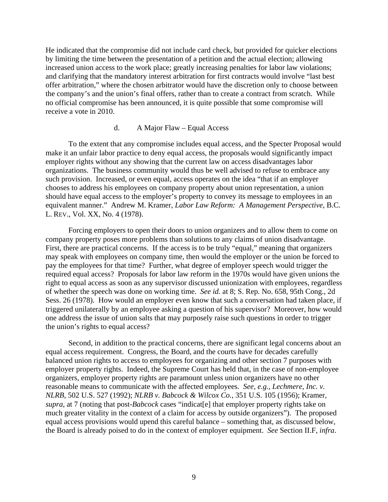He indicated that the compromise did not include card check, but provided for quicker elections by limiting the time between the presentation of a petition and the actual election; allowing increased union access to the work place; greatly increasing penalties for labor law violations; and clarifying that the mandatory interest arbitration for first contracts would involve "last best offer arbitration," where the chosen arbitrator would have the discretion only to choose between the company's and the union's final offers, rather than to create a contract from scratch. While no official compromise has been announced, it is quite possible that some compromise will receive a vote in 2010.

#### d. A Major Flaw – Equal Access

To the extent that any compromise includes equal access, and the Specter Proposal would make it an unfair labor practice to deny equal access, the proposals would significantly impact employer rights without any showing that the current law on access disadvantages labor organizations. The business community would thus be well advised to refuse to embrace any such provision. Increased, or even equal, access operates on the idea "that if an employer chooses to address his employees on company property about union representation, a union should have equal access to the employer's property to convey its message to employees in an equivalent manner." Andrew M. Kramer, *Labor Law Reform: A Management Perspective*, B.C. L. REV., Vol. XX, No. 4 (1978).

Forcing employers to open their doors to union organizers and to allow them to come on company property poses more problems than solutions to any claims of union disadvantage. First, there are practical concerns. If the access is to be truly "equal," meaning that organizers may speak with employees on company time, then would the employer or the union be forced to pay the employees for that time? Further, what degree of employer speech would trigger the required equal access? Proposals for labor law reform in the 1970s would have given unions the right to equal access as soon as any supervisor discussed unionization with employees, regardless of whether the speech was done on working time. *See id.* at 8; S. Rep. No. 658, 95th Cong., 2d Sess. 26 (1978). How would an employer even know that such a conversation had taken place, if triggered unilaterally by an employee asking a question of his supervisor? Moreover, how would one address the issue of union salts that may purposely raise such questions in order to trigger the union's rights to equal access?

Second, in addition to the practical concerns, there are significant legal concerns about an equal access requirement. Congress, the Board, and the courts have for decades carefully balanced union rights to access to employees for organizing and other section 7 purposes with employer property rights. Indeed, the Supreme Court has held that, in the case of non-employee organizers, employer property rights are paramount unless union organizers have no other reasonable means to communicate with the affected employees. *See, e.g.*, *Lechmere, Inc. v. NLRB*, 502 U.S. 527 (1992); *NLRB v. Babcock & Wilcox Co.*, 351 U.S. 105 (1956); Kramer, *supra*, at 7 (noting that post-*Babcock* cases "indicat[e] that employer property rights take on much greater vitality in the context of a claim for access by outside organizers"). The proposed equal access provisions would upend this careful balance – something that, as discussed below, the Board is already poised to do in the context of employer equipment. *See* Section II.F, *infra*.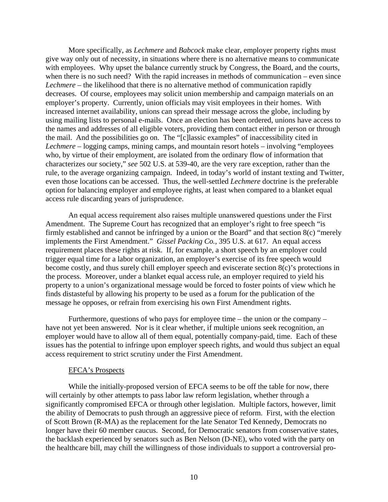More specifically, as *Lechmere* and *Babcock* make clear, employer property rights must give way only out of necessity, in situations where there is no alternative means to communicate with employees. Why upset the balance currently struck by Congress, the Board, and the courts, when there is no such need? With the rapid increases in methods of communication – even since *Lechmere* – the likelihood that there is no alternative method of communication rapidly decreases. Of course, employees may solicit union membership and campaign materials on an employer's property. Currently, union officials may visit employees in their homes. With increased internet availability, unions can spread their message across the globe, including by using mailing lists to personal e-mails. Once an election has been ordered, unions have access to the names and addresses of all eligible voters, providing them contact either in person or through the mail. And the possibilities go on. The "[c]lassic examples" of inaccessibility cited in *Lechmere* – logging camps, mining camps, and mountain resort hotels – involving "employees who, by virtue of their employment, are isolated from the ordinary flow of information that characterizes our society," *see* 502 U.S. at 539-40, are the very rare exception, rather than the rule, to the average organizing campaign. Indeed, in today's world of instant texting and Twitter, even those locations can be accessed. Thus, the well-settled *Lechmere* doctrine is the preferable option for balancing employer and employee rights, at least when compared to a blanket equal access rule discarding years of jurisprudence.

An equal access requirement also raises multiple unanswered questions under the First Amendment. The Supreme Court has recognized that an employer's right to free speech "is firmly established and cannot be infringed by a union or the Board" and that section 8(c) "merely implements the First Amendment." *Gissel Packing Co.*, 395 U.S. at 617. An equal access requirement places these rights at risk. If, for example, a short speech by an employer could trigger equal time for a labor organization, an employer's exercise of its free speech would become costly, and thus surely chill employer speech and eviscerate section 8(c)'s protections in the process. Moreover, under a blanket equal access rule, an employer required to yield his property to a union's organizational message would be forced to foster points of view which he finds distasteful by allowing his property to be used as a forum for the publication of the message he opposes, or refrain from exercising his own First Amendment rights.

Furthermore, questions of who pays for employee time – the union or the company – have not yet been answered. Nor is it clear whether, if multiple unions seek recognition, an employer would have to allow all of them equal, potentially company-paid, time. Each of these issues has the potential to infringe upon employer speech rights, and would thus subject an equal access requirement to strict scrutiny under the First Amendment.

#### EFCA's Prospects

While the initially-proposed version of EFCA seems to be off the table for now, there will certainly by other attempts to pass labor law reform legislation, whether through a significantly compromised EFCA or through other legislation. Multiple factors, however, limit the ability of Democrats to push through an aggressive piece of reform. First, with the election of Scott Brown (R-MA) as the replacement for the late Senator Ted Kennedy, Democrats no longer have their 60 member caucus. Second, for Democratic senators from conservative states, the backlash experienced by senators such as Ben Nelson (D-NE), who voted with the party on the healthcare bill, may chill the willingness of those individuals to support a controversial pro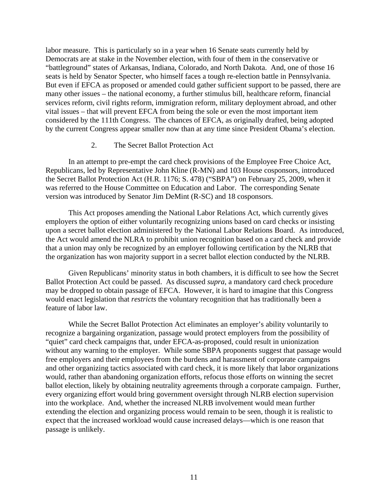labor measure. This is particularly so in a year when 16 Senate seats currently held by Democrats are at stake in the November election, with four of them in the conservative or "battleground" states of Arkansas, Indiana, Colorado, and North Dakota. And, one of those 16 seats is held by Senator Specter, who himself faces a tough re-election battle in Pennsylvania. But even if EFCA as proposed or amended could gather sufficient support to be passed, there are many other issues – the national economy, a further stimulus bill, healthcare reform, financial services reform, civil rights reform, immigration reform, military deployment abroad, and other vital issues – that will prevent EFCA from being the sole or even the most important item considered by the 111th Congress. The chances of EFCA, as originally drafted, being adopted by the current Congress appear smaller now than at any time since President Obama's election.

#### 2. The Secret Ballot Protection Act

In an attempt to pre-empt the card check provisions of the Employee Free Choice Act, Republicans, led by Representative John Kline (R-MN) and 103 House cosponsors, introduced the Secret Ballot Protection Act (H.R. 1176; S. 478) ("SBPA") on February 25, 2009, when it was referred to the House Committee on Education and Labor. The corresponding Senate version was introduced by Senator Jim DeMint (R-SC) and 18 cosponsors.

This Act proposes amending the National Labor Relations Act, which currently gives employers the option of either voluntarily recognizing unions based on card checks or insisting upon a secret ballot election administered by the National Labor Relations Board. As introduced, the Act would amend the NLRA to prohibit union recognition based on a card check and provide that a union may only be recognized by an employer following certification by the NLRB that the organization has won majority support in a secret ballot election conducted by the NLRB.

Given Republicans' minority status in both chambers, it is difficult to see how the Secret Ballot Protection Act could be passed. As discussed *supra*, a mandatory card check procedure may be dropped to obtain passage of EFCA. However, it is hard to imagine that this Congress would enact legislation that *restricts* the voluntary recognition that has traditionally been a feature of labor law.

While the Secret Ballot Protection Act eliminates an employer's ability voluntarily to recognize a bargaining organization, passage would protect employers from the possibility of "quiet" card check campaigns that, under EFCA-as-proposed, could result in unionization without any warning to the employer. While some SBPA proponents suggest that passage would free employers and their employees from the burdens and harassment of corporate campaigns and other organizing tactics associated with card check, it is more likely that labor organizations would, rather than abandoning organization efforts, refocus those efforts on winning the secret ballot election, likely by obtaining neutrality agreements through a corporate campaign. Further, every organizing effort would bring government oversight through NLRB election supervision into the workplace. And, whether the increased NLRB involvement would mean further extending the election and organizing process would remain to be seen, though it is realistic to expect that the increased workload would cause increased delays—which is one reason that passage is unlikely.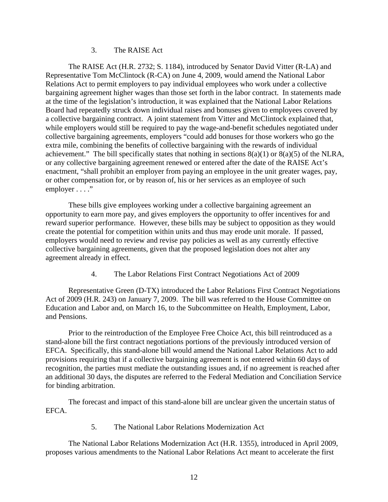#### 3. The RAISE Act

The RAISE Act (H.R. 2732; S. 1184), introduced by Senator David Vitter (R-LA) and Representative Tom McClintock (R-CA) on June 4, 2009, would amend the National Labor Relations Act to permit employers to pay individual employees who work under a collective bargaining agreement higher wages than those set forth in the labor contract. In statements made at the time of the legislation's introduction, it was explained that the National Labor Relations Board had repeatedly struck down individual raises and bonuses given to employees covered by a collective bargaining contract. A joint statement from Vitter and McClintock explained that, while employers would still be required to pay the wage-and-benefit schedules negotiated under collective bargaining agreements, employers "could add bonuses for those workers who go the extra mile, combining the benefits of collective bargaining with the rewards of individual achievement." The bill specifically states that nothing in sections  $8(a)(1)$  or  $8(a)(5)$  of the NLRA, or any collective bargaining agreement renewed or entered after the date of the RAISE Act's enactment, "shall prohibit an employer from paying an employee in the unit greater wages, pay, or other compensation for, or by reason of, his or her services as an employee of such employer . . . ."

These bills give employees working under a collective bargaining agreement an opportunity to earn more pay, and gives employers the opportunity to offer incentives for and reward superior performance. However, these bills may be subject to opposition as they would create the potential for competition within units and thus may erode unit morale. If passed, employers would need to review and revise pay policies as well as any currently effective collective bargaining agreements, given that the proposed legislation does not alter any agreement already in effect.

4. The Labor Relations First Contract Negotiations Act of 2009

Representative Green (D-TX) introduced the Labor Relations First Contract Negotiations Act of 2009 (H.R. 243) on January 7, 2009. The bill was referred to the House Committee on Education and Labor and, on March 16, to the Subcommittee on Health, Employment, Labor, and Pensions.

Prior to the reintroduction of the Employee Free Choice Act, this bill reintroduced as a stand-alone bill the first contract negotiations portions of the previously introduced version of EFCA. Specifically, this stand-alone bill would amend the National Labor Relations Act to add provisions requiring that if a collective bargaining agreement is not entered within 60 days of recognition, the parties must mediate the outstanding issues and, if no agreement is reached after an additional 30 days, the disputes are referred to the Federal Mediation and Conciliation Service for binding arbitration.

The forecast and impact of this stand-alone bill are unclear given the uncertain status of EFCA.

5. The National Labor Relations Modernization Act

The National Labor Relations Modernization Act (H.R. 1355), introduced in April 2009, proposes various amendments to the National Labor Relations Act meant to accelerate the first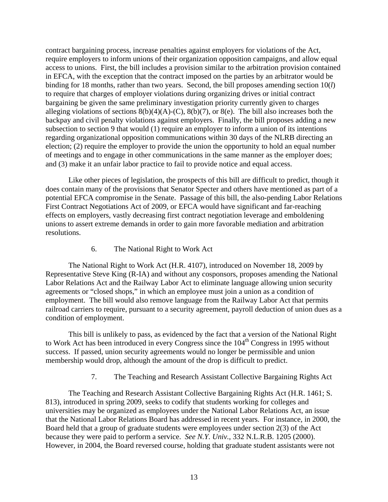contract bargaining process, increase penalties against employers for violations of the Act, require employers to inform unions of their organization opposition campaigns, and allow equal access to unions. First, the bill includes a provision similar to the arbitration provision contained in EFCA, with the exception that the contract imposed on the parties by an arbitrator would be binding for 18 months, rather than two years. Second, the bill proposes amending section 10(*l*) to require that charges of employer violations during organizing drives or initial contract bargaining be given the same preliminary investigation priority currently given to charges alleging violations of sections  $8(b)(4)(A)-(C)$ ,  $8(b)(7)$ , or  $8(e)$ . The bill also increases both the backpay and civil penalty violations against employers. Finally, the bill proposes adding a new subsection to section 9 that would (1) require an employer to inform a union of its intentions regarding organizational opposition communications within 30 days of the NLRB directing an election; (2) require the employer to provide the union the opportunity to hold an equal number of meetings and to engage in other communications in the same manner as the employer does; and (3) make it an unfair labor practice to fail to provide notice and equal access.

Like other pieces of legislation, the prospects of this bill are difficult to predict, though it does contain many of the provisions that Senator Specter and others have mentioned as part of a potential EFCA compromise in the Senate. Passage of this bill, the also-pending Labor Relations First Contract Negotiations Act of 2009, or EFCA would have significant and far-reaching effects on employers, vastly decreasing first contract negotiation leverage and emboldening unions to assert extreme demands in order to gain more favorable mediation and arbitration resolutions.

#### 6. The National Right to Work Act

The National Right to Work Act (H.R. 4107), introduced on November 18, 2009 by Representative Steve King (R-IA) and without any cosponsors, proposes amending the National Labor Relations Act and the Railway Labor Act to eliminate language allowing union security agreements or "closed shops," in which an employee must join a union as a condition of employment. The bill would also remove language from the Railway Labor Act that permits railroad carriers to require, pursuant to a security agreement, payroll deduction of union dues as a condition of employment.

This bill is unlikely to pass, as evidenced by the fact that a version of the National Right to Work Act has been introduced in every Congress since the 104<sup>th</sup> Congress in 1995 without success. If passed, union security agreements would no longer be permissible and union membership would drop, although the amount of the drop is difficult to predict.

7. The Teaching and Research Assistant Collective Bargaining Rights Act

The Teaching and Research Assistant Collective Bargaining Rights Act (H.R. 1461; S. 813), introduced in spring 2009, seeks to codify that students working for colleges and universities may be organized as employees under the National Labor Relations Act, an issue that the National Labor Relations Board has addressed in recent years. For instance, in 2000, the Board held that a group of graduate students were employees under section 2(3) of the Act because they were paid to perform a service. *See N.Y. Univ.*, 332 N.L.R.B. 1205 (2000). However, in 2004, the Board reversed course, holding that graduate student assistants were not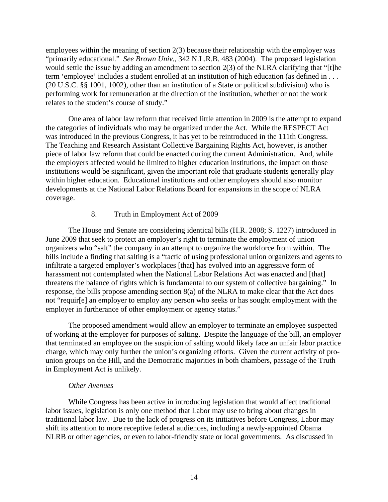employees within the meaning of section 2(3) because their relationship with the employer was "primarily educational." *See Brown Univ.*, 342 N.L.R.B. 483 (2004). The proposed legislation would settle the issue by adding an amendment to section 2(3) of the NLRA clarifying that "[t]he term 'employee' includes a student enrolled at an institution of high education (as defined in . . . (20 U.S.C. §§ 1001, 1002), other than an institution of a State or political subdivision) who is performing work for remuneration at the direction of the institution, whether or not the work relates to the student's course of study."

One area of labor law reform that received little attention in 2009 is the attempt to expand the categories of individuals who may be organized under the Act. While the RESPECT Act was introduced in the previous Congress, it has yet to be reintroduced in the 111th Congress. The Teaching and Research Assistant Collective Bargaining Rights Act, however, is another piece of labor law reform that could be enacted during the current Administration. And, while the employers affected would be limited to higher education institutions, the impact on those institutions would be significant, given the important role that graduate students generally play within higher education. Educational institutions and other employers should also monitor developments at the National Labor Relations Board for expansions in the scope of NLRA coverage.

#### 8. Truth in Employment Act of 2009

The House and Senate are considering identical bills (H.R. 2808; S. 1227) introduced in June 2009 that seek to protect an employer's right to terminate the employment of union organizers who "salt" the company in an attempt to organize the workforce from within. The bills include a finding that salting is a "tactic of using professional union organizers and agents to infiltrate a targeted employer's workplaces [that] has evolved into an aggressive form of harassment not contemplated when the National Labor Relations Act was enacted and [that] threatens the balance of rights which is fundamental to our system of collective bargaining." In response, the bills propose amending section 8(a) of the NLRA to make clear that the Act does not "requir[e] an employer to employ any person who seeks or has sought employment with the employer in furtherance of other employment or agency status."

The proposed amendment would allow an employer to terminate an employee suspected of working at the employer for purposes of salting. Despite the language of the bill, an employer that terminated an employee on the suspicion of salting would likely face an unfair labor practice charge, which may only further the union's organizing efforts. Given the current activity of prounion groups on the Hill, and the Democratic majorities in both chambers, passage of the Truth in Employment Act is unlikely.

#### *Other Avenues*

While Congress has been active in introducing legislation that would affect traditional labor issues, legislation is only one method that Labor may use to bring about changes in traditional labor law. Due to the lack of progress on its initiatives before Congress, Labor may shift its attention to more receptive federal audiences, including a newly-appointed Obama NLRB or other agencies, or even to labor-friendly state or local governments. As discussed in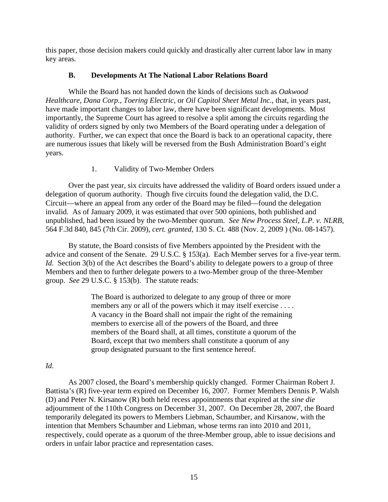this paper, those decision makers could quickly and drastically alter current labor law in many key areas.

### **B. Developments At The National Labor Relations Board**

While the Board has not handed down the kinds of decisions such as *Oakwood Healthcare*, *Dana Corp.*, *Toering Electric*, or *Oil Capitol Sheet Metal Inc.*, that, in years past, have made important changes to labor law, there have been significant developments. Most importantly, the Supreme Court has agreed to resolve a split among the circuits regarding the validity of orders signed by only two Members of the Board operating under a delegation of authority. Further, we can expect that once the Board is back to an operational capacity, there are numerous issues that likely will be reversed from the Bush Administration Board's eight years.

### 1. Validity of Two-Member Orders

Over the past year, six circuits have addressed the validity of Board orders issued under a delegation of quorum authority. Though five circuits found the delegation valid, the D.C. Circuit—where an appeal from any order of the Board may be filed—found the delegation invalid. As of January 2009, it was estimated that over 500 opinions, both published and unpublished, had been issued by the two-Member quorum. *See New Process Steel, L.P. v. NLRB*, 564 F.3d 840, 845 (7th Cir. 2009), *cert. granted*, 130 S. Ct. 488 (Nov. 2, 2009 ) (No. 08-1457).

By statute, the Board consists of five Members appointed by the President with the advice and consent of the Senate. 29 U.S.C. § 153(a). Each Member serves for a five-year term. *Id.* Section 3(b) of the Act describes the Board's ability to delegate powers to a group of three Members and then to further delegate powers to a two-Member group of the three-Member group. *See* 29 U.S.C. § 153(b). The statute reads:

> The Board is authorized to delegate to any group of three or more members any or all of the powers which it may itself exercise . . . . A vacancy in the Board shall not impair the right of the remaining members to exercise all of the powers of the Board, and three members of the Board shall, at all times, constitute a quorum of the Board, except that two members shall constitute a quorum of any group designated pursuant to the first sentence hereof.

### *Id.*

As 2007 closed, the Board's membership quickly changed. Former Chairman Robert J. Battista's (R) five-year term expired on December 16, 2007. Former Members Dennis P. Walsh (D) and Peter N. Kirsanow (R) both held recess appointments that expired at the *sine die* adjournment of the 110th Congress on December 31, 2007. On December 28, 2007, the Board temporarily delegated its powers to Members Liebman, Schaumber, and Kirsanow, with the intention that Members Schaumber and Liebman, whose terms ran into 2010 and 2011, respectively, could operate as a quorum of the three-Member group, able to issue decisions and orders in unfair labor practice and representation cases.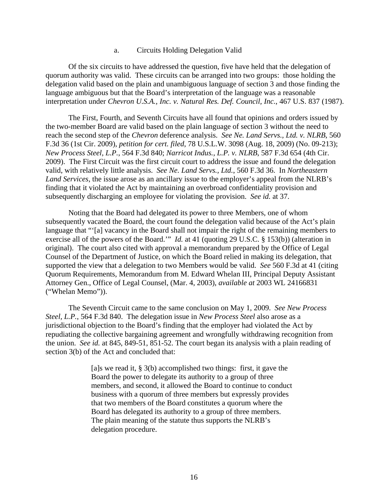#### a. Circuits Holding Delegation Valid

Of the six circuits to have addressed the question, five have held that the delegation of quorum authority was valid. These circuits can be arranged into two groups: those holding the delegation valid based on the plain and unambiguous language of section 3 and those finding the language ambiguous but that the Board's interpretation of the language was a reasonable interpretation under *Chevron U.S.A., Inc. v. Natural Res. Def. Council, Inc.*, 467 U.S. 837 (1987).

The First, Fourth, and Seventh Circuits have all found that opinions and orders issued by the two-member Board are valid based on the plain language of section 3 without the need to reach the second step of the *Chevron* deference analysis. *See Ne. Land Servs., Ltd. v. NLRB*, 560 F.3d 36 (1st Cir. 2009), *petition for cert. filed*, 78 U.S.L.W. 3098 (Aug. 18, 2009) (No. 09-213); *New Process Steel, L.P.*, 564 F.3d 840; *Narricot Indus., L.P. v. NLRB*, 587 F.3d 654 (4th Cir. 2009). The First Circuit was the first circuit court to address the issue and found the delegation valid, with relatively little analysis. *See Ne. Land Servs., Ltd.*, 560 F.3d 36. In *Northeastern Land Services*, the issue arose as an ancillary issue to the employer's appeal from the NLRB's finding that it violated the Act by maintaining an overbroad confidentiality provision and subsequently discharging an employee for violating the provision. *See id.* at 37.

Noting that the Board had delegated its power to three Members, one of whom subsequently vacated the Board, the court found the delegation valid because of the Act's plain language that "'[a] vacancy in the Board shall not impair the right of the remaining members to exercise all of the powers of the Board.'" *Id.* at 41 (quoting 29 U.S.C. § 153(b)) (alteration in original). The court also cited with approval a memorandum prepared by the Office of Legal Counsel of the Department of Justice, on which the Board relied in making its delegation, that supported the view that a delegation to two Members would be valid. *See* 560 F.3d at 41 (citing Quorum Requirements, Memorandum from M. Edward Whelan III, Principal Deputy Assistant Attorney Gen., Office of Legal Counsel, (Mar. 4, 2003), *available at* 2003 WL 24166831 ("Whelan Memo")).

The Seventh Circuit came to the same conclusion on May 1, 2009. *See New Process Steel, L.P.*, 564 F.3d 840. The delegation issue in *New Process Steel* also arose as a jurisdictional objection to the Board's finding that the employer had violated the Act by repudiating the collective bargaining agreement and wrongfully withdrawing recognition from the union. *See id.* at 845, 849-51, 851-52. The court began its analysis with a plain reading of section 3(b) of the Act and concluded that:

> [a]s we read it,  $\S 3(b)$  accomplished two things: first, it gave the Board the power to delegate its authority to a group of three members, and second, it allowed the Board to continue to conduct business with a quorum of three members but expressly provides that two members of the Board constitutes a quorum where the Board has delegated its authority to a group of three members. The plain meaning of the statute thus supports the NLRB's delegation procedure.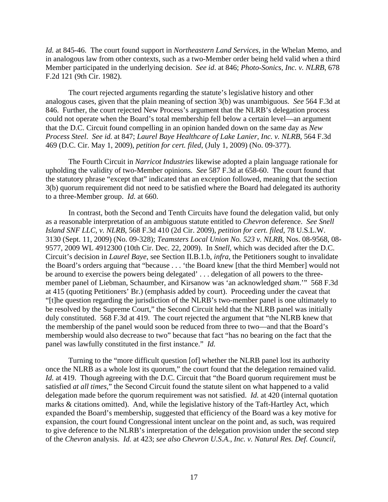*Id.* at 845-46. The court found support in *Northeastern Land Services*, in the Whelan Memo, and in analogous law from other contexts, such as a two-Member order being held valid when a third Member participated in the underlying decision. *See id*. at 846; *Photo-Sonics, Inc. v. NLRB*, 678 F.2d 121 (9th Cir. 1982).

The court rejected arguments regarding the statute's legislative history and other analogous cases, given that the plain meaning of section 3(b) was unambiguous. *See* 564 F.3d at 846. Further, the court rejected New Process's argument that the NLRB's delegation process could not operate when the Board's total membership fell below a certain level—an argument that the D.C. Circuit found compelling in an opinion handed down on the same day as *New Process Steel*. *See id.* at 847; *Laurel Baye Healthcare of Lake Lanier, Inc. v. NLRB*, 564 F.3d 469 (D.C. Cir. May 1, 2009), *petition for cert. filed*, (July 1, 2009) (No. 09-377).

The Fourth Circuit in *Narricot Industries* likewise adopted a plain language rationale for upholding the validity of two-Member opinions. *See* 587 F.3d at 658-60. The court found that the statutory phrase "except that" indicated that an exception followed, meaning that the section 3(b) quorum requirement did not need to be satisfied where the Board had delegated its authority to a three-Member group. *Id.* at 660.

In contrast, both the Second and Tenth Circuits have found the delegation valid, but only as a reasonable interpretation of an ambiguous statute entitled to *Chevron* deference. *See Snell Island SNF LLC, v. NLRB*, 568 F.3d 410 (2d Cir. 2009), *petition for cert. filed*, 78 U.S.L.W. 3130 (Sept. 11, 2009) (No. 09-328); *Teamsters Local Union No. 523 v. NLRB*, Nos. 08-9568, 08- 9577, 2009 WL 4912300 (10th Cir. Dec. 22, 2009). In *Snell*, which was decided after the D.C. Circuit's decision in *Laurel Baye*, see Section II.B.1.b, *infra*, the Petitioners sought to invalidate the Board's orders arguing that "because . . . 'the Board knew [that the third Member] would not be around to exercise the powers being delegated' . . . delegation of all powers to the threemember panel of Liebman, Schaumber, and Kirsanow was 'an acknowledged *sham*.'" 568 F.3d at 415 (quoting Petitioners' Br.) (emphasis added by court). Proceeding under the caveat that "[t]he question regarding the jurisdiction of the NLRB's two-member panel is one ultimately to be resolved by the Supreme Court," the Second Circuit held that the NLRB panel was initially duly constituted. 568 F.3d at 419. The court rejected the argument that "the NLRB knew that the membership of the panel would soon be reduced from three to two—and that the Board's membership would also decrease to two" because that fact "has no bearing on the fact that the panel was lawfully constituted in the first instance." *Id.*

Turning to the "more difficult question [of] whether the NLRB panel lost its authority once the NLRB as a whole lost its quorum," the court found that the delegation remained valid. *Id.* at 419. Though agreeing with the D.C. Circuit that "the Board quorum requirement must be satisfied *at all times*," the Second Circuit found the statute silent on what happened to a valid delegation made before the quorum requirement was not satisfied. *Id.* at 420 (internal quotation marks & citations omitted). And, while the legislative history of the Taft-Hartley Act, which expanded the Board's membership, suggested that efficiency of the Board was a key motive for expansion, the court found Congressional intent unclear on the point and, as such, was required to give deference to the NLRB's interpretation of the delegation provision under the second step of the *Chevron* analysis. *Id.* at 423; *see also Chevron U.S.A., Inc. v. Natural Res. Def. Council,*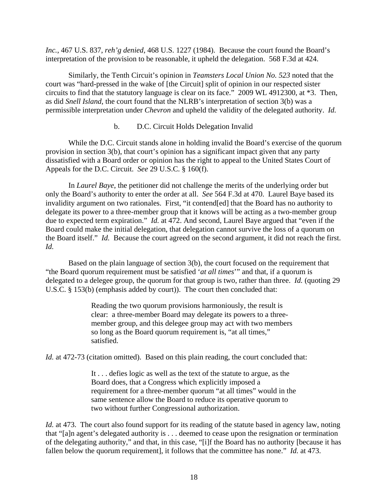*Inc.*, 467 U.S. 837, *reh'g denied*, 468 U.S. 1227 (1984). Because the court found the Board's interpretation of the provision to be reasonable, it upheld the delegation. 568 F.3d at 424.

Similarly, the Tenth Circuit's opinion in *Teamsters Local Union No. 523* noted that the court was "hard-pressed in the wake of [the Circuit] split of opinion in our respected sister circuits to find that the statutory language is clear on its face." 2009 WL 4912300, at \*3. Then, as did *Snell Island*, the court found that the NLRB's interpretation of section 3(b) was a permissible interpretation under *Chevron* and upheld the validity of the delegated authority. *Id.*

### b. D.C. Circuit Holds Delegation Invalid

While the D.C. Circuit stands alone in holding invalid the Board's exercise of the quorum provision in section 3(b), that court's opinion has a significant impact given that any party dissatisfied with a Board order or opinion has the right to appeal to the United States Court of Appeals for the D.C. Circuit. *See* 29 U.S.C. § 160(f).

In *Laurel Baye*, the petitioner did not challenge the merits of the underlying order but only the Board's authority to enter the order at all. *See* 564 F.3d at 470. Laurel Baye based its invalidity argument on two rationales. First, "it contend[ed] that the Board has no authority to delegate its power to a three-member group that it knows will be acting as a two-member group due to expected term expiration." *Id.* at 472. And second, Laurel Baye argued that "even if the Board could make the initial delegation, that delegation cannot survive the loss of a quorum on the Board itself." *Id.* Because the court agreed on the second argument, it did not reach the first. *Id.*

Based on the plain language of section 3(b), the court focused on the requirement that "the Board quorum requirement must be satisfied '*at all times*'" and that, if a quorum is delegated to a delegee group, the quorum for that group is two, rather than three. *Id.* (quoting 29 U.S.C. § 153(b) (emphasis added by court)). The court then concluded that:

> Reading the two quorum provisions harmoniously, the result is clear: a three-member Board may delegate its powers to a threemember group, and this delegee group may act with two members so long as the Board quorum requirement is, "at all times," satisfied.

*Id.* at 472-73 (citation omitted). Based on this plain reading, the court concluded that:

It . . . defies logic as well as the text of the statute to argue, as the Board does, that a Congress which explicitly imposed a requirement for a three-member quorum "at all times" would in the same sentence allow the Board to reduce its operative quorum to two without further Congressional authorization.

*Id.* at 473. The court also found support for its reading of the statute based in agency law, noting that "[a]n agent's delegated authority is . . . deemed to cease upon the resignation or termination of the delegating authority," and that, in this case, "[i]f the Board has no authority [because it has fallen below the quorum requirement], it follows that the committee has none." *Id.* at 473.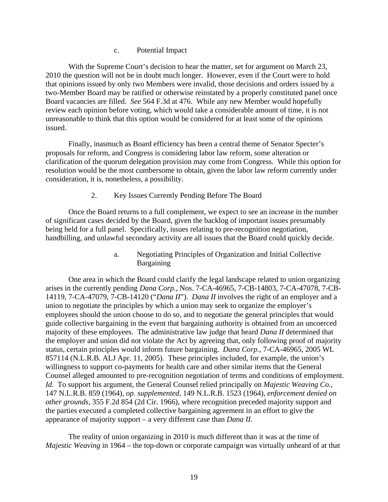#### c. Potential Impact

With the Supreme Court's decision to hear the matter, set for argument on March 23, 2010 the question will not be in doubt much longer. However, even if the Court were to hold that opinions issued by only two Members were invalid, those decisions and orders issued by a two-Member Board may be ratified or otherwise reinstated by a properly constituted panel once Board vacancies are filled. *See* 564 F.3d at 476. While any new Member would hopefully review each opinion before voting, which would take a considerable amount of time, it is not unreasonable to think that this option would be considered for at least some of the opinions issued.

Finally, inasmuch as Board efficiency has been a central theme of Senator Specter's proposals for reform, and Congress is considering labor law reform, some alteration or clarification of the quorum delegation provision may come from Congress. While this option for resolution would be the most cumbersome to obtain, given the labor law reform currently under consideration, it is, nonetheless, a possibility.

### 2. Key Issues Currently Pending Before The Board

Once the Board returns to a full complement, we expect to see an increase in the number of significant cases decided by the Board, given the backlog of important issues presumably being held for a full panel. Specifically, issues relating to pre-recognition negotiation, handbilling, and unlawful secondary activity are all issues that the Board could quickly decide.

> a. Negotiating Principles of Organization and Initial Collective Bargaining

One area in which the Board could clarify the legal landscape related to union organizing arises in the currently pending *Dana Corp.*, Nos. 7-CA-46965, 7-CB-14803, 7-CA-47078, 7-CB-14119, 7-CA-47079, 7-CB-14120 ("*Dana II*"). *Dana II* involves the right of an employer and a union to negotiate the principles by which a union may seek to organize the employer's employees should the union choose to do so, and to negotiate the general principles that would guide collective bargaining in the event that bargaining authority is obtained from an uncoerced majority of these employees. The administrative law judge that heard *Dana II* determined that the employer and union did not violate the Act by agreeing that, only following proof of majority status, certain principles would inform future bargaining. *Dana Corp.*, 7-CA-46965, 2005 WL 857114 (N.L.R.B. ALJ Apr. 11, 2005). These principles included, for example, the union's willingness to support co-payments for health care and other similar items that the General Counsel alleged amounted to pre-recognition negotiation of terms and conditions of employment. *Id.* To support his argument, the General Counsel relied principally on *Majestic Weaving Co.*, 147 N.L.R.B. 859 (1964), *op. supplemented*, 149 N.L.R.B. 1523 (1964), *enforcement denied on other grounds*, 355 F.2d 854 (2d Cir. 1966), where recognition preceded majority support and the parties executed a completed collective bargaining agreement in an effort to give the appearance of majority support – a very different case than *Dana II*.

The reality of union organizing in 2010 is much different than it was at the time of *Majestic Weaving* in 1964 – the top-down or corporate campaign was virtually unheard of at that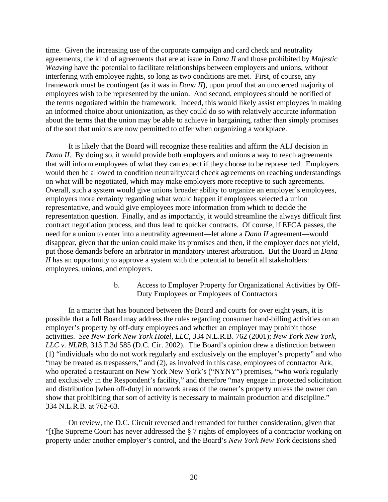time. Given the increasing use of the corporate campaign and card check and neutrality agreements, the kind of agreements that are at issue in *Dana II* and those prohibited by *Majestic Weaving* have the potential to facilitate relationships between employers and unions, without interfering with employee rights, so long as two conditions are met. First, of course, any framework must be contingent (as it was in *Dana II*), upon proof that an uncoerced majority of employees wish to be represented by the union. And second, employees should be notified of the terms negotiated within the framework. Indeed, this would likely assist employees in making an informed choice about unionization, as they could do so with relatively accurate information about the terms that the union may be able to achieve in bargaining, rather than simply promises of the sort that unions are now permitted to offer when organizing a workplace.

It is likely that the Board will recognize these realities and affirm the ALJ decision in *Dana II.* By doing so, it would provide both employers and unions a way to reach agreements that will inform employees of what they can expect if they choose to be represented. Employers would then be allowed to condition neutrality/card check agreements on reaching understandings on what will be negotiated, which may make employers more receptive to such agreements. Overall, such a system would give unions broader ability to organize an employer's employees, employers more certainty regarding what would happen if employees selected a union representative, and would give employees more information from which to decide the representation question. Finally, and as importantly, it would streamline the always difficult first contract negotiation process, and thus lead to quicker contracts. Of course, if EFCA passes, the need for a union to enter into a neutrality agreement—let alone a *Dana II* agreement—would disappear, given that the union could make its promises and then, if the employer does not yield, put those demands before an arbitrator in mandatory interest arbitration. But the Board in *Dana II* has an opportunity to approve a system with the potential to benefit all stakeholders: employees, unions, and employers.

> b. Access to Employer Property for Organizational Activities by Off-Duty Employees or Employees of Contractors

In a matter that has bounced between the Board and courts for over eight years, it is possible that a full Board may address the rules regarding consumer hand-billing activities on an employer's property by off-duty employees and whether an employer may prohibit those activities. *See New York New York Hotel, LLC*, 334 N.L.R.B. 762 (2001); *New York New York, LLC v. NLRB*, 313 F.3d 585 (D.C. Cir. 2002). The Board's opinion drew a distinction between (1) "individuals who do not work regularly and exclusively on the employer's property" and who "may be treated as trespassers," and (2), as involved in this case, employees of contractor Ark, who operated a restaurant on New York New York's ("NYNY") premises, "who work regularly and exclusively in the Respondent's facility," and therefore "may engage in protected solicitation and distribution [when off-duty] in nonwork areas of the owner's property unless the owner can show that prohibiting that sort of activity is necessary to maintain production and discipline." 334 N.L.R.B. at 762-63.

On review, the D.C. Circuit reversed and remanded for further consideration, given that "[t]he Supreme Court has never addressed the § 7 rights of employees of a contractor working on property under another employer's control, and the Board's *New York New York* decisions shed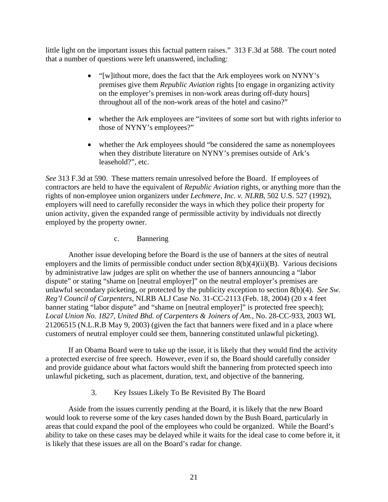little light on the important issues this factual pattern raises." 313 F.3d at 588. The court noted that a number of questions were left unanswered, including:

- "[w]ithout more, does the fact that the Ark employees work on NYNY's premises give them *Republic Aviation* rights [to engage in organizing activity on the employer's premises in non-work areas during off-duty hours] throughout all of the non-work areas of the hotel and casino?"
- whether the Ark employees are "invitees of some sort but with rights inferior to those of NYNY's employees?"
- whether the Ark employees should "be considered the same as nonemployees when they distribute literature on NYNY's premises outside of Ark's leasehold?", etc.

*See* 313 F.3d at 590. These matters remain unresolved before the Board. If employees of contractors are held to have the equivalent of *Republic Aviation* rights, or anything more than the rights of non-employee union organizers under *Lechmere, Inc. v. NLRB*, 502 U.S. 527 (1992), employers will need to carefully reconsider the ways in which they police their property for union activity, given the expanded range of permissible activity by individuals not directly employed by the property owner.

### c. Bannering

Another issue developing before the Board is the use of banners at the sites of neutral employers and the limits of permissible conduct under section 8(b)(4)(ii)(B). Various decisions by administrative law judges are split on whether the use of banners announcing a "labor dispute" or stating "shame on [neutral employer]" on the neutral employer's premises are unlawful secondary picketing, or protected by the publicity exception to section 8(b)(4). *See Sw. Reg'l Council of Carpenters*, NLRB ALJ Case No. 31-CC-2113 (Feb. 18, 2004) (20 x 4 feet banner stating "labor dispute" and "shame on [neutral employer]" is protected free speech); *Local Union No. 1827, United Bhd. of Carpenters & Joiners of Am.*, No. 28-CC-933, 2003 WL 21206515 (N.L.R.B May 9, 2003) (given the fact that banners were fixed and in a place where customers of neutral employer could see them, bannering constituted unlawful picketing).

If an Obama Board were to take up the issue, it is likely that they would find the activity a protected exercise of free speech. However, even if so, the Board should carefully consider and provide guidance about what factors would shift the bannering from protected speech into unlawful picketing, such as placement, duration, text, and objective of the bannering.

### 3. Key Issues Likely To Be Revisited By The Board

Aside from the issues currently pending at the Board, it is likely that the new Board would look to reverse some of the key cases handed down by the Bush Board, particularly in areas that could expand the pool of the employees who could be organized. While the Board's ability to take on these cases may be delayed while it waits for the ideal case to come before it, it is likely that these issues are all on the Board's radar for change.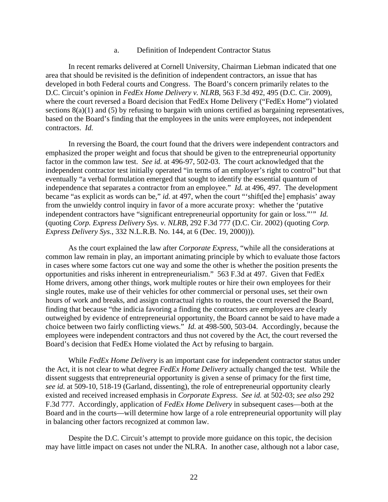#### a. Definition of Independent Contractor Status

In recent remarks delivered at Cornell University, Chairman Liebman indicated that one area that should be revisited is the definition of independent contractors, an issue that has developed in both Federal courts and Congress. The Board's concern primarily relates to the D.C. Circuit's opinion in *FedEx Home Delivery v. NLRB*, 563 F.3d 492, 495 (D.C. Cir. 2009), where the court reversed a Board decision that FedEx Home Delivery ("FedEx Home") violated sections 8(a)(1) and (5) by refusing to bargain with unions certified as bargaining representatives, based on the Board's finding that the employees in the units were employees, not independent contractors. *Id.*

In reversing the Board, the court found that the drivers were independent contractors and emphasized the proper weight and focus that should be given to the entrepreneurial opportunity factor in the common law test. *See id.* at 496-97, 502-03. The court acknowledged that the independent contractor test initially operated "in terms of an employer's right to control" but that eventually "a verbal formulation emerged that sought to identify the essential quantum of independence that separates a contractor from an employee." *Id.* at 496, 497. The development became "as explicit as words can be," *id.* at 497, when the court "'shift[ed the] emphasis' away from the unwieldy control inquiry in favor of a more accurate proxy: whether the 'putative independent contractors have "significant entrepreneurial opportunity for gain or loss."'" *Id.* (quoting *Corp. Express Delivery Sys. v. NLRB*, 292 F.3d 777 (D.C. Cir. 2002) (quoting *Corp. Express Delivery Sys.*, 332 N.L.R.B. No. 144, at 6 (Dec. 19, 2000))).

As the court explained the law after *Corporate Express*, "while all the considerations at common law remain in play, an important animating principle by which to evaluate those factors in cases where some factors cut one way and some the other is whether the position presents the opportunities and risks inherent in entrepreneurialism." 563 F.3d at 497. Given that FedEx Home drivers, among other things, work multiple routes or hire their own employees for their single routes, make use of their vehicles for other commercial or personal uses, set their own hours of work and breaks, and assign contractual rights to routes, the court reversed the Board, finding that because "the indicia favoring a finding the contractors are employees are clearly outweighed by evidence of entrepreneurial opportunity, the Board cannot be said to have made a choice between two fairly conflicting views." *Id.* at 498-500, 503-04. Accordingly, because the employees were independent contractors and thus not covered by the Act, the court reversed the Board's decision that FedEx Home violated the Act by refusing to bargain.

While *FedEx Home Delivery* is an important case for independent contractor status under the Act, it is not clear to what degree *FedEx Home Delivery* actually changed the test. While the dissent suggests that entrepreneurial opportunity is given a sense of primacy for the first time, *see id.* at 509-10, 518-19 (Garland, dissenting), the role of entrepreneurial opportunity clearly existed and received increased emphasis in *Corporate Express*. *See id.* at 502-03; *see also* 292 F.3d 777. Accordingly, application of *FedEx Home Delivery* in subsequent cases—both at the Board and in the courts—will determine how large of a role entrepreneurial opportunity will play in balancing other factors recognized at common law.

Despite the D.C. Circuit's attempt to provide more guidance on this topic, the decision may have little impact on cases not under the NLRA. In another case, although not a labor case,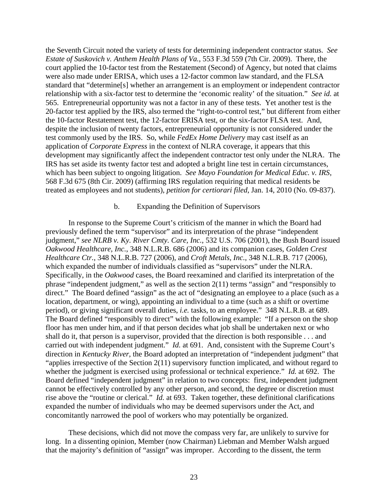the Seventh Circuit noted the variety of tests for determining independent contractor status. *See Estate of Suskovich v. Anthem Health Plans of Va.*, 553 F.3d 559 (7th Cir. 2009). There, the court applied the 10-factor test from the Restatement (Second) of Agency, but noted that claims were also made under ERISA, which uses a 12-factor common law standard, and the FLSA standard that "determine[s] whether an arrangement is an employment or independent contractor relationship with a six-factor test to determine the 'economic reality' of the situation." *See id.* at 565. Entrepreneurial opportunity was not a factor in any of these tests. Yet another test is the 20-factor test applied by the IRS, also termed the "right-to-control test," but different from either the 10-factor Restatement test, the 12-factor ERISA test, or the six-factor FLSA test. And, despite the inclusion of twenty factors, entrepreneurial opportunity is not considered under the test commonly used by the IRS. So, while *FedEx Home Delivery* may cast itself as an application of *Corporate Express* in the context of NLRA coverage, it appears that this development may significantly affect the independent contractor test only under the NLRA. The IRS has set aside its twenty factor test and adopted a bright line test in certain circumstances, which has been subject to ongoing litigation. *See Mayo Foundation for Medical Educ. v. IRS*, 568 F.3d 675 (8th Cir. 2009) (affirming IRS regulation requiring that medical residents be treated as employees and not students), *petition for certiorari filed*, Jan. 14, 2010 (No. 09-837).

### b. Expanding the Definition of Supervisors

In response to the Supreme Court's criticism of the manner in which the Board had previously defined the term "supervisor" and its interpretation of the phrase "independent judgment," *see NLRB v. Ky. River Cmty. Care, Inc.*, 532 U.S. 706 (2001), the Bush Board issued *Oakwood Healthcare, Inc.*, 348 N.L.R.B. 686 (2006) and its companion cases, *Golden Crest Healthcare Ctr.*, 348 N.L.R.B. 727 (2006), and *Croft Metals, Inc.*, 348 N.L.R.B. 717 (2006), which expanded the number of individuals classified as "supervisors" under the NLRA. Specifically, in the *Oakwood* cases, the Board reexamined and clarified its interpretation of the phrase "independent judgment," as well as the section 2(11) terms "assign" and "responsibly to direct." The Board defined "assign" as the act of "designating an employee to a place (such as a location, department, or wing), appointing an individual to a time (such as a shift or overtime period), or giving significant overall duties, *i.e.* tasks, to an employee." 348 N.L.R.B. at 689. The Board defined "responsibly to direct" with the following example: "If a person on the shop floor has men under him, and if that person decides what job shall be undertaken next or who shall do it, that person is a supervisor, provided that the direction is both responsible . . . and carried out with independent judgment." *Id.* at 691. And, consistent with the Supreme Court's direction in *Kentucky River*, the Board adopted an interpretation of "independent judgment" that "applies irrespective of the Section 2(11) supervisory function implicated, and without regard to whether the judgment is exercised using professional or technical experience." *Id.* at 692. The Board defined "independent judgment" in relation to two concepts: first, independent judgment cannot be effectively controlled by any other person, and second, the degree or discretion must rise above the "routine or clerical." *Id.* at 693. Taken together, these definitional clarifications expanded the number of individuals who may be deemed supervisors under the Act, and concomitantly narrowed the pool of workers who may potentially be organized.

These decisions, which did not move the compass very far, are unlikely to survive for long. In a dissenting opinion, Member (now Chairman) Liebman and Member Walsh argued that the majority's definition of "assign" was improper. According to the dissent, the term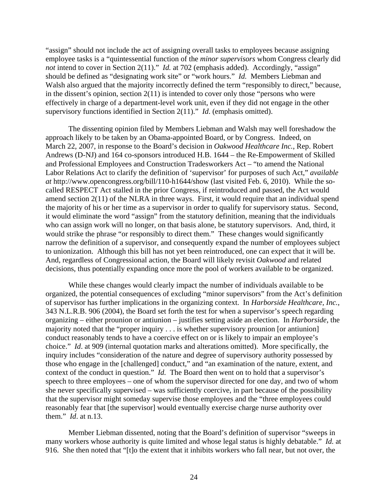"assign" should not include the act of assigning overall tasks to employees because assigning employee tasks is a "quintessential function of the *minor supervisors* whom Congress clearly did *not* intend to cover in Section 2(11)." *Id.* at 702 (emphasis added). Accordingly, "assign" should be defined as "designating work site" or "work hours." *Id.* Members Liebman and Walsh also argued that the majority incorrectly defined the term "responsibly to direct," because, in the dissent's opinion, section  $2(11)$  is intended to cover only those "persons who were effectively in charge of a department-level work unit, even if they did not engage in the other supervisory functions identified in Section 2(11)." *Id*. (emphasis omitted).

The dissenting opinion filed by Members Liebman and Walsh may well foreshadow the approach likely to be taken by an Obama-appointed Board, or by Congress. Indeed, on March 22, 2007, in response to the Board's decision in *Oakwood Healthcare Inc.*, Rep. Robert Andrews (D-NJ) and 164 co-sponsors introduced H.B. 1644 – the Re-Empowerment of Skilled and Professional Employees and Construction Tradesworkers Act – "to amend the National Labor Relations Act to clarify the definition of 'supervisor' for purposes of such Act," *available at* http://www.opencongress.org/bill/110-h1644/show (last visited Feb. 6, 2010). While the socalled RESPECT Act stalled in the prior Congress, if reintroduced and passed, the Act would amend section 2(11) of the NLRA in three ways. First, it would require that an individual spend the majority of his or her time as a supervisor in order to qualify for supervisory status. Second, it would eliminate the word "assign" from the statutory definition, meaning that the individuals who can assign work will no longer, on that basis alone, be statutory supervisors. And, third, it would strike the phrase "or responsibly to direct them." These changes would significantly narrow the definition of a supervisor, and consequently expand the number of employees subject to unionization. Although this bill has not yet been reintroduced, one can expect that it will be. And, regardless of Congressional action, the Board will likely revisit *Oakwood* and related decisions, thus potentially expanding once more the pool of workers available to be organized.

While these changes would clearly impact the number of individuals available to be organized, the potential consequences of excluding "minor supervisors" from the Act's definition of supervisor has further implications in the organizing context. In *Harborside Healthcare, Inc.*, 343 N.L.R.B. 906 (2004), the Board set forth the test for when a supervisor's speech regarding organizing – either prounion or antiunion – justifies setting aside an election. In *Harborside*, the majority noted that the "proper inquiry . . . is whether supervisory prounion [or antiunion] conduct reasonably tends to have a coercive effect on or is likely to impair an employee's choice." *Id*. at 909 (internal quotation marks and alterations omitted). More specifically, the inquiry includes "consideration of the nature and degree of supervisory authority possessed by those who engage in the [challenged] conduct," and "an examination of the nature, extent, and context of the conduct in question." *Id.* The Board then went on to hold that a supervisor's speech to three employees – one of whom the supervisor directed for one day, and two of whom she never specifically supervised – was sufficiently coercive, in part because of the possibility that the supervisor might someday supervise those employees and the "three employees could reasonably fear that [the supervisor] would eventually exercise charge nurse authority over them." *Id*. at n.13.

Member Liebman dissented, noting that the Board's definition of supervisor "sweeps in many workers whose authority is quite limited and whose legal status is highly debatable." *Id.* at 916. She then noted that "[t]o the extent that it inhibits workers who fall near, but not over, the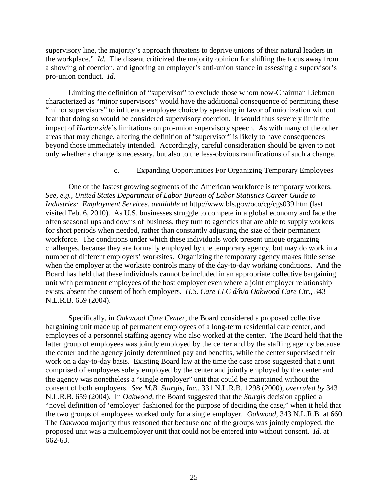supervisory line, the majority's approach threatens to deprive unions of their natural leaders in the workplace." *Id.* The dissent criticized the majority opinion for shifting the focus away from a showing of coercion, and ignoring an employer's anti-union stance in assessing a supervisor's pro-union conduct. *Id.*

Limiting the definition of "supervisor" to exclude those whom now-Chairman Liebman characterized as "minor supervisors" would have the additional consequence of permitting these "minor supervisors" to influence employee choice by speaking in favor of unionization without fear that doing so would be considered supervisory coercion. It would thus severely limit the impact of *Harborside*'s limitations on pro-union supervisory speech. As with many of the other areas that may change, altering the definition of "supervisor" is likely to have consequences beyond those immediately intended. Accordingly, careful consideration should be given to not only whether a change is necessary, but also to the less-obvious ramifications of such a change.

## c. Expanding Opportunities For Organizing Temporary Employees

One of the fastest growing segments of the American workforce is temporary workers. *See, e.g.*, *United States Department of Labor Bureau of Labor Statistics Career Guide to Industries: Employment Services*, *available at* http://www.bls.gov/oco/cg/cgs039.htm (last visited Feb. 6, 2010). As U.S. businesses struggle to compete in a global economy and face the often seasonal ups and downs of business, they turn to agencies that are able to supply workers for short periods when needed, rather than constantly adjusting the size of their permanent workforce. The conditions under which these individuals work present unique organizing challenges, because they are formally employed by the temporary agency, but may do work in a number of different employers' worksites. Organizing the temporary agency makes little sense when the employer at the worksite controls many of the day-to-day working conditions. And the Board has held that these individuals cannot be included in an appropriate collective bargaining unit with permanent employees of the host employer even where a joint employer relationship exists, absent the consent of both employers. *H.S. Care LLC d/b/a Oakwood Care Ctr.*, 343 N.L.R.B. 659 (2004).

 Specifically, in *Oakwood Care Center*, the Board considered a proposed collective bargaining unit made up of permanent employees of a long-term residential care center, and employees of a personnel staffing agency who also worked at the center. The Board held that the latter group of employees was jointly employed by the center and by the staffing agency because the center and the agency jointly determined pay and benefits, while the center supervised their work on a day-to-day basis. Existing Board law at the time the case arose suggested that a unit comprised of employees solely employed by the center and jointly employed by the center and the agency was nonetheless a "single employer" unit that could be maintained without the consent of both employers. *See M.B. Sturgis, Inc.*, 331 N.L.R.B. 1298 (2000), *overruled by* 343 N.L.R.B. 659 (2004). In *Oakwood*, the Board suggested that the *Sturgis* decision applied a "novel definition of 'employer' fashioned for the purpose of deciding the case," when it held that the two groups of employees worked only for a single employer. *Oakwood*, 343 N.L.R.B. at 660. The *Oakwood* majority thus reasoned that because one of the groups was jointly employed, the proposed unit was a multiemployer unit that could not be entered into without consent. *Id.* at 662-63.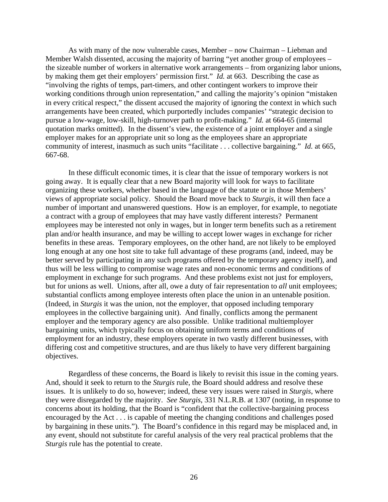As with many of the now vulnerable cases, Member – now Chairman – Liebman and Member Walsh dissented, accusing the majority of barring "yet another group of employees – the sizeable number of workers in alternative work arrangements – from organizing labor unions, by making them get their employers' permission first." *Id.* at 663. Describing the case as "involving the rights of temps, part-timers, and other contingent workers to improve their working conditions through union representation," and calling the majority's opinion "mistaken in every critical respect," the dissent accused the majority of ignoring the context in which such arrangements have been created, which purportedly includes companies' "strategic decision to pursue a low-wage, low-skill, high-turnover path to profit-making." *Id.* at 664-65 (internal quotation marks omitted). In the dissent's view, the existence of a joint employer and a single employer makes for an appropriate unit so long as the employees share an appropriate community of interest, inasmuch as such units "facilitate . . . collective bargaining." *Id.* at 665, 667-68.

 In these difficult economic times, it is clear that the issue of temporary workers is not going away. It is equally clear that a new Board majority will look for ways to facilitate organizing these workers, whether based in the language of the statute or in those Members' views of appropriate social policy. Should the Board move back to *Sturgis*, it will then face a number of important and unanswered questions. How is an employer, for example, to negotiate a contract with a group of employees that may have vastly different interests? Permanent employees may be interested not only in wages, but in longer term benefits such as a retirement plan and/or health insurance, and may be willing to accept lower wages in exchange for richer benefits in these areas. Temporary employees, on the other hand, are not likely to be employed long enough at any one host site to take full advantage of these programs (and, indeed, may be better served by participating in any such programs offered by the temporary agency itself), and thus will be less willing to compromise wage rates and non-economic terms and conditions of employment in exchange for such programs. And these problems exist not just for employers, but for unions as well. Unions, after all, owe a duty of fair representation to *all* unit employees; substantial conflicts among employee interests often place the union in an untenable position. (Indeed, in *Sturgis* it was the union, not the employer, that opposed including temporary employees in the collective bargaining unit). And finally, conflicts among the permanent employer and the temporary agency are also possible. Unlike traditional multiemployer bargaining units, which typically focus on obtaining uniform terms and conditions of employment for an industry, these employers operate in two vastly different businesses, with differing cost and competitive structures, and are thus likely to have very different bargaining objectives.

 Regardless of these concerns, the Board is likely to revisit this issue in the coming years. And, should it seek to return to the *Sturgis* rule, the Board should address and resolve these issues. It is unlikely to do so, however; indeed, these very issues were raised in *Sturgis*, where they were disregarded by the majority. *See Sturgis*, 331 N.L.R.B. at 1307 (noting, in response to concerns about its holding, that the Board is "confident that the collective-bargaining process encouraged by the Act . . . is capable of meeting the changing conditions and challenges posed by bargaining in these units."). The Board's confidence in this regard may be misplaced and, in any event, should not substitute for careful analysis of the very real practical problems that the *Sturgis* rule has the potential to create.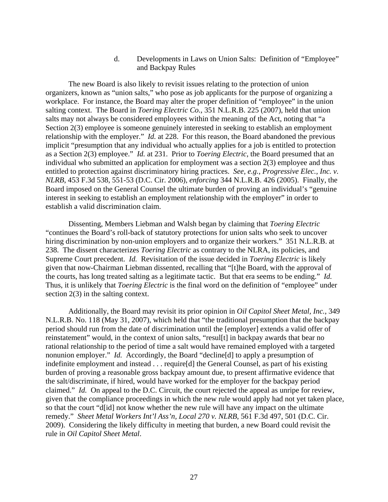## d. Developments in Laws on Union Salts: Definition of "Employee" and Backpay Rules

The new Board is also likely to revisit issues relating to the protection of union organizers, known as "union salts," who pose as job applicants for the purpose of organizing a workplace. For instance, the Board may alter the proper definition of "employee" in the union salting context. The Board in *Toering Electric Co.*, 351 N.L.R.B. 225 (2007), held that union salts may not always be considered employees within the meaning of the Act, noting that "a Section 2(3) employee is someone genuinely interested in seeking to establish an employment relationship with the employer." *Id.* at 228. For this reason, the Board abandoned the previous implicit "presumption that any individual who actually applies for a job is entitled to protection as a Section 2(3) employee." *Id.* at 231. Prior to *Toering Electric*, the Board presumed that an individual who submitted an application for employment was a section 2(3) employee and thus entitled to protection against discriminatory hiring practices. *See, e.g.*, *Progressive Elec., Inc. v. NLRB*, 453 F.3d 538, 551-53 (D.C. Cir. 2006), *enforcing* 344 N.L.R.B. 426 (2005). Finally, the Board imposed on the General Counsel the ultimate burden of proving an individual's "genuine interest in seeking to establish an employment relationship with the employer" in order to establish a valid discrimination claim.

Dissenting, Members Liebman and Walsh began by claiming that *Toering Electric*  "continues the Board's roll-back of statutory protections for union salts who seek to uncover hiring discrimination by non-union employers and to organize their workers." 351 N.L.R.B. at 238. The dissent characterizes *Toering Electric* as contrary to the NLRA, its policies, and Supreme Court precedent. *Id.* Revisitation of the issue decided in *Toering Electric* is likely given that now-Chairman Liebman dissented, recalling that "[t]he Board, with the approval of the courts, has long treated salting as a legitimate tactic. But that era seems to be ending." *Id.* Thus, it is unlikely that *Toering Electric* is the final word on the definition of "employee" under section 2(3) in the salting context.

Additionally, the Board may revisit its prior opinion in *Oil Capitol Sheet Metal, Inc.*, 349 N.L.R.B. No. 118 (May 31, 2007), which held that "the traditional presumption that the backpay period should run from the date of discrimination until the [employer] extends a valid offer of reinstatement" would, in the context of union salts, "resul[t] in backpay awards that bear no rational relationship to the period of time a salt would have remained employed with a targeted nonunion employer." *Id.* Accordingly, the Board "decline[d] to apply a presumption of indefinite employment and instead . . . require[d] the General Counsel, as part of his existing burden of proving a reasonable gross backpay amount due, to present affirmative evidence that the salt/discriminate, if hired, would have worked for the employer for the backpay period claimed." *Id.* On appeal to the D.C. Circuit, the court rejected the appeal as unripe for review, given that the compliance proceedings in which the new rule would apply had not yet taken place, so that the court "d[id] not know whether the new rule will have any impact on the ultimate remedy." *Sheet Metal Workers Int'l Ass'n, Local 270 v. NLRB*, 561 F.3d 497, 501 (D.C. Cir. 2009). Considering the likely difficulty in meeting that burden, a new Board could revisit the rule in *Oil Capitol Sheet Metal*.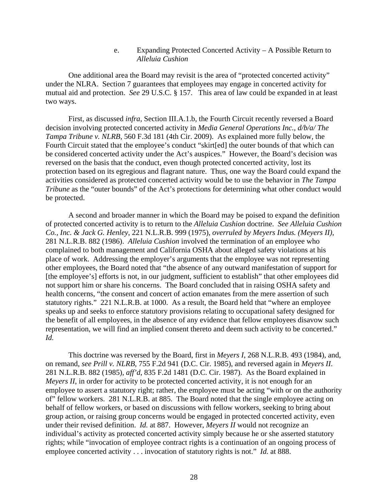e. Expanding Protected Concerted Activity – A Possible Return to *Alleluia Cushion*

One additional area the Board may revisit is the area of "protected concerted activity" under the NLRA. Section 7 guarantees that employees may engage in concerted activity for mutual aid and protection. *See* 29 U.S.C. § 157. This area of law could be expanded in at least two ways.

First, as discussed *infra*, Section III.A.1.b, the Fourth Circuit recently reversed a Board decision involving protected concerted activity in *Media General Operations Inc., d/b/a/ The Tampa Tribune v. NLRB*, 560 F.3d 181 (4th Cir. 2009). As explained more fully below, the Fourth Circuit stated that the employee's conduct "skirt[ed] the outer bounds of that which can be considered concerted activity under the Act's auspices." However, the Board's decision was reversed on the basis that the conduct, even though protected concerted activity, lost its protection based on its egregious and flagrant nature. Thus, one way the Board could expand the activities considered as protected concerted activity would be to use the behavior in *The Tampa Tribune* as the "outer bounds" of the Act's protections for determining what other conduct would be protected.

A second and broader manner in which the Board may be poised to expand the definition of protected concerted activity is to return to the *Alleluia Cushion* doctrine. *See Alleluia Cushion Co., Inc. & Jack G. Henley*, 221 N.L.R.B. 999 (1975), *overruled by Meyers Indus. (Meyers II)*, 281 N.L.R.B. 882 (1986). *Alleluia Cushion* involved the termination of an employee who complained to both management and California OSHA about alleged safety violations at his place of work. Addressing the employer's arguments that the employee was not representing other employees, the Board noted that "the absence of any outward manifestation of support for [the employee's] efforts is not, in our judgment, sufficient to establish" that other employees did not support him or share his concerns. The Board concluded that in raising OSHA safety and health concerns, "the consent and concert of action emanates from the mere assertion of such statutory rights." 221 N.L.R.B. at 1000. As a result, the Board held that "where an employee speaks up and seeks to enforce statutory provisions relating to occupational safety designed for the benefit of all employees, in the absence of any evidence that fellow employees disavow such representation, we will find an implied consent thereto and deem such activity to be concerted." *Id.*

This doctrine was reversed by the Board, first in *Meyers I*, 268 N.L.R.B. 493 (1984), and, on remand, *see Prill v. NLRB*, 755 F.2d 941 (D.C. Cir. 1985), and reversed again in *Meyers II*. 281 N.L.R.B. 882 (1985), *aff'd*, 835 F.2d 1481 (D.C. Cir. 1987). As the Board explained in *Meyers II*, in order for activity to be protected concerted activity, it is not enough for an employee to assert a statutory right; rather, the employee must be acting "with or on the authority of" fellow workers. 281 N.L.R.B. at 885. The Board noted that the single employee acting on behalf of fellow workers, or based on discussions with fellow workers, seeking to bring about group action, or raising group concerns would be engaged in protected concerted activity, even under their revised definition. *Id.* at 887. However, *Meyers II* would not recognize an individual's activity as protected concerted activity simply because he or she asserted statutory rights; while "invocation of employee contract rights is a continuation of an ongoing process of employee concerted activity . . . invocation of statutory rights is not." *Id.* at 888.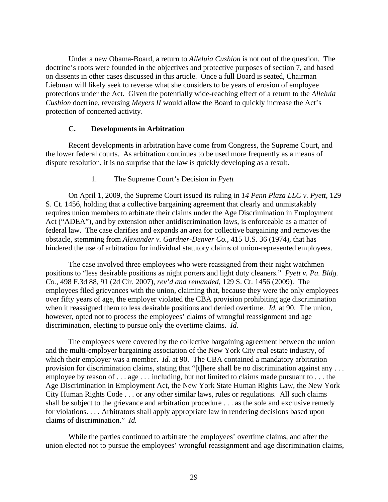Under a new Obama-Board, a return to *Alleluia Cushion* is not out of the question. The doctrine's roots were founded in the objectives and protective purposes of section 7, and based on dissents in other cases discussed in this article. Once a full Board is seated, Chairman Liebman will likely seek to reverse what she considers to be years of erosion of employee protections under the Act. Given the potentially wide-reaching effect of a return to the *Alleluia Cushion* doctrine, reversing *Meyers II* would allow the Board to quickly increase the Act's protection of concerted activity.

## **C. Developments in Arbitration**

Recent developments in arbitration have come from Congress, the Supreme Court, and the lower federal courts. As arbitration continues to be used more frequently as a means of dispute resolution, it is no surprise that the law is quickly developing as a result.

## 1. The Supreme Court's Decision in *Pyett*

On April 1, 2009, the Supreme Court issued its ruling in *14 Penn Plaza LLC v. Pyett*, 129 S. Ct. 1456, holding that a collective bargaining agreement that clearly and unmistakably requires union members to arbitrate their claims under the Age Discrimination in Employment Act ("ADEA"), and by extension other antidiscrimination laws, is enforceable as a matter of federal law. The case clarifies and expands an area for collective bargaining and removes the obstacle, stemming from *Alexander v. Gardner-Denver Co.*, 415 U.S. 36 (1974), that has hindered the use of arbitration for individual statutory claims of union-represented employees.

The case involved three employees who were reassigned from their night watchmen positions to "less desirable positions as night porters and light duty cleaners." *Pyett v. Pa. Bldg. Co.*, 498 F.3d 88, 91 (2d Cir. 2007), *rev'd and remanded*, 129 S. Ct. 1456 (2009). The employees filed grievances with the union, claiming that, because they were the only employees over fifty years of age, the employer violated the CBA provision prohibiting age discrimination when it reassigned them to less desirable positions and denied overtime. *Id.* at 90. The union, however, opted not to process the employees' claims of wrongful reassignment and age discrimination, electing to pursue only the overtime claims. *Id.*

The employees were covered by the collective bargaining agreement between the union and the multi-employer bargaining association of the New York City real estate industry, of which their employer was a member. *Id.* at 90. The CBA contained a mandatory arbitration provision for discrimination claims, stating that "[t]here shall be no discrimination against any . . . employee by reason of . . . age . . . including, but not limited to claims made pursuant to . . . the Age Discrimination in Employment Act, the New York State Human Rights Law, the New York City Human Rights Code . . . or any other similar laws, rules or regulations. All such claims shall be subject to the grievance and arbitration procedure . . . as the sole and exclusive remedy for violations. . . . Arbitrators shall apply appropriate law in rendering decisions based upon claims of discrimination." *Id.*

While the parties continued to arbitrate the employees' overtime claims, and after the union elected not to pursue the employees' wrongful reassignment and age discrimination claims,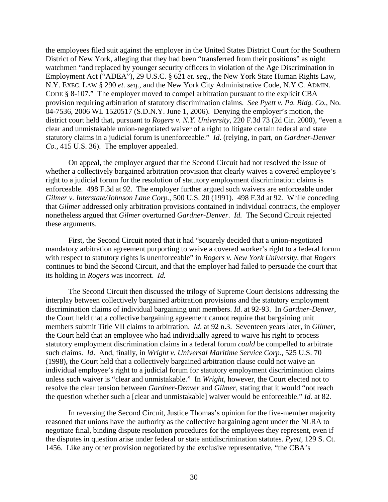the employees filed suit against the employer in the United States District Court for the Southern District of New York, alleging that they had been "transferred from their positions" as night watchmen "and replaced by younger security officers in violation of the Age Discrimination in Employment Act ("ADEA"), 29 U.S.C. § 621 *et. seq.*, the New York State Human Rights Law, N.Y. EXEC. LAW § 290 *et. seq.*, and the New York City Administrative Code, N.Y.C. ADMIN. CODE § 8-107." The employer moved to compel arbitration pursuant to the explicit CBA provision requiring arbitration of statutory discrimination claims. *See Pyett v. Pa. Bldg. Co.*, No. 04-7536, 2006 WL 1520517 (S.D.N.Y. June 1, 2006). Denying the employer's motion, the district court held that, pursuant to *Rogers v. N.Y. University*, 220 F.3d 73 (2d Cir. 2000), "even a clear and unmistakable union-negotiated waiver of a right to litigate certain federal and state statutory claims in a judicial forum is unenforceable." *Id*. (relying, in part, on *Gardner-Denver Co.*, 415 U.S. 36). The employer appealed.

On appeal, the employer argued that the Second Circuit had not resolved the issue of whether a collectively bargained arbitration provision that clearly waives a covered employee's right to a judicial forum for the resolution of statutory employment discrimination claims is enforceable. 498 F.3d at 92. The employer further argued such waivers are enforceable under *Gilmer v. Interstate/Johnson Lane Corp.*, 500 U.S. 20 (1991). 498 F.3d at 92. While conceding that *Gilmer* addressed only arbitration provisions contained in individual contracts, the employer nonetheless argued that *Gilmer* overturned *Gardner-Denver*. *Id.* The Second Circuit rejected these arguments.

First, the Second Circuit noted that it had "squarely decided that a union-negotiated mandatory arbitration agreement purporting to waive a covered worker's right to a federal forum with respect to statutory rights is unenforceable" in *Rogers v. New York University*, that *Rogers* continues to bind the Second Circuit, and that the employer had failed to persuade the court that its holding in *Rogers* was incorrect. *Id.*

The Second Circuit then discussed the trilogy of Supreme Court decisions addressing the interplay between collectively bargained arbitration provisions and the statutory employment discrimination claims of individual bargaining unit members. *Id*. at 92-93. In *Gardner-Denver*, the Court held that a collective bargaining agreement cannot require that bargaining unit members submit Title VII claims to arbitration. *Id*. at 92 n.3. Seventeen years later, in *Gilmer*, the Court held that an employee who had individually agreed to waive his right to process statutory employment discrimination claims in a federal forum *could* be compelled to arbitrate such claims. *Id*. And, finally, in *Wright v. Universal Maritime Service Corp.*, 525 U.S. 70 (1998), the Court held that a collectively bargained arbitration clause could not waive an individual employee's right to a judicial forum for statutory employment discrimination claims unless such waiver is "clear and unmistakable." In *Wright*, however, the Court elected not to resolve the clear tension between *Gardner-Denver* and *Gilmer*, stating that it would "not reach the question whether such a [clear and unmistakable] waiver would be enforceable." *Id.* at 82.

In reversing the Second Circuit, Justice Thomas's opinion for the five-member majority reasoned that unions have the authority as the collective bargaining agent under the NLRA to negotiate final, binding dispute resolution procedures for the employees they represent, even if the disputes in question arise under federal or state antidiscrimination statutes. *Pyett*, 129 S. Ct. 1456. Like any other provision negotiated by the exclusive representative, "the CBA's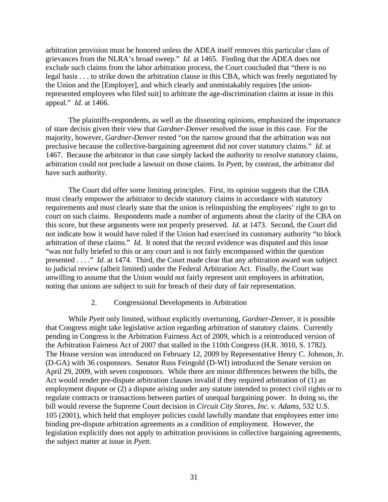arbitration provision must be honored unless the ADEA itself removes this particular class of grievances from the NLRA's broad sweep." *Id.* at 1465. Finding that the ADEA does not exclude such claims from the labor arbitration process, the Court concluded that "there is no legal basis . . . to strike down the arbitration clause in this CBA, which was freely negotiated by the Union and the [Employer], and which clearly and unmistakably requires [the unionrepresented employees who filed suit] to arbitrate the age-discrimination claims at issue in this appeal." *Id.* at 1466.

 The plaintiffs-respondents, as well as the dissenting opinions, emphasized the importance of stare decisis given their view that *Gardner-Denver* resolved the issue in this case. For the majority, however, *Gardner-Denver* rested "on the narrow ground that the arbitration was not preclusive because the collective-bargaining agreement did not cover statutory claims." *Id.* at 1467. Because the arbitrator in that case simply lacked the authority to resolve statutory claims, arbitration could not preclude a lawsuit on those claims. In *Pyett,* by contrast, the arbitrator did have such authority.

 The Court did offer some limiting principles. First, its opinion suggests that the CBA must clearly empower the arbitrator to decide statutory claims in accordance with statutory requirements and must clearly state that the union is relinquishing the employees' right to go to court on such claims. Respondents made a number of arguments about the clarity of the CBA on this score, but these arguments were not properly preserved. *Id.* at 1473. Second, the Court did not indicate how it would have ruled if the Union had exercised its customary authority "to block arbitration of these claims." *Id.* It noted that the record evidence was disputed and this issue "was not fully briefed to this or any court and is not fairly encompassed within the question presented . . . ." *Id.* at 1474. Third, the Court made clear that any arbitration award was subject to judicial review (albeit limited) under the Federal Arbitration Act. Finally, the Court was unwilling to assume that the Union would not fairly represent unit employees in arbitration, noting that unions are subject to suit for breach of their duty of fair representation.

### 2. Congressional Developments in Arbitration

While *Pyett* only limited, without explicitly overturning, *Gardner-Denver*, it is possible that Congress might take legislative action regarding arbitration of statutory claims. Currently pending in Congress is the Arbitration Fairness Act of 2009, which is a reintroduced version of the Arbitration Fairness Act of 2007 that stalled in the 110th Congress (H.R. 3010, S. 1782). The House version was introduced on February 12, 2009 by Representative Henry C. Johnson, Jr. (D-GA) with 36 cosponsors. Senator Russ Feingold (D-WI) introduced the Senate version on April 29, 2009, with seven cosponsors. While there are minor differences between the bills, the Act would render pre-dispute arbitration clauses invalid if they required arbitration of (1) an employment dispute or (2) a dispute arising under any statute intended to protect civil rights or to regulate contracts or transactions between parties of unequal bargaining power. In doing so, the bill would reverse the Supreme Court decision in *Circuit City Stores, Inc. v. Adams*, 532 U.S. 105 (2001), which held that employer policies could lawfully mandate that employees enter into binding pre-dispute arbitration agreements as a condition of employment. However, the legislation explicitly does not apply to arbitration provisions in collective bargaining agreements, the subject matter at issue in *Pyett*.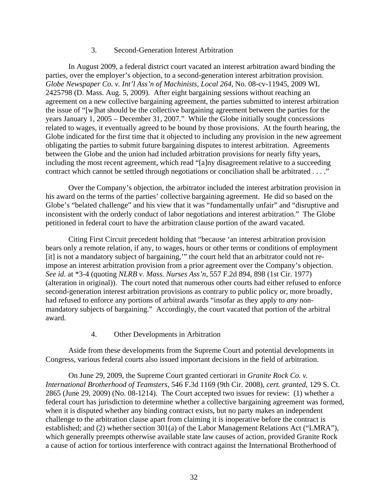### 3. Second-Generation Interest Arbitration

In August 2009, a federal district court vacated an interest arbitration award binding the parties, over the employer's objection, to a second-generation interest arbitration provision. *Globe Newspaper Co. v. Int'l Ass'n of Machinists, Local 264*, No. 08-cv-11945, 2009 WL 2425798 (D. Mass. Aug. 5, 2009). After eight bargaining sessions without reaching an agreement on a new collective bargaining agreement, the parties submitted to interest arbitration the issue of "[w]hat should be the collective bargaining agreement between the parties for the years January 1, 2005 – December 31, 2007." While the Globe initially sought concessions related to wages, it eventually agreed to be bound by those provisions. At the fourth hearing, the Globe indicated for the first time that it objected to including any provision in the new agreement obligating the parties to submit future bargaining disputes to interest arbitration. Agreements between the Globe and the union had included arbitration provisions for nearly fifty years, including the most recent agreement, which read "[a]ny disagreement relative to a succeeding contract which cannot be settled through negotiations or conciliation shall be arbitrated . . . ."

Over the Company's objection, the arbitrator included the interest arbitration provision in his award on the terms of the parties' collective bargaining agreement. He did so based on the Globe's "belated challenge" and his view that it was "fundamentally unfair" and "disruptive and inconsistent with the orderly conduct of labor negotiations and interest arbitration." The Globe petitioned in federal court to have the arbitration clause portion of the award vacated.

Citing First Circuit precedent holding that "because 'an interest arbitration provision bears only a remote relation, if any, to wages, hours or other terms or conditions of employment [it] is not a mandatory subject of bargaining,'" the court held that an arbitrator could not reimpose an interest arbitration provision from a prior agreement over the Company's objection. *See id.* at \*3-4 (quoting *NLRB v. Mass. Nurses Ass'n*, 557 F.2d 894, 898 (1st Cir. 1977) (alteration in original)). The court noted that numerous other courts had either refused to enforce second-generation interest arbitration provisions as contrary to public policy or, more broadly, had refused to enforce any portions of arbitral awards "insofar as they apply to *any* nonmandatory subjects of bargaining." Accordingly, the court vacated that portion of the arbitral award.

## 4. Other Developments in Arbitration

Aside from these developments from the Supreme Court and potential developments in Congress, various federal courts also issued important decisions in the field of arbitration.

On June 29, 2009, the Supreme Court granted certiorari in *Granite Rock Co. v. International Brotherhood of Teamsters*, 546 F.3d 1169 (9th Cir. 2008), *cert. granted*, 129 S. Ct. 2865 (June 29, 2009) (No. 08-1214). The Court accepted two issues for review: (1) whether a federal court has jurisdiction to determine whether a collective bargaining agreement was formed, when it is disputed whether any binding contract exists, but no party makes an independent challenge to the arbitration clause apart from claiming it is inoperative before the contract is established; and (2) whether section 301(a) of the Labor Management Relations Act ("LMRA"), which generally preempts otherwise available state law causes of action, provided Granite Rock a cause of action for tortious interference with contract against the International Brotherhood of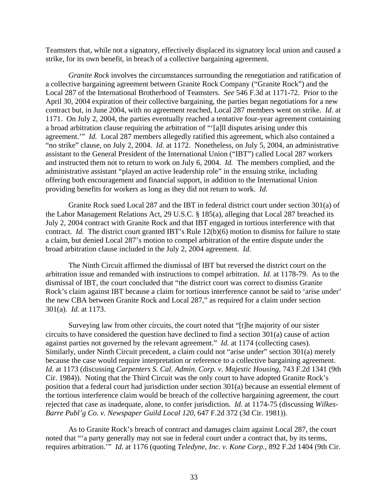Teamsters that, while not a signatory, effectively displaced its signatory local union and caused a strike, for its own benefit, in breach of a collective bargaining agreement.

*Granite Rock* involves the circumstances surrounding the renegotiation and ratification of a collective bargaining agreement between Granite Rock Company ("Granite Rock") and the Local 287 of the International Brotherhood of Teamsters. *See* 546 F.3d at 1171-72. Prior to the April 30, 2004 expiration of their collective bargaining, the parties began negotiations for a new contract but, in June 2004, with no agreement reached, Local 287 members went on strike. *Id.* at 1171. On July 2, 2004, the parties eventually reached a tentative four-year agreement containing a broad arbitration clause requiring the arbitration of "'[a]ll disputes arising under this agreement.'" *Id.* Local 287 members allegedly ratified this agreement, which also contained a "no strike" clause, on July 2, 2004. *Id.* at 1172. Nonetheless, on July 5, 2004, an administrative assistant to the General President of the International Union ("IBT") called Local 287 workers and instructed them not to return to work on July 6, 2004. *Id.* The members complied, and the administrative assistant "played an active leadership role" in the ensuing strike, including offering both encouragement and financial support, in addition to the International Union providing benefits for workers as long as they did not return to work. *Id.*

Granite Rock sued Local 287 and the IBT in federal district court under section 301(a) of the Labor Management Relations Act, 29 U.S.C. § 185(a), alleging that Local 287 breached its July 2, 2004 contract with Granite Rock and that IBT engaged in tortious interference with that contract. *Id.* The district court granted IBT's Rule 12(b)(6) motion to dismiss for failure to state a claim, but denied Local 287's motion to compel arbitration of the entire dispute under the broad arbitration clause included in the July 2, 2004 agreement. *Id.*

The Ninth Circuit affirmed the dismissal of IBT but reversed the district court on the arbitration issue and remanded with instructions to compel arbitration. *Id.* at 1178-79. As to the dismissal of IBT, the court concluded that "the district court was correct to dismiss Granite Rock's claim against IBT because a claim for tortious interference cannot be said to 'arise under' the new CBA between Granite Rock and Local 287," as required for a claim under section 301(a). *Id.* at 1173.

Surveying law from other circuits, the court noted that "[t]he majority of our sister circuits to have considered the question have declined to find a section 301(a) cause of action against parties not governed by the relevant agreement." *Id.* at 1174 (collecting cases). Similarly, under Ninth Circuit precedent, a claim could not "arise under" section 301(a) merely because the case would require interpretation or reference to a collective bargaining agreement. *Id.* at 1173 (discussing *Carpenters S. Cal. Admin. Corp. v. Majestic Housing*, 743 F.2d 1341 (9th Cir. 1984)). Noting that the Third Circuit was the only court to have adopted Granite Rock's position that a federal court had jurisdiction under section 301(a) because an essential element of the tortious interference claim would be breach of the collective bargaining agreement, the court rejected that case as inadequate, alone, to confer jurisdiction. *Id.* at 1174-75 (discussing *Wilkes-Barre Publ'g Co. v. Newspaper Guild Local 120*, 647 F.2d 372 (3d Cir. 1981)).

As to Granite Rock's breach of contract and damages claim against Local 287, the court noted that "'a party generally may not sue in federal court under a contract that, by its terms, requires arbitration.'" *Id.* at 1176 (quoting *Teledyne, Inc. v. Kone Corp.*, 892 F.2d 1404 (9th Cir.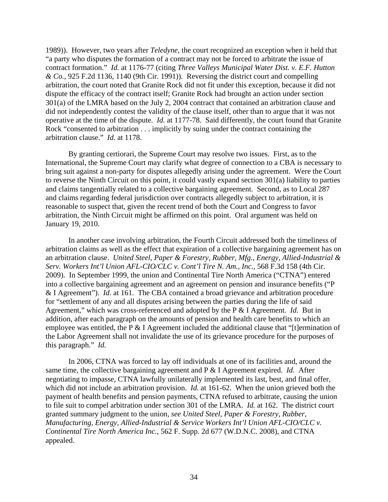1989)). However, two years after *Teledyne*, the court recognized an exception when it held that "a party who disputes the formation of a contract may not be forced to arbitrate the issue of contract formation." *Id.* at 1176-77 (citing *Three Valleys Municipal Water Dist. v. E.F. Hutton & Co.*, 925 F.2d 1136, 1140 (9th Cir. 1991)). Reversing the district court and compelling arbitration, the court noted that Granite Rock did not fit under this exception, because it did not dispute the efficacy of the contract itself; Granite Rock had brought an action under section 301(a) of the LMRA based on the July 2, 2004 contract that contained an arbitration clause and did not independently contest the validity of the clause itself, other than to argue that it was not operative at the time of the dispute. *Id.* at 1177-78. Said differently, the court found that Granite Rock "consented to arbitration . . . implicitly by suing under the contract containing the arbitration clause." *Id.* at 1178.

By granting certiorari, the Supreme Court may resolve two issues. First, as to the International, the Supreme Court may clarify what degree of connection to a CBA is necessary to bring suit against a non-party for disputes allegedly arising under the agreement. Were the Court to reverse the Ninth Circuit on this point, it could vastly expand section 301(a) liability to parties and claims tangentially related to a collective bargaining agreement. Second, as to Local 287 and claims regarding federal jurisdiction over contracts allegedly subject to arbitration, it is reasonable to suspect that, given the recent trend of both the Court and Congress to favor arbitration, the Ninth Circuit might be affirmed on this point. Oral argument was held on January 19, 2010.

In another case involving arbitration, the Fourth Circuit addressed both the timeliness of arbitration claims as well as the effect that expiration of a collective bargaining agreement has on an arbitration clause. *United Steel, Paper & Forestry, Rubber, Mfg., Energy, Allied-Industrial & Serv. Workers Int'l Union AFL-CIO/CLC v. Cont'l Tire N. Am., Inc.*, 568 F.3d 158 (4th Cir. 2009). In September 1999, the union and Continental Tire North America ("CTNA") entered into a collective bargaining agreement and an agreement on pension and insurance benefits ("P & I Agreement"). *Id.* at 161. The CBA contained a broad grievance and arbitration procedure for "settlement of any and all disputes arising between the parties during the life of said Agreement," which was cross-referenced and adopted by the P & I Agreement. *Id.* But in addition, after each paragraph on the amounts of pension and health care benefits to which an employee was entitled, the P & I Agreement included the additional clause that "[t]ermination of the Labor Agreement shall not invalidate the use of its grievance procedure for the purposes of this paragraph." *Id.*

In 2006, CTNA was forced to lay off individuals at one of its facilities and, around the same time, the collective bargaining agreement and P & I Agreement expired. *Id.* After negotiating to impasse, CTNA lawfully unilaterally implemented its last, best, and final offer, which did not include an arbitration provision. *Id.* at 161-62. When the union grieved both the payment of health benefits and pension payments, CTNA refused to arbitrate, causing the union to file suit to compel arbitration under section 301 of the LMRA. *Id.* at 162. The district court granted summary judgment to the union, *see United Steel, Paper & Forestry, Rubber, Manufacturing, Energy, Allied-Industrial & Service Workers Int'l Union AFL-CIO/CLC v. Continental Tire North America Inc.*, 562 F. Supp. 2d 677 (W.D.N.C. 2008), and CTNA appealed.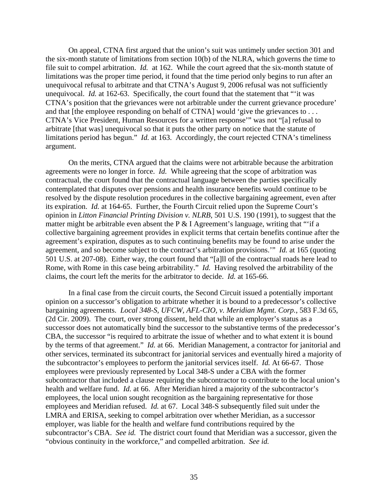On appeal, CTNA first argued that the union's suit was untimely under section 301 and the six-month statute of limitations from section 10(b) of the NLRA, which governs the time to file suit to compel arbitration. *Id.* at 162. While the court agreed that the six-month statute of limitations was the proper time period, it found that the time period only begins to run after an unequivocal refusal to arbitrate and that CTNA's August 9, 2006 refusal was not sufficiently unequivocal. *Id.* at 162-63. Specifically, the court found that the statement that ""it was CTNA's position that the grievances were not arbitrable under the current grievance procedure' and that [the employee responding on behalf of CTNA] would 'give the grievances to ... CTNA's Vice President, Human Resources for a written response'" was not "[a] refusal to arbitrate [that was] unequivocal so that it puts the other party on notice that the statute of limitations period has begun." *Id.* at 163. Accordingly, the court rejected CTNA's timeliness argument.

On the merits, CTNA argued that the claims were not arbitrable because the arbitration agreements were no longer in force. *Id.* While agreeing that the scope of arbitration was contractual, the court found that the contractual language between the parties specifically contemplated that disputes over pensions and health insurance benefits would continue to be resolved by the dispute resolution procedures in the collective bargaining agreement, even after its expiration. *Id.* at 164-65. Further, the Fourth Circuit relied upon the Supreme Court's opinion in *Litton Financial Printing Division v. NLRB*, 501 U.S. 190 (1991), to suggest that the matter might be arbitrable even absent the P  $&$  I Agreement's language, writing that "'if a collective bargaining agreement provides in explicit terms that certain benefits continue after the agreement's expiration, disputes as to such continuing benefits may be found to arise under the agreement, and so become subject to the contract's arbitration provisions.'" *Id.* at 165 (quoting 501 U.S. at 207-08). Either way, the court found that "[a]ll of the contractual roads here lead to Rome, with Rome in this case being arbitrability." *Id.* Having resolved the arbitrability of the claims, the court left the merits for the arbitrator to decide. *Id.* at 165-66.

In a final case from the circuit courts, the Second Circuit issued a potentially important opinion on a successor's obligation to arbitrate whether it is bound to a predecessor's collective bargaining agreements. *Local 348-S, UFCW, AFL-CIO, v. Meridian Mgmt. Corp.*, 583 F.3d 65, (2d Cir. 2009). The court, over strong dissent, held that while an employer's status as a successor does not automatically bind the successor to the substantive terms of the predecessor's CBA, the successor "is required to arbitrate the issue of whether and to what extent it is bound by the terms of that agreement." *Id.* at 66. Meridian Management, a contractor for janitorial and other services, terminated its subcontract for janitorial services and eventually hired a majority of the subcontractor's employees to perform the janitorial services itself. *Id.* At 66-67. Those employees were previously represented by Local 348-S under a CBA with the former subcontractor that included a clause requiring the subcontractor to contribute to the local union's health and welfare fund. *Id.* at 66. After Meridian hired a majority of the subcontractor's employees, the local union sought recognition as the bargaining representative for those employees and Meridian refused. *Id.* at 67. Local 348-S subsequently filed suit under the LMRA and ERISA, seeking to compel arbitration over whether Meridian, as a successor employer, was liable for the health and welfare fund contributions required by the subcontractor's CBA. *See id.* The district court found that Meridian was a successor, given the "obvious continuity in the workforce," and compelled arbitration. *See id.*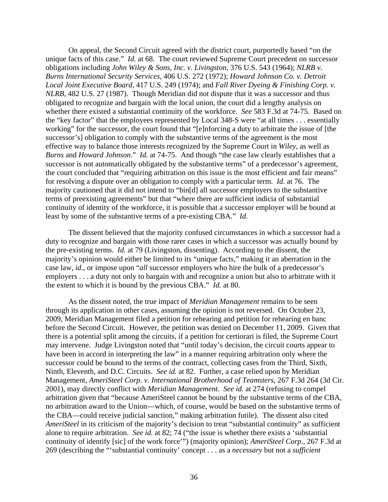On appeal, the Second Circuit agreed with the district court, purportedly based "on the unique facts of this case." *Id.* at 68. The court reviewed Supreme Court precedent on successor obligations including *John Wiley & Sons, Inc. v. Livingston*, 376 U.S. 543 (1964); *NLRB v. Burns International Security Services*, 406 U.S. 272 (1972); *Howard Johnson Co. v. Detroit Local Joint Executive Board*, 417 U.S. 249 (1974); and *Fall River Dyeing & Finishing Corp. v. NLRB*, 482 U.S. 27 (1987). Though Meridian did not dispute that it was a successor and thus obligated to recognize and bargain with the local union, the court did a lengthy analysis on whether there existed a substantial continuity of the workforce. *See* 583 F.3d at 74-75. Based on the "key factor" that the employees represented by Local 348-S were "at all times . . . essentially working" for the successor, the court found that "[e]nforcing a duty to arbitrate the issue of [the successor's] obligation to comply with the substantive terms of the agreement is the most effective way to balance those interests recognized by the Supreme Court in *Wiley*, as well as *Burns* and *Howard Johnson*." *Id.* at 74-75. And though "the case law clearly establishes that a successor is not automatically obligated by the substantive terms" of a predecessor's agreement, the court concluded that "requiring arbitration on this issue is the most efficient and fair means" for resolving a dispute over an obligation to comply with a particular term. *Id.* at 76. The majority cautioned that it did not intend to "bin[d] all successor employers to the substantive terms of preexisting agreements" but that "where there are sufficient indicia of substantial continuity of identity of the workforce, it is possible that a successor employer will be bound at least by some of the substantive terms of a pre-existing CBA." *Id.*

The dissent believed that the majority confused circumstances in which a successor had a duty to recognize and bargain with those rarer cases in which a successor was actually bound by the pre-existing terms. *Id.* at 79 (Livingston, dissenting). According to the dissent, the majority's opinion would either be limited to its "unique facts," making it an aberration in the case law, *id.*, or impose upon "*all* successor employers who hire the bulk of a predecessor's employers . . . a duty not only to bargain with and recognize a union but also to arbitrate with it the extent to which it is bound by the previous CBA." *Id.* at 80.

As the dissent noted, the true impact of *Meridian Management* remains to be seen through its application in other cases, assuming the opinion is not reversed. On October 23, 2009, Meridian Management filed a petition for rehearing and petition for rehearing en banc before the Second Circuit. However, the petition was denied on December 11, 2009. Given that there is a potential split among the circuits, if a petition for certiorari is filed, the Supreme Court may intervene. Judge Livingston noted that "until today's decision, the circuit courts appear to have been in accord in interpreting the law" in a manner requiring arbitration only where the successor could be bound to the terms of the contract, collecting cases from the Third, Sixth, Ninth, Eleventh, and D.C. Circuits. *See id.* at 82. Further, a case relied upon by Meridian Management, *AmeriSteel Corp. v. International Brotherhood of Teamsters*, 267 F.3d 264 (3d Cir. 2001), may directly conflict with *Meridian Management*. *See id.* at 274 (refusing to compel arbitration given that "because AmeriSteel cannot be bound by the substantive terms of the CBA, no arbitration award to the Union—which, of course, would be based on the substantive terms of the CBA—could receive judicial sanction," making arbitration futile). The dissent also cited *AmeriSteel* in its criticism of the majority's decision to treat "substantial continuity" as sufficient alone to require arbitration. *See id.* at 82; 74 ("the issue is whether there exists a 'substantial continuity of identify [sic] of the work force'") (majority opinion); *AmeriSteel Corp.*, 267 F.3d at 269 (describing the "'substantial continuity' concept . . . as a *necessary* but not a *sufficient*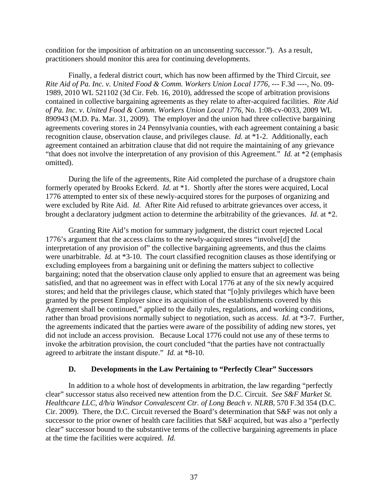condition for the imposition of arbitration on an unconsenting successor."). As a result, practitioners should monitor this area for continuing developments.

Finally, a federal district court, which has now been affirmed by the Third Circuit, *see Rite Aid of Pa. Inc. v. United Food & Comm. Workers Union Local 1776*, --- F.3d ----, No. 09- 1989, 2010 WL 521102 (3d Cir. Feb. 16, 2010), addressed the scope of arbitration provisions contained in collective bargaining agreements as they relate to after-acquired facilities. *Rite Aid of Pa. Inc. v. United Food & Comm. Workers Union Local 1776*, No. 1:08-cv-0033, 2009 WL 890943 (M.D. Pa. Mar. 31, 2009). The employer and the union had three collective bargaining agreements covering stores in 24 Pennsylvania counties, with each agreement containing a basic recognition clause, observation clause, and privileges clause. *Id.* at \*1-2. Additionally, each agreement contained an arbitration clause that did not require the maintaining of any grievance "that does not involve the interpretation of any provision of this Agreement." *Id.* at \*2 (emphasis omitted).

During the life of the agreements, Rite Aid completed the purchase of a drugstore chain formerly operated by Brooks Eckerd. *Id.* at \*1. Shortly after the stores were acquired, Local 1776 attempted to enter six of these newly-acquired stores for the purposes of organizing and were excluded by Rite Aid. *Id.* After Rite Aid refused to arbitrate grievances over access, it brought a declaratory judgment action to determine the arbitrability of the grievances. *Id.* at \*2.

Granting Rite Aid's motion for summary judgment, the district court rejected Local 1776's argument that the access claims to the newly-acquired stores "involve[d] the interpretation of any provision of" the collective bargaining agreements, and thus the claims were unarbitrable. *Id.* at \*3-10. The court classified recognition clauses as those identifying or excluding employees from a bargaining unit or defining the matters subject to collective bargaining; noted that the observation clause only applied to ensure that an agreement was being satisfied, and that no agreement was in effect with Local 1776 at any of the six newly acquired stores; and held that the privileges clause, which stated that "[o]nly privileges which have been granted by the present Employer since its acquisition of the establishments covered by this Agreement shall be continued," applied to the daily rules, regulations, and working conditions, rather than broad provisions normally subject to negotiation, such as access. *Id.* at \*3-7. Further, the agreements indicated that the parties were aware of the possibility of adding new stores, yet did not include an access provision. Because Local 1776 could not use any of these terms to invoke the arbitration provision, the court concluded "that the parties have not contractually agreed to arbitrate the instant dispute." *Id.* at \*8-10.

### **D. Developments in the Law Pertaining to "Perfectly Clear" Successors**

In addition to a whole host of developments in arbitration, the law regarding "perfectly clear" successor status also received new attention from the D.C. Circuit. *See S&F Market St. Healthcare LLC, d/b/a Windsor Convalescent Ctr. of Long Beach v. NLRB*, 570 F.3d 354 (D.C. Cir. 2009). There, the D.C. Circuit reversed the Board's determination that S&F was not only a successor to the prior owner of health care facilities that S&F acquired, but was also a "perfectly clear" successor bound to the substantive terms of the collective bargaining agreements in place at the time the facilities were acquired. *Id.*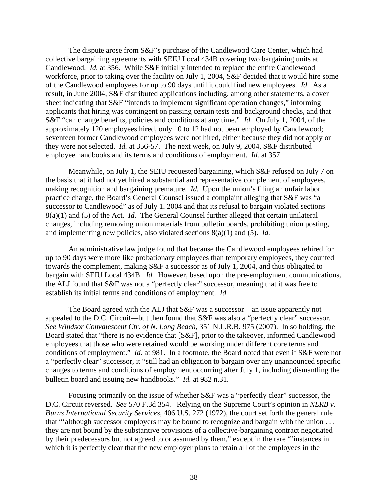The dispute arose from S&F's purchase of the Candlewood Care Center, which had collective bargaining agreements with SEIU Local 434B covering two bargaining units at Candlewood. *Id.* at 356. While S&F initially intended to replace the entire Candlewood workforce, prior to taking over the facility on July 1, 2004, S&F decided that it would hire some of the Candlewood employees for up to 90 days until it could find new employees. *Id.* As a result, in June 2004, S&F distributed applications including, among other statements, a cover sheet indicating that S&F "intends to implement significant operation changes," informing applicants that hiring was contingent on passing certain tests and background checks, and that S&F "can change benefits, policies and conditions at any time." *Id.* On July 1, 2004, of the approximately 120 employees hired, only 10 to 12 had not been employed by Candlewood; seventeen former Candlewood employees were not hired, either because they did not apply or they were not selected. *Id.* at 356-57. The next week, on July 9, 2004, S&F distributed employee handbooks and its terms and conditions of employment. *Id.* at 357.

Meanwhile, on July 1, the SEIU requested bargaining, which S&F refused on July 7 on the basis that it had not yet hired a substantial and representative complement of employees, making recognition and bargaining premature. *Id.* Upon the union's filing an unfair labor practice charge, the Board's General Counsel issued a complaint alleging that S&F was "a successor to Candlewood" as of July 1, 2004 and that its refusal to bargain violated sections 8(a)(1) and (5) of the Act. *Id.* The General Counsel further alleged that certain unilateral changes, including removing union materials from bulletin boards, prohibiting union posting, and implementing new policies, also violated sections 8(a)(1) and (5). *Id.*

An administrative law judge found that because the Candlewood employees rehired for up to 90 days were more like probationary employees than temporary employees, they counted towards the complement, making S&F a successor as of July 1, 2004, and thus obligated to bargain with SEIU Local 434B. *Id.* However, based upon the pre-employment communications, the ALJ found that S&F was not a "perfectly clear" successor, meaning that it was free to establish its initial terms and conditions of employment. *Id.* 

The Board agreed with the ALJ that S&F was a successor—an issue apparently not appealed to the D.C. Circuit—but then found that S&F was also a "perfectly clear" successor. *See Windsor Convalescent Ctr. of N. Long Beach*, 351 N.L.R.B. 975 (2007). In so holding, the Board stated that "there is no evidence that [S&F], prior to the takeover, informed Candlewood employees that those who were retained would be working under different core terms and conditions of employment." *Id.* at 981. In a footnote, the Board noted that even if S&F were not a "perfectly clear" successor, it "still had an obligation to bargain over any unannounced specific changes to terms and conditions of employment occurring after July 1, including dismantling the bulletin board and issuing new handbooks." *Id.* at 982 n.31.

Focusing primarily on the issue of whether S&F was a "perfectly clear" successor, the D.C. Circuit reversed. *See* 570 F.3d 354. Relying on the Supreme Court's opinion in *NLRB v. Burns International Security Services*, 406 U.S. 272 (1972), the court set forth the general rule that "'although successor employers may be bound to recognize and bargain with the union . . . they are not bound by the substantive provisions of a collective-bargaining contract negotiated by their predecessors but not agreed to or assumed by them," except in the rare "'instances in which it is perfectly clear that the new employer plans to retain all of the employees in the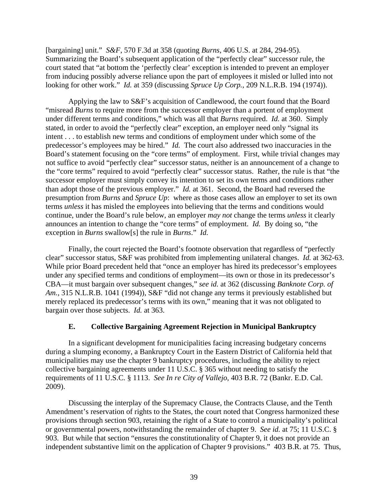[bargaining] unit." *S&F*, 570 F.3d at 358 (quoting *Burns*, 406 U.S. at 284, 294-95). Summarizing the Board's subsequent application of the "perfectly clear" successor rule, the court stated that "at bottom the 'perfectly clear' exception is intended to prevent an employer from inducing possibly adverse reliance upon the part of employees it misled or lulled into not looking for other work." *Id.* at 359 (discussing *Spruce Up Corp.*, 209 N.L.R.B. 194 (1974)).

Applying the law to S&F's acquisition of Candlewood, the court found that the Board "misread *Burns* to require more from the successor employer than a portent of employment under different terms and conditions," which was all that *Burns* required. *Id.* at 360. Simply stated, in order to avoid the "perfectly clear" exception, an employer need only "signal its intent . . . to establish new terms and conditions of employment under which some of the predecessor's employees may be hired." *Id.* The court also addressed two inaccuracies in the Board's statement focusing on the "core terms" of employment. First, while trivial changes may not suffice to avoid "perfectly clear" successor status, neither is an announcement of a change to the "core terms" required to avoid "perfectly clear" successor status. Rather, the rule is that "the successor employer must simply convey its intention to set its own terms and conditions rather than adopt those of the previous employer." *Id.* at 361. Second, the Board had reversed the presumption from *Burns* and *Spruce Up*: where as those cases allow an employer to set its own terms *unless* it has misled the employees into believing that the terms and conditions would continue, under the Board's rule below, an employer *may not* change the terms *unless* it clearly announces an intention to change the "core terms" of employment. *Id.* By doing so, "the exception in *Burns* swallow[s] the rule in *Burns*." *Id.*

Finally, the court rejected the Board's footnote observation that regardless of "perfectly clear" successor status, S&F was prohibited from implementing unilateral changes. *Id.* at 362-63. While prior Board precedent held that "once an employer has hired its predecessor's employees under any specified terms and conditions of employment—its own or those in its predecessor's CBA—it must bargain over subsequent changes," *see id.* at 362 (discussing *Banknote Corp. of Am.*, 315 N.L.R.B. 1041 (1994)), S&F "did not change any terms it previously established but merely replaced its predecessor's terms with its own," meaning that it was not obligated to bargain over those subjects. *Id.* at 363.

# **E. Collective Bargaining Agreement Rejection in Municipal Bankruptcy**

In a significant development for municipalities facing increasing budgetary concerns during a slumping economy, a Bankruptcy Court in the Eastern District of California held that municipalities may use the chapter 9 bankruptcy procedures, including the ability to reject collective bargaining agreements under 11 U.S.C. § 365 without needing to satisfy the requirements of 11 U.S.C. § 1113. *See In re City of Vallejo*, 403 B.R. 72 (Bankr. E.D. Cal. 2009).

Discussing the interplay of the Supremacy Clause, the Contracts Clause, and the Tenth Amendment's reservation of rights to the States, the court noted that Congress harmonized these provisions through section 903, retaining the right of a State to control a municipality's political or governmental powers, notwithstanding the remainder of chapter 9. *See id.* at 75; 11 U.S.C. § 903. But while that section "ensures the constitutionality of Chapter 9, it does not provide an independent substantive limit on the application of Chapter 9 provisions." 403 B.R. at 75. Thus,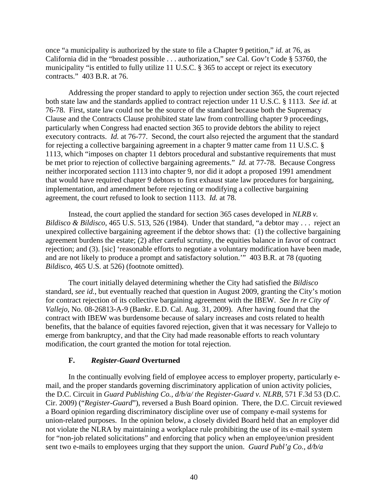once "a municipality is authorized by the state to file a Chapter 9 petition," *id.* at 76, as California did in the "broadest possible . . . authorization," *see* Cal. Gov't Code § 53760, the municipality "is entitled to fully utilize 11 U.S.C. § 365 to accept or reject its executory contracts." 403 B.R. at 76.

Addressing the proper standard to apply to rejection under section 365, the court rejected both state law and the standards applied to contract rejection under 11 U.S.C. § 1113. *See id.* at 76-78. First, state law could not be the source of the standard because both the Supremacy Clause and the Contracts Clause prohibited state law from controlling chapter 9 proceedings, particularly when Congress had enacted section 365 to provide debtors the ability to reject executory contracts. *Id.* at 76-77. Second, the court also rejected the argument that the standard for rejecting a collective bargaining agreement in a chapter 9 matter came from 11 U.S.C. § 1113, which "imposes on chapter 11 debtors procedural and substantive requirements that must be met prior to rejection of collective bargaining agreements." *Id.* at 77-78. Because Congress neither incorporated section 1113 into chapter 9, nor did it adopt a proposed 1991 amendment that would have required chapter 9 debtors to first exhaust state law procedures for bargaining, implementation, and amendment before rejecting or modifying a collective bargaining agreement, the court refused to look to section 1113. *Id.* at 78.

Instead, the court applied the standard for section 365 cases developed in *NLRB v. Bildisco & Bildisco*, 465 U.S. 513, 526 (1984). Under that standard, "a debtor may . . . reject an unexpired collective bargaining agreement if the debtor shows that: (1) the collective bargaining agreement burdens the estate; (2) after careful scrutiny, the equities balance in favor of contract rejection; and (3). [sic] 'reasonable efforts to negotiate a voluntary modification have been made, and are not likely to produce a prompt and satisfactory solution.'" 403 B.R. at 78 (quoting *Bildisco*, 465 U.S. at 526) (footnote omitted).

The court initially delayed determining whether the City had satisfied the *Bildisco* standard, *see id.*, but eventually reached that question in August 2009, granting the City's motion for contract rejection of its collective bargaining agreement with the IBEW. *See In re City of Vallejo*, No. 08-26813-A-9 (Bankr. E.D. Cal. Aug. 31, 2009). After having found that the contract with IBEW was burdensome because of salary increases and costs related to health benefits, that the balance of equities favored rejection, given that it was necessary for Vallejo to emerge from bankruptcy, and that the City had made reasonable efforts to reach voluntary modification, the court granted the motion for total rejection.

## **F.** *Register-Guard* **Overturned**

In the continually evolving field of employee access to employer property, particularly email, and the proper standards governing discriminatory application of union activity policies, the D.C. Circuit in *Guard Publishing Co., d/b/a/ the Register-Guard v. NLRB*, 571 F.3d 53 (D.C. Cir. 2009) ("*Register-Guard*"), reversed a Bush Board opinion. There, the D.C. Circuit reviewed a Board opinion regarding discriminatory discipline over use of company e-mail systems for union-related purposes. In the opinion below, a closely divided Board held that an employer did not violate the NLRA by maintaining a workplace rule prohibiting the use of its e-mail system for "non-job related solicitations" and enforcing that policy when an employee/union president sent two e-mails to employees urging that they support the union. *Guard Publ'g Co., d/b/a*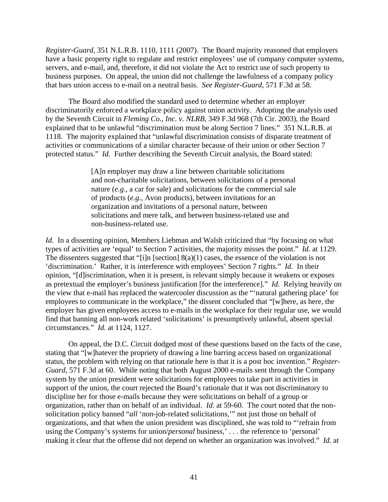*Register-Guard*, 351 N.L.R.B. 1110, 1111 (2007). The Board majority reasoned that employers have a basic property right to regulate and restrict employees' use of company computer systems, servers, and e-mail, and, therefore, it did not violate the Act to restrict use of such property to business purposes. On appeal, the union did not challenge the lawfulness of a company policy that bars union access to e-mail on a neutral basis. *See Register-Guard*, 571 F.3d at 58.

The Board also modified the standard used to determine whether an employer discriminatorily enforced a workplace policy against union activity. Adopting the analysis used by the Seventh Circuit in *Fleming Co., Inc. v. NLRB*, 349 F.3d 968 (7th Cir. 2003), the Board explained that to be unlawful "discrimination must be along Section 7 lines." 351 N.L.R.B. at 1118. The majority explained that "unlawful discrimination consists of disparate treatment of activities or communications of a similar character because of their union or other Section 7 protected status." *Id.* Further describing the Seventh Circuit analysis, the Board stated:

> [A]n employer may draw a line between charitable solicitations and non-charitable solicitations, between solicitations of a personal nature (*e.g.*, a car for sale) and solicitations for the commercial sale of products (*e.g.*, Avon products), between invitations for an organization and invitations of a personal nature, between solicitations and mere talk, and between business-related use and non-business-related use.

*Id.* In a dissenting opinion, Members Liebman and Walsh criticized that "by focusing on what types of activities are 'equal' to Section 7 activities, the majority misses the point." *Id.* at 1129. The dissenters suggested that "[i]n [section] 8(a)(1) cases, the essence of the violation is not 'discrimination.' Rather, it is interference with employees' Section 7 rights." *Id.* In their opinion, "[d]iscrimination, when it is present, is relevant simply because it weakens or exposes as pretextual the employer's business justification [for the interference]." *Id.* Relying heavily on the view that e-mail has replaced the watercooler discussion as the "'natural gathering place' for employees to communicate in the workplace," the dissent concluded that "[w]here, as here, the employer has given employees access to e-mails in the workplace for their regular use, we would find that banning all non-work related 'solicitations' is presumptively unlawful, absent special circumstances." *Id.* at 1124, 1127.

On appeal, the D.C. Circuit dodged most of these questions based on the facts of the case, stating that "[w]hatever the propriety of drawing a line barring access based on organizational status, the problem with relying on that rationale here is that it is a post hoc invention." *Register-Guard*, 571 F.3d at 60. While noting that both August 2000 e-mails sent through the Company system by the union president were solicitations for employees to take part in activities in support of the union, the court rejected the Board's rationale that it was not discriminatory to discipline her for those e-mails because they were solicitations on behalf of a group or organization, rather than on behalf of an individual. *Id.* at 59-60. The court noted that the nonsolicitation policy banned "*all* 'non-job-related solicitations,'" not just those on behalf of organizations, and that when the union president was disciplined, she was told to "'refrain from using the Company's systems for union/*personal* business,' . . . the reference to 'personal' making it clear that the offense did not depend on whether an organization was involved." *Id.* at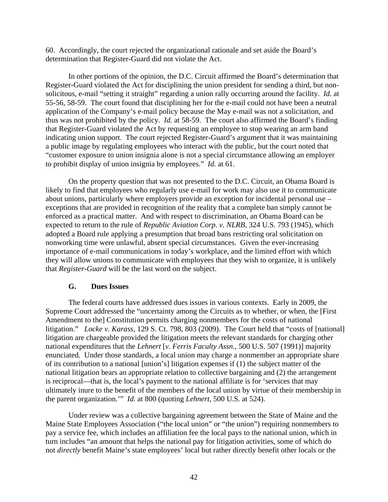60. Accordingly, the court rejected the organizational rationale and set aside the Board's determination that Register-Guard did not violate the Act.

In other portions of the opinion, the D.C. Circuit affirmed the Board's determination that Register-Guard violated the Act for disciplining the union president for sending a third, but nonsolicitous, e-mail "setting it straight" regarding a union rally occurring around the facility. *Id.* at 55-56, 58-59. The court found that disciplining her for the e-mail could not have been a neutral application of the Company's e-mail policy because the May e-mail was not a solicitation, and thus was not prohibited by the policy. *Id.* at 58-59. The court also affirmed the Board's finding that Register-Guard violated the Act by requesting an employee to stop wearing an arm band indicating union support. The court rejected Register-Guard's argument that it was maintaining a public image by regulating employees who interact with the public, but the court noted that "customer exposure to union insignia alone is not a special circumstance allowing an employer to prohibit display of union insignia by employees." *Id.* at 61.

On the property question that was not presented to the D.C. Circuit, an Obama Board is likely to find that employees who regularly use e-mail for work may also use it to communicate about unions, particularly where employers provide an exception for incidental personal use – exceptions that are provided in recognition of the reality that a complete ban simply cannot be enforced as a practical matter. And with respect to discrimination, an Obama Board can be expected to return to the rule of *Republic Aviation Corp. v. NLRB*, 324 U.S. 793 (1945), which adopted a Board rule applying a presumption that broad bans restricting oral solicitation on nonworking time were unlawful, absent special circumstances. Given the ever-increasing importance of e-mail communications in today's workplace, and the limited effort with which they will allow unions to communicate with employees that they wish to organize, it is unlikely that *Register-Guard* will be the last word on the subject.

## **G. Dues Issues**

The federal courts have addressed dues issues in various contexts. Early in 2009, the Supreme Court addressed the "uncertainty among the Circuits as to whether, or when, the [First Amendment to the] Constitution permits charging nonmembers for the costs of national litigation." *Locke v. Karass*, 129 S. Ct. 798, 803 (2009). The Court held that "costs of [national] litigation are chargeable provided the litigation meets the relevant standards for charging other national expenditures that the *Lehnert* [*v. Ferris Faculty Assn.*, 500 U.S. 507 (1991)] majority enunciated. Under those standards, a local union may charge a nonmember an appropriate share of its contribution to a national [union's] litigation expenses if (1) the subject matter of the national litigation bears an appropriate relation to collective bargaining and (2) the arrangement is reciprocal—that is, the local's payment to the national affiliate is for 'services that may ultimately inure to the benefit of the members of the local union by virtue of their membership in the parent organization.'" *Id.* at 800 (quoting *Lehnert*, 500 U.S. at 524).

Under review was a collective bargaining agreement between the State of Maine and the Maine State Employees Association ("the local union" or "the union") requiring nonmembers to pay a service fee, which includes an affiliation fee the local pays to the national union, which in turn includes "an amount that helps the national pay for litigation activities, some of which do not *directly* benefit Maine's state employees' local but rather directly benefit other locals or the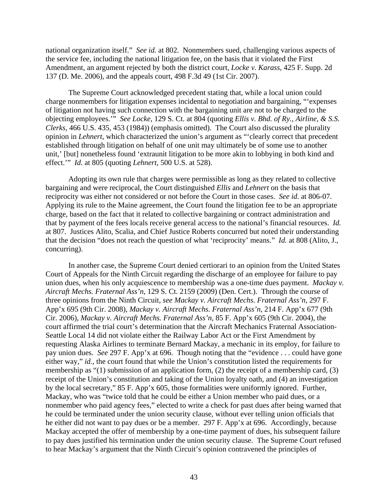national organization itself." *See id.* at 802. Nonmembers sued, challenging various aspects of the service fee, including the national litigation fee, on the basis that it violated the First Amendment, an argument rejected by both the district court, *Locke v. Karass*, 425 F. Supp. 2d 137 (D. Me. 2006), and the appeals court, 498 F.3d 49 (1st Cir. 2007).

The Supreme Court acknowledged precedent stating that, while a local union could charge nonmembers for litigation expenses incidental to negotiation and bargaining, "'expenses of litigation not having such connection with the bargaining unit are not to be charged to the objecting employees.'" *See Locke*, 129 S. Ct. at 804 (quoting *Ellis v. Bhd. of Ry., Airline, & S.S. Clerks*, 466 U.S. 435, 453 (1984)) (emphasis omitted). The Court also discussed the plurality opinion in *Lehnert*, which characterized the union's argument as "'clearly correct that precedent established through litigation on behalf of one unit may ultimately be of some use to another unit,' [but] nonetheless found 'extraunit litigation to be more akin to lobbying in both kind and effect.'" *Id.* at 805 (quoting *Lehnert*, 500 U.S. at 528).

Adopting its own rule that charges were permissible as long as they related to collective bargaining and were reciprocal, the Court distinguished *Ellis* and *Lehnert* on the basis that reciprocity was either not considered or not before the Court in those cases. *See id.* at 806-07. Applying its rule to the Maine agreement, the Court found the litigation fee to be an appropriate charge, based on the fact that it related to collective bargaining or contract administration and that by payment of the fees locals receive general access to the national's financial resources. *Id.* at 807. Justices Alito, Scalia, and Chief Justice Roberts concurred but noted their understanding that the decision "does not reach the question of what 'reciprocity' means." *Id.* at 808 (Alito, J., concurring).

In another case, the Supreme Court denied certiorari to an opinion from the United States Court of Appeals for the Ninth Circuit regarding the discharge of an employee for failure to pay union dues, when his only acquiescence to membership was a one-time dues payment. *Mackay v. Aircraft Mechs. Fraternal Ass'n*, 129 S. Ct. 2159 (2009) (Den. Cert.). Through the course of three opinions from the Ninth Circuit, *see Mackay v. Aircraft Mechs. Fraternal Ass'n,* 297 F. App'x 695 (9th Cir. 2008), *Mackay v. Aircraft Mechs. Fraternal Ass'n*, 214 F. App'x 677 (9th Cir. 2006), *Mackay v. Aircraft Mechs. Fraternal Ass'n,* 85 F. App'x 605 (9th Cir. 2004), the court affirmed the trial court's determination that the Aircraft Mechanics Fraternal Association-Seattle Local 14 did not violate either the Railway Labor Act or the First Amendment by requesting Alaska Airlines to terminate Bernard Mackay, a mechanic in its employ, for failure to pay union dues. *See* 297 F. App'x at 696. Though noting that the "evidence . . . could have gone either way," *id.*, the court found that while the Union's constitution listed the requirements for membership as "(1) submission of an application form, (2) the receipt of a membership card, (3) receipt of the Union's constitution and taking of the Union loyalty oath, and (4) an investigation by the local secretary," 85 F. App'x 605, those formalities were uniformly ignored. Further, Mackay, who was "twice told that he could be either a Union member who paid dues, or a nonmember who paid agency fees," elected to write a check for past dues after being warned that he could be terminated under the union security clause, without ever telling union officials that he either did not want to pay dues or be a member. 297 F. App'x at 696. Accordingly, because Mackay accepted the offer of membership by a one-time payment of dues, his subsequent failure to pay dues justified his termination under the union security clause. The Supreme Court refused to hear Mackay's argument that the Ninth Circuit's opinion contravened the principles of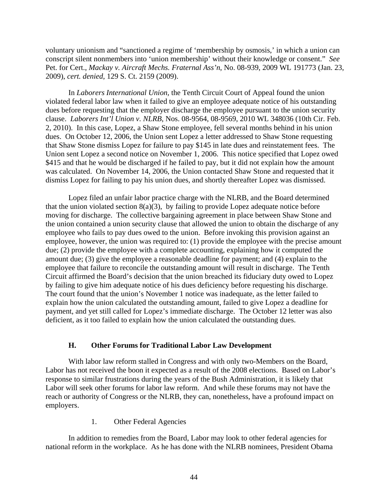voluntary unionism and "sanctioned a regime of 'membership by osmosis,' in which a union can conscript silent nonmembers into 'union membership' without their knowledge or consent." *See*  Pet. for Cert., *Mackay v. Aircraft Mechs. Fraternal Ass'n*, No. 08-939, 2009 WL 191773 (Jan. 23, 2009), *cert. denied*, 129 S. Ct. 2159 (2009).

 In *Laborers International Union,* the Tenth Circuit Court of Appeal found the union violated federal labor law when it failed to give an employee adequate notice of his outstanding dues before requesting that the employer discharge the employee pursuant to the union security clause. *Laborers Int'l Union v. NLRB*, Nos. 08-9564, 08-9569, 2010 WL 348036 (10th Cir. Feb. 2, 2010). In this case, Lopez, a Shaw Stone employee, fell several months behind in his union dues. On October 12, 2006, the Union sent Lopez a letter addressed to Shaw Stone requesting that Shaw Stone dismiss Lopez for failure to pay \$145 in late dues and reinstatement fees. The Union sent Lopez a second notice on November 1, 2006. This notice specified that Lopez owed \$415 and that he would be discharged if he failed to pay, but it did not explain how the amount was calculated. On November 14, 2006, the Union contacted Shaw Stone and requested that it dismiss Lopez for failing to pay his union dues, and shortly thereafter Lopez was dismissed.

 Lopez filed an unfair labor practice charge with the NLRB, and the Board determined that the union violated section  $8(a)(3)$ , by failing to provide Lopez adequate notice before moving for discharge. The collective bargaining agreement in place between Shaw Stone and the union contained a union security clause that allowed the union to obtain the discharge of any employee who fails to pay dues owed to the union. Before invoking this provision against an employee, however, the union was required to: (1) provide the employee with the precise amount due; (2) provide the employee with a complete accounting, explaining how it computed the amount due; (3) give the employee a reasonable deadline for payment; and (4) explain to the employee that failure to reconcile the outstanding amount will result in discharge. The Tenth Circuit affirmed the Board's decision that the union breached its fiduciary duty owed to Lopez by failing to give him adequate notice of his dues deficiency before requesting his discharge. The court found that the union's November 1 notice was inadequate, as the letter failed to explain how the union calculated the outstanding amount, failed to give Lopez a deadline for payment, and yet still called for Lopez's immediate discharge. The October 12 letter was also deficient, as it too failed to explain how the union calculated the outstanding dues.

## **H. Other Forums for Traditional Labor Law Development**

With labor law reform stalled in Congress and with only two-Members on the Board, Labor has not received the boon it expected as a result of the 2008 elections. Based on Labor's response to similar frustrations during the years of the Bush Administration, it is likely that Labor will seek other forums for labor law reform. And while these forums may not have the reach or authority of Congress or the NLRB, they can, nonetheless, have a profound impact on employers.

1. Other Federal Agencies

In addition to remedies from the Board, Labor may look to other federal agencies for national reform in the workplace. As he has done with the NLRB nominees, President Obama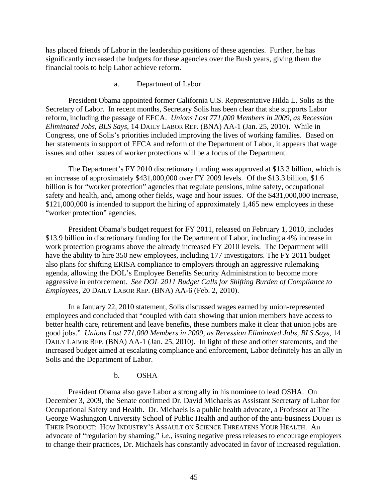has placed friends of Labor in the leadership positions of these agencies. Further, he has significantly increased the budgets for these agencies over the Bush years, giving them the financial tools to help Labor achieve reform.

#### a. Department of Labor

President Obama appointed former California U.S. Representative Hilda L. Solis as the Secretary of Labor. In recent months, Secretary Solis has been clear that she supports Labor reform, including the passage of EFCA. *Unions Lost 771,000 Members in 2009, as Recession Eliminated Jobs, BLS Says*, 14 DAILY LABOR REP. (BNA) AA-1 (Jan. 25, 2010). While in Congress, one of Solis's priorities included improving the lives of working families. Based on her statements in support of EFCA and reform of the Department of Labor, it appears that wage issues and other issues of worker protections will be a focus of the Department.

The Department's FY 2010 discretionary funding was approved at \$13.3 billion, which is an increase of approximately \$431,000,000 over FY 2009 levels. Of the \$13.3 billion, \$1.6 billion is for "worker protection" agencies that regulate pensions, mine safety, occupational safety and health, and, among other fields, wage and hour issues. Of the \$431,000,000 increase, \$121,000,000 is intended to support the hiring of approximately 1,465 new employees in these "worker protection" agencies.

President Obama's budget request for FY 2011, released on February 1, 2010, includes \$13.9 billion in discretionary funding for the Department of Labor, including a 4% increase in work protection programs above the already increased FY 2010 levels. The Department will have the ability to hire 350 new employees, including 177 investigators. The FY 2011 budget also plans for shifting ERISA compliance to employers through an aggressive rulemaking agenda, allowing the DOL's Employee Benefits Security Administration to become more aggressive in enforcement. *See DOL 2011 Budget Calls for Shifting Burden of Compliance to Employees*, 20 DAILY LABOR REP. (BNA) AA-6 (Feb. 2, 2010).

In a January 22, 2010 statement, Solis discussed wages earned by union-represented employees and concluded that "coupled with data showing that union members have access to better health care, retirement and leave benefits, these numbers make it clear that union jobs are good jobs." *Unions Lost 771,000 Members in 2009, as Recession Eliminated Jobs, BLS Says*, 14 DAILY LABOR REP. (BNA) AA-1 (Jan. 25, 2010). In light of these and other statements, and the increased budget aimed at escalating compliance and enforcement, Labor definitely has an ally in Solis and the Department of Labor.

b. OSHA

President Obama also gave Labor a strong ally in his nominee to lead OSHA. On December 3, 2009, the Senate confirmed Dr. David Michaels as Assistant Secretary of Labor for Occupational Safety and Health. Dr. Michaels is a public health advocate, a Professor at The George Washington University School of Public Health and author of the anti-business DOUBT IS THEIR PRODUCT: HOW INDUSTRY'S ASSAULT ON SCIENCE THREATENS YOUR HEALTH. An advocate of "regulation by shaming," *i.e.*, issuing negative press releases to encourage employers to change their practices, Dr. Michaels has constantly advocated in favor of increased regulation.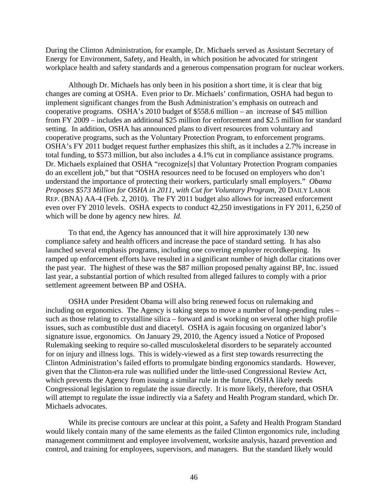During the Clinton Administration, for example, Dr. Michaels served as Assistant Secretary of Energy for Environment, Safety, and Health, in which position he advocated for stringent workplace health and safety standards and a generous compensation program for nuclear workers.

Although Dr. Michaels has only been in his position a short time, it is clear that big changes are coming at OSHA. Even prior to Dr. Michaels' confirmation, OSHA had begun to implement significant changes from the Bush Administration's emphasis on outreach and cooperative programs. OSHA's 2010 budget of \$558.6 million – an increase of \$45 million from FY 2009 – includes an additional \$25 million for enforcement and \$2.5 million for standard setting. In addition, OSHA has announced plans to divert resources from voluntary and cooperative programs, such as the Voluntary Protection Program, to enforcement programs. OSHA's FY 2011 budget request further emphasizes this shift, as it includes a 2.7% increase in total funding, to \$573 million, but also includes a 4.1% cut in compliance assistance programs. Dr. Michaels explained that OSHA "recognize[s] that Voluntary Protection Program companies do an excellent job," but that "OSHA resources need to be focused on employers who don't understand the importance of protecting their workers, particularly small employers." *Obama Proposes \$573 Million for OSHA in 2011, with Cut for Voluntary Program*, 20 DAILY LABOR REP. (BNA) AA-4 (Feb. 2, 2010). The FY 2011 budget also allows for increased enforcement even over FY 2010 levels. OSHA expects to conduct 42,250 investigations in FY 2011, 6,250 of which will be done by agency new hires. *Id.*

To that end, the Agency has announced that it will hire approximately 130 new compliance safety and health officers and increase the pace of standard setting. It has also launched several emphasis programs, including one covering employer recordkeeping. Its ramped up enforcement efforts have resulted in a significant number of high dollar citations over the past year. The highest of these was the \$87 million proposed penalty against BP, Inc. issued last year, a substantial portion of which resulted from alleged failures to comply with a prior settlement agreement between BP and OSHA.

OSHA under President Obama will also bring renewed focus on rulemaking and including on ergonomics. The Agency is taking steps to move a number of long-pending rules – such as those relating to crystalline silica – forward and is working on several other high profile issues, such as combustible dust and diacetyl. OSHA is again focusing on organized labor's signature issue, ergonomics. On January 29, 2010, the Agency issued a Notice of Proposed Rulemaking seeking to require so-called musculoskeletal disorders to be separately accounted for on injury and illness logs. This is widely-viewed as a first step towards resurrecting the Clinton Administration's failed efforts to promulgate binding ergonomics standards. However, given that the Clinton-era rule was nullified under the little-used Congressional Review Act, which prevents the Agency from issuing a similar rule in the future, OSHA likely needs Congressional legislation to regulate the issue directly. It is more likely, therefore, that OSHA will attempt to regulate the issue indirectly via a Safety and Health Program standard, which Dr. Michaels advocates.

While its precise contours are unclear at this point, a Safety and Health Program Standard would likely contain many of the same elements as the failed Clinton ergonomics rule, including management commitment and employee involvement, worksite analysis, hazard prevention and control, and training for employees, supervisors, and managers. But the standard likely would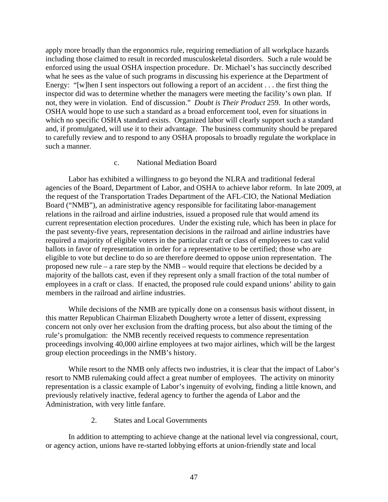apply more broadly than the ergonomics rule, requiring remediation of all workplace hazards including those claimed to result in recorded musculoskeletal disorders. Such a rule would be enforced using the usual OSHA inspection procedure. Dr. Michael's has succinctly described what he sees as the value of such programs in discussing his experience at the Department of Energy: "[w]hen I sent inspectors out following a report of an accident . . . the first thing the inspector did was to determine whether the managers were meeting the facility's own plan. If not, they were in violation. End of discussion." *Doubt is Their Product* 259. In other words, OSHA would hope to use such a standard as a broad enforcement tool, even for situations in which no specific OSHA standard exists. Organized labor will clearly support such a standard and, if promulgated, will use it to their advantage. The business community should be prepared to carefully review and to respond to any OSHA proposals to broadly regulate the workplace in such a manner.

## c. National Mediation Board

Labor has exhibited a willingness to go beyond the NLRA and traditional federal agencies of the Board, Department of Labor, and OSHA to achieve labor reform. In late 2009, at the request of the Transportation Trades Department of the AFL-CIO, the National Mediation Board ("NMB"), an administrative agency responsible for facilitating labor-management relations in the railroad and airline industries, issued a proposed rule that would amend its current representation election procedures. Under the existing rule, which has been in place for the past seventy-five years, representation decisions in the railroad and airline industries have required a majority of eligible voters in the particular craft or class of employees to cast valid ballots in favor of representation in order for a representative to be certified; those who are eligible to vote but decline to do so are therefore deemed to oppose union representation. The proposed new rule – a rare step by the NMB – would require that elections be decided by a majority of the ballots cast, even if they represent only a small fraction of the total number of employees in a craft or class. If enacted, the proposed rule could expand unions' ability to gain members in the railroad and airline industries.

While decisions of the NMB are typically done on a consensus basis without dissent, in this matter Republican Chairman Elizabeth Dougherty wrote a letter of dissent, expressing concern not only over her exclusion from the drafting process, but also about the timing of the rule's promulgation: the NMB recently received requests to commence representation proceedings involving 40,000 airline employees at two major airlines, which will be the largest group election proceedings in the NMB's history.

While resort to the NMB only affects two industries, it is clear that the impact of Labor's resort to NMB rulemaking could affect a great number of employees. The activity on minority representation is a classic example of Labor's ingenuity of evolving, finding a little known, and previously relatively inactive, federal agency to further the agenda of Labor and the Administration, with very little fanfare.

2. States and Local Governments

In addition to attempting to achieve change at the national level via congressional, court, or agency action, unions have re-started lobbying efforts at union-friendly state and local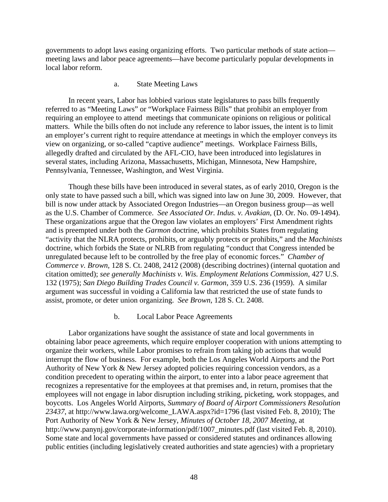governments to adopt laws easing organizing efforts. Two particular methods of state action meeting laws and labor peace agreements—have become particularly popular developments in local labor reform.

#### a. State Meeting Laws

In recent years, Labor has lobbied various state legislatures to pass bills frequently referred to as "Meeting Laws" or "Workplace Fairness Bills" that prohibit an employer from requiring an employee to attend meetings that communicate opinions on religious or political matters. While the bills often do not include any reference to labor issues, the intent is to limit an employer's current right to require attendance at meetings in which the employer conveys its view on organizing, or so-called "captive audience" meetings. Workplace Fairness Bills, allegedly drafted and circulated by the AFL-CIO, have been introduced into legislatures in several states, including Arizona, Massachusetts, Michigan, Minnesota, New Hampshire, Pennsylvania, Tennessee, Washington, and West Virginia.

Though these bills have been introduced in several states, as of early 2010, Oregon is the only state to have passed such a bill, which was signed into law on June 30, 2009. However, that bill is now under attack by Associated Oregon Industries—an Oregon business group—as well as the U.S. Chamber of Commerce. *See Associated Or. Indus. v. Avakian*, (D. Or. No. 09-1494). These organizations argue that the Oregon law violates an employers' First Amendment rights and is preempted under both the *Garmon* doctrine, which prohibits States from regulating "activity that the NLRA protects, prohibits, or arguably protects or prohibits," and the *Machinists* doctrine, which forbids the State or NLRB from regulating "conduct that Congress intended be unregulated because left to be controlled by the free play of economic forces." *Chamber of Commerce v. Brown*, 128 S. Ct. 2408, 2412 (2008) (describing doctrines) (internal quotation and citation omitted); *see generally Machinists v. Wis. Employment Relations Commission*, 427 U.S. 132 (1975); *San Diego Building Trades Council v. Garmon*, 359 U.S. 236 (1959). A similar argument was successful in voiding a California law that restricted the use of state funds to assist, promote, or deter union organizing. *See Brown*, 128 S. Ct. 2408.

#### b. Local Labor Peace Agreements

Labor organizations have sought the assistance of state and local governments in obtaining labor peace agreements, which require employer cooperation with unions attempting to organize their workers, while Labor promises to refrain from taking job actions that would interrupt the flow of business. For example, both the Los Angeles World Airports and the Port Authority of New York & New Jersey adopted policies requiring concession vendors, as a condition precedent to operating within the airport, to enter into a labor peace agreement that recognizes a representative for the employees at that premises and, in return, promises that the employees will not engage in labor disruption including striking, picketing, work stoppages, and boycotts. Los Angeles World Airports, *Summary of Board of Airport Commissioners Resolution 23437*, at http://www.lawa.org/welcome\_LAWA.aspx?id=1796 (last visited Feb. 8, 2010); The Port Authority of New York & New Jersey, *Minutes of October 18, 2007 Meeting*, at http://www.panynj.gov/corporate-information/pdf/1007 minutes.pdf (last visited Feb. 8, 2010). Some state and local governments have passed or considered statutes and ordinances allowing public entities (including legislatively created authorities and state agencies) with a proprietary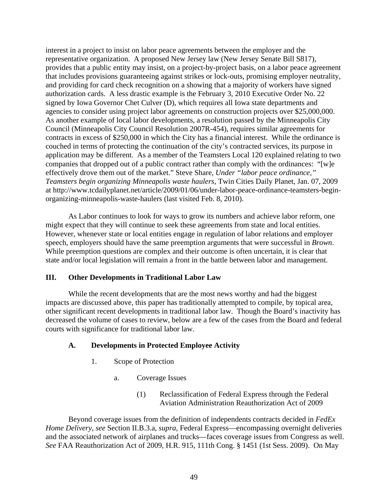interest in a project to insist on labor peace agreements between the employer and the representative organization. A proposed New Jersey law (New Jersey Senate Bill S817), provides that a public entity may insist, on a project-by-project basis, on a labor peace agreement that includes provisions guaranteeing against strikes or lock-outs, promising employer neutrality, and providing for card check recognition on a showing that a majority of workers have signed authorization cards. A less drastic example is the February 3, 2010 Executive Order No. 22 signed by Iowa Governor Chet Culver (D), which requires all Iowa state departments and agencies to consider using project labor agreements on construction projects over \$25,000,000. As another example of local labor developments, a resolution passed by the Minneapolis City Council (Minneapolis City Council Resolution 2007R-454), requires similar agreements for contracts in excess of \$250,000 in which the City has a financial interest. While the ordinance is couched in terms of protecting the continuation of the city's contracted services, its purpose in application may be different. As a member of the Teamsters Local 120 explained relating to two companies that dropped out of a public contract rather than comply with the ordinances: "[w]e effectively drove them out of the market." Steve Share, *Under "labor peace ordinance," Teamsters begin organizing Minneapolis waste haulers*, Twin Cities Daily Planet, Jan. 07, 2009 at http://www.tcdailyplanet.net/article/2009/01/06/under-labor-peace-ordinance-teamsters-beginorganizing-minneapolis-waste-haulers (last visited Feb. 8, 2010).

As Labor continues to look for ways to grow its numbers and achieve labor reform, one might expect that they will continue to seek these agreements from state and local entities. However, whenever state or local entities engage in regulation of labor relations and employer speech, employers should have the same preemption arguments that were successful in *Brown*. While preemption questions are complex and their outcome is often uncertain, it is clear that state and/or local legislation will remain a front in the battle between labor and management.

## **III. Other Developments in Traditional Labor Law**

While the recent developments that are the most news worthy and had the biggest impacts are discussed above, this paper has traditionally attempted to compile, by topical area, other significant recent developments in traditional labor law. Though the Board's inactivity has decreased the volume of cases to review, below are a few of the cases from the Board and federal courts with significance for traditional labor law.

## **A. Developments in Protected Employee Activity**

- 1. Scope of Protection
	- a. Coverage Issues
		- (1) Reclassification of Federal Express through the Federal Aviation Administration Reauthorization Act of 2009

Beyond coverage issues from the definition of independents contracts decided in *FedEx Home Delivery*, *see* Section II.B.3.a, *supra*, Federal Express—encompassing overnight deliveries and the associated network of airplanes and trucks—faces coverage issues from Congress as well. *See* FAA Reauthorization Act of 2009, H.R. 915, 111th Cong. § 1451 (1st Sess. 2009). On May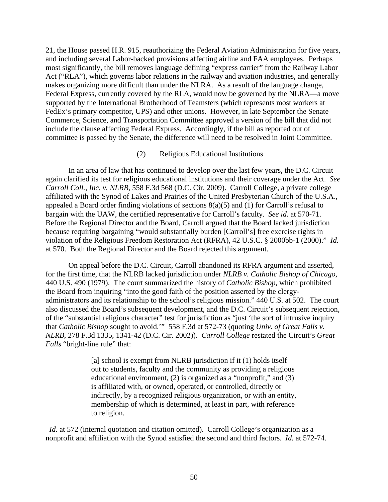21, the House passed H.R. 915, reauthorizing the Federal Aviation Administration for five years, and including several Labor-backed provisions affecting airline and FAA employees. Perhaps most significantly, the bill removes language defining "express carrier" from the Railway Labor Act ("RLA"), which governs labor relations in the railway and aviation industries, and generally makes organizing more difficult than under the NLRA. As a result of the language change, Federal Express, currently covered by the RLA, would now be governed by the NLRA—a move supported by the International Brotherhood of Teamsters (which represents most workers at FedEx's primary competitor, UPS) and other unions. However, in late September the Senate Commerce, Science, and Transportation Committee approved a version of the bill that did not include the clause affecting Federal Express. Accordingly, if the bill as reported out of committee is passed by the Senate, the difference will need to be resolved in Joint Committee.

#### (2) Religious Educational Institutions

In an area of law that has continued to develop over the last few years, the D.C. Circuit again clarified its test for religious educational institutions and their coverage under the Act. *See Carroll Coll., Inc. v. NLRB*, 558 F.3d 568 (D.C. Cir. 2009). Carroll College, a private college affiliated with the Synod of Lakes and Prairies of the United Presbyterian Church of the U.S.A., appealed a Board order finding violations of sections 8(a)(5) and (1) for Carroll's refusal to bargain with the UAW, the certified representative for Carroll's faculty. *See id.* at 570-71. Before the Regional Director and the Board, Carroll argued that the Board lacked jurisdiction because requiring bargaining "would substantially burden [Carroll's] free exercise rights in violation of the Religious Freedom Restoration Act (RFRA), 42 U.S.C. § 2000bb-1 (2000)." *Id.* at 570. Both the Regional Director and the Board rejected this argument.

On appeal before the D.C. Circuit, Carroll abandoned its RFRA argument and asserted, for the first time, that the NLRB lacked jurisdiction under *NLRB v. Catholic Bishop of Chicago*, 440 U.S. 490 (1979). The court summarized the history of *Catholic Bishop*, which prohibited the Board from inquiring "into the good faith of the position asserted by the clergyadministrators and its relationship to the school's religious mission." 440 U.S. at 502. The court also discussed the Board's subsequent development, and the D.C. Circuit's subsequent rejection, of the "substantial religious character" test for jurisdiction as "just 'the sort of intrusive inquiry that *Catholic Bishop* sought to avoid.'" 558 F.3d at 572-73 (quoting *Univ. of Great Falls v. NLRB*, 278 F.3d 1335, 1341-42 (D.C. Cir. 2002)). *Carroll College* restated the Circuit's *Great Falls* "bright-line rule" that:

> [a] school is exempt from NLRB jurisdiction if it (1) holds itself out to students, faculty and the community as providing a religious educational environment, (2) is organized as a "nonprofit," and (3) is affiliated with, or owned, operated, or controlled, directly or indirectly, by a recognized religious organization, or with an entity, membership of which is determined, at least in part, with reference to religion.

*Id.* at 572 (internal quotation and citation omitted). Carroll College's organization as a nonprofit and affiliation with the Synod satisfied the second and third factors. *Id.* at 572-74.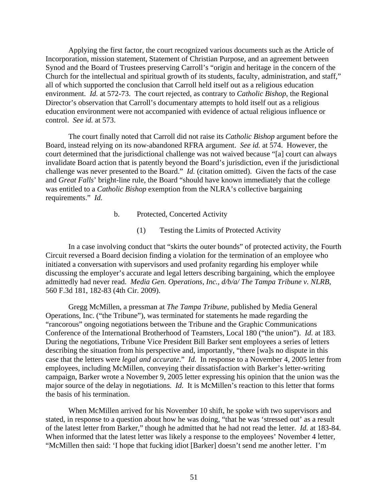Applying the first factor, the court recognized various documents such as the Article of Incorporation, mission statement, Statement of Christian Purpose, and an agreement between Synod and the Board of Trustees preserving Carroll's "origin and heritage in the concern of the Church for the intellectual and spiritual growth of its students, faculty, administration, and staff," all of which supported the conclusion that Carroll held itself out as a religious education environment. *Id.* at 572-73. The court rejected, as contrary to *Catholic Bishop*, the Regional Director's observation that Carroll's documentary attempts to hold itself out as a religious education environment were not accompanied with evidence of actual religious influence or control. *See id.* at 573.

The court finally noted that Carroll did not raise its *Catholic Bishop* argument before the Board, instead relying on its now-abandoned RFRA argument. *See id.* at 574. However, the court determined that the jurisdictional challenge was not waived because "[a] court can always invalidate Board action that is patently beyond the Board's jurisdiction, even if the jurisdictional challenge was never presented to the Board." *Id.* (citation omitted). Given the facts of the case and *Great Falls*' bright-line rule, the Board "should have known immediately that the college was entitled to a *Catholic Bishop* exemption from the NLRA's collective bargaining requirements." *Id.*

- b. Protected, Concerted Activity
	- (1) Testing the Limits of Protected Activity

In a case involving conduct that "skirts the outer bounds" of protected activity, the Fourth Circuit reversed a Board decision finding a violation for the termination of an employee who initiated a conversation with supervisors and used profanity regarding his employer while discussing the employer's accurate and legal letters describing bargaining, which the employee admittedly had never read. *Media Gen. Operations, Inc., d/b/a/ The Tampa Tribune v. NLRB*, 560 F.3d 181, 182-83 (4th Cir. 2009).

Gregg McMillen, a pressman at *The Tampa Tribune*, published by Media General Operations, Inc. ("the Tribune"), was terminated for statements he made regarding the "rancorous" ongoing negotiations between the Tribune and the Graphic Communications Conference of the International Brotherhood of Teamsters, Local 180 ("the union"). *Id.* at 183. During the negotiations, Tribune Vice President Bill Barker sent employees a series of letters describing the situation from his perspective and, importantly, "there [wa]s no dispute in this case that the letters were *legal and accurate*." *Id.* In response to a November 4, 2005 letter from employees, including McMillen, conveying their dissatisfaction with Barker's letter-writing campaign, Barker wrote a November 9, 2005 letter expressing his opinion that the union was the major source of the delay in negotiations. *Id.* It is McMillen's reaction to this letter that forms the basis of his termination.

When McMillen arrived for his November 10 shift, he spoke with two supervisors and stated, in response to a question about how he was doing, "that he was 'stressed out' as a result of the latest letter from Barker," though he admitted that he had not read the letter. *Id.* at 183-84. When informed that the latest letter was likely a response to the employees' November 4 letter, "McMillen then said: 'I hope that fucking idiot [Barker] doesn't send me another letter. I'm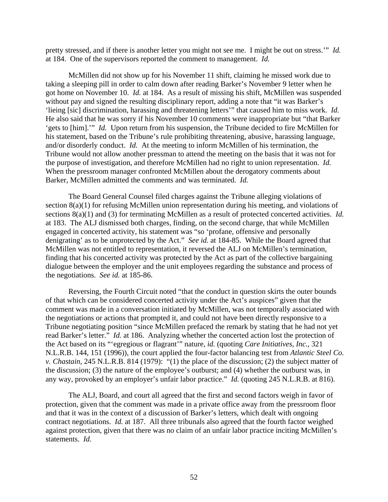pretty stressed, and if there is another letter you might not see me. I might be out on stress.'" *Id.* at 184. One of the supervisors reported the comment to management. *Id.*

McMillen did not show up for his November 11 shift, claiming he missed work due to taking a sleeping pill in order to calm down after reading Barker's November 9 letter when he got home on November 10. *Id.* at 184. As a result of missing his shift, McMillen was suspended without pay and signed the resulting disciplinary report, adding a note that "it was Barker's 'lieing [sic] discrimination, harassing and threatening letters'" that caused him to miss work. *Id.* He also said that he was sorry if his November 10 comments were inappropriate but "that Barker 'gets to [him].'" *Id.* Upon return from his suspension, the Tribune decided to fire McMillen for his statement, based on the Tribune's rule prohibiting threatening, abusive, harassing language, and/or disorderly conduct. *Id.* At the meeting to inform McMillen of his termination, the Tribune would not allow another pressman to attend the meeting on the basis that it was not for the purpose of investigation, and therefore McMillen had no right to union representation. *Id.* When the pressroom manager confronted McMillen about the derogatory comments about Barker, McMillen admitted the comments and was terminated. *Id.*

The Board General Counsel filed charges against the Tribune alleging violations of section 8(a)(1) for refusing McMillen union representation during his meeting, and violations of sections 8(a)(1) and (3) for terminating McMillen as a result of protected concerted activities. *Id.* at 183. The ALJ dismissed both charges, finding, on the second charge, that while McMillen engaged in concerted activity, his statement was "so 'profane, offensive and personally denigrating' as to be unprotected by the Act." *See id.* at 184-85. While the Board agreed that McMillen was not entitled to representation, it reversed the ALJ on McMillen's termination, finding that his concerted activity was protected by the Act as part of the collective bargaining dialogue between the employer and the unit employees regarding the substance and process of the negotiations. *See id.* at 185-86.

Reversing, the Fourth Circuit noted "that the conduct in question skirts the outer bounds of that which can be considered concerted activity under the Act's auspices" given that the comment was made in a conversation initiated by McMillen, was not temporally associated with the negotiations or actions that prompted it, and could not have been directly responsive to a Tribune negotiating position "since McMillen prefaced the remark by stating that he had not yet read Barker's letter." *Id.* at 186. Analyzing whether the concerted action lost the protection of the Act based on its "'egregious or flagrant'" nature, *id.* (quoting *Care Initiatives, Inc.*, 321 N.L.R.B. 144, 151 (1996)), the court applied the four-factor balancing test from *Atlantic Steel Co. v. Chastain*, 245 N.L.R.B. 814 (1979): "(1) the place of the discussion; (2) the subject matter of the discussion; (3) the nature of the employee's outburst; and (4) whether the outburst was, in any way, provoked by an employer's unfair labor practice." *Id.* (quoting 245 N.L.R.B. at 816).

The ALJ, Board, and court all agreed that the first and second factors weigh in favor of protection, given that the comment was made in a private office away from the pressroom floor and that it was in the context of a discussion of Barker's letters, which dealt with ongoing contract negotiations. *Id.* at 187. All three tribunals also agreed that the fourth factor weighed against protection, given that there was no claim of an unfair labor practice inciting McMillen's statements. *Id.*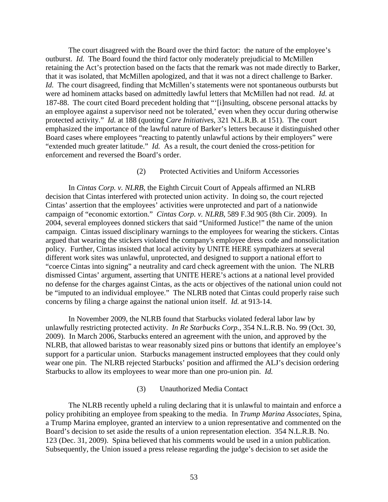The court disagreed with the Board over the third factor: the nature of the employee's outburst. *Id.* The Board found the third factor only moderately prejudicial to McMillen retaining the Act's protection based on the facts that the remark was not made directly to Barker, that it was isolated, that McMillen apologized, and that it was not a direct challenge to Barker. *Id.* The court disagreed, finding that McMillen's statements were not spontaneous outbursts but were ad hominem attacks based on admittedly lawful letters that McMillen had not read. *Id.* at 187-88. The court cited Board precedent holding that "'[i]nsulting, obscene personal attacks by an employee against a supervisor need not be tolerated,' even when they occur during otherwise protected activity." *Id.* at 188 (quoting *Care Initiatives*, 321 N.L.R.B. at 151). The court emphasized the importance of the lawful nature of Barker's letters because it distinguished other Board cases where employees "reacting to patently unlawful actions by their employers" were "extended much greater latitude." *Id.* As a result, the court denied the cross-petition for enforcement and reversed the Board's order.

### (2) Protected Activities and Uniform Accessories

 In *Cintas Corp. v. NLRB,* the Eighth Circuit Court of Appeals affirmed an NLRB decision that Cintas interfered with protected union activity. In doing so, the court rejected Cintas' assertion that the employees' activities were unprotected and part of a nationwide campaign of "economic extortion." *Cintas Corp. v. NLRB*, 589 F.3d 905 (8th Cir. 2009). In 2004, several employees donned stickers that said "Uniformed Justice!" the name of the union campaign. Cintas issued disciplinary warnings to the employees for wearing the stickers. Cintas argued that wearing the stickers violated the company's employee dress code and nonsolicitation policy. Further, Cintas insisted that local activity by UNITE HERE sympathizers at several different work sites was unlawful, unprotected, and designed to support a national effort to "coerce Cintas into signing" a neutrality and card check agreement with the union. The NLRB dismissed Cintas' argument, asserting that UNITE HERE's actions at a national level provided no defense for the charges against Cintas, as the acts or objectives of the national union could not be "imputed to an individual employee." The NLRB noted that Cintas could properly raise such concerns by filing a charge against the national union itself. *Id.* at 913-14.

 In November 2009, the NLRB found that Starbucks violated federal labor law by unlawfully restricting protected activity. *In Re Starbucks Corp.,* 354 N.L.R.B. No. 99 (Oct. 30, 2009). In March 2006, Starbucks entered an agreement with the union, and approved by the NLRB, that allowed baristas to wear reasonably sized pins or buttons that identify an employee's support for a particular union. Starbucks management instructed employees that they could only wear one pin. The NLRB rejected Starbucks' position and affirmed the ALJ's decision ordering Starbucks to allow its employees to wear more than one pro-union pin. *Id.*

### (3) Unauthorized Media Contact

 The NLRB recently upheld a ruling declaring that it is unlawful to maintain and enforce a policy prohibiting an employee from speaking to the media. In *Trump Marina Associates,* Spina, a Trump Marina employee, granted an interview to a union representative and commented on the Board's decision to set aside the results of a union representation election. 354 N.L.R.B. No. 123 (Dec. 31, 2009). Spina believed that his comments would be used in a union publication. Subsequently, the Union issued a press release regarding the judge's decision to set aside the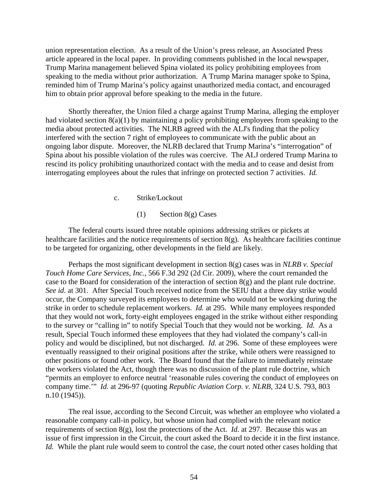union representation election. As a result of the Union's press release, an Associated Press article appeared in the local paper. In providing comments published in the local newspaper, Trump Marina management believed Spina violated its policy prohibiting employees from speaking to the media without prior authorization. A Trump Marina manager spoke to Spina, reminded him of Trump Marina's policy against unauthorized media contact, and encouraged him to obtain prior approval before speaking to the media in the future.

 Shortly thereafter, the Union filed a charge against Trump Marina, alleging the employer had violated section 8(a)(1) by maintaining a policy prohibiting employees from speaking to the media about protected activities. The NLRB agreed with the ALJ's finding that the policy interfered with the section 7 right of employees to communicate with the public about an ongoing labor dispute. Moreover, the NLRB declared that Trump Marina's "interrogation" of Spina about his possible violation of the rules was coercive. The ALJ ordered Trump Marina to rescind its policy prohibiting unauthorized contact with the media and to cease and desist from interrogating employees about the rules that infringe on protected section 7 activities. *Id.*

c. Strike/Lockout

(1) Section 8(g) Cases

The federal courts issued three notable opinions addressing strikes or pickets at healthcare facilities and the notice requirements of section  $8(g)$ . As healthcare facilities continue to be targeted for organizing, other developments in the field are likely.

Perhaps the most significant development in section 8(g) cases was in *NLRB v. Special Touch Home Care Services, Inc.*, 566 F.3d 292 (2d Cir. 2009), where the court remanded the case to the Board for consideration of the interaction of section 8(g) and the plant rule doctrine. *See id.* at 301. After Special Touch received notice from the SEIU that a three day strike would occur, the Company surveyed its employees to determine who would not be working during the strike in order to schedule replacement workers. *Id.* at 295. While many employees responded that they would not work, forty-eight employees engaged in the strike without either responding to the survey or "calling in" to notify Special Touch that they would not be working. *Id.* As a result, Special Touch informed these employees that they had violated the company's call-in policy and would be disciplined, but not discharged. *Id.* at 296. Some of these employees were eventually reassigned to their original positions after the strike, while others were reassigned to other positions or found other work. The Board found that the failure to immediately reinstate the workers violated the Act, though there was no discussion of the plant rule doctrine, which "permits an employer to enforce neutral 'reasonable rules covering the conduct of employees on company time.'" *Id.* at 296-97 (quoting *Republic Aviation Corp. v. NLRB*, 324 U.S. 793, 803 n.10 (1945)).

The real issue, according to the Second Circuit, was whether an employee who violated a reasonable company call-in policy, but whose union had complied with the relevant notice requirements of section 8(g), lost the protections of the Act. *Id.* at 297. Because this was an issue of first impression in the Circuit, the court asked the Board to decide it in the first instance. *Id.* While the plant rule would seem to control the case, the court noted other cases holding that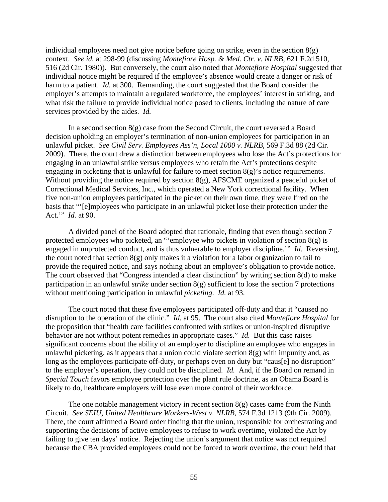individual employees need not give notice before going on strike, even in the section  $8(g)$ context. *See id.* at 298-99 (discussing *Montefiore Hosp. & Med. Ctr. v. NLRB*, 621 F.2d 510, 516 (2d Cir. 1980)). But conversely, the court also noted that *Montefiore Hospital* suggested that individual notice might be required if the employee's absence would create a danger or risk of harm to a patient. *Id.* at 300. Remanding, the court suggested that the Board consider the employer's attempts to maintain a regulated workforce, the employees' interest in striking, and what risk the failure to provide individual notice posed to clients, including the nature of care services provided by the aides. *Id.*

In a second section  $8(g)$  case from the Second Circuit, the court reversed a Board decision upholding an employer's termination of non-union employees for participation in an unlawful picket. *See Civil Serv. Employees Ass'n, Local 1000 v. NLRB*, 569 F.3d 88 (2d Cir. 2009). There, the court drew a distinction between employees who lose the Act's protections for engaging in an unlawful strike versus employees who retain the Act's protections despite engaging in picketing that is unlawful for failure to meet section  $8(g)$ 's notice requirements. Without providing the notice required by section 8(g), AFSCME organized a peaceful picket of Correctional Medical Services, Inc., which operated a New York correctional facility. When five non-union employees participated in the picket on their own time, they were fired on the basis that "'[e]mployees who participate in an unlawful picket lose their protection under the Act.'" *Id.* at 90.

A divided panel of the Board adopted that rationale, finding that even though section 7 protected employees who picketed, an "'employee who pickets in violation of section 8(g) is engaged in unprotected conduct, and is thus vulnerable to employer discipline.'" *Id.* Reversing, the court noted that section 8(g) only makes it a violation for a labor organization to fail to provide the required notice, and says nothing about an employee's obligation to provide notice. The court observed that "Congress intended a clear distinction" by writing section 8(d) to make participation in an unlawful *strike* under section 8(g) sufficient to lose the section 7 protections without mentioning participation in unlawful *picketing*. *Id.* at 93.

The court noted that these five employees participated off-duty and that it "caused no disruption to the operation of the clinic." *Id.* at 95. The court also cited *Montefiore Hospital* for the proposition that "health care facilities confronted with strikes or union-inspired disruptive behavior are not without potent remedies in appropriate cases." *Id.* But this case raises significant concerns about the ability of an employer to discipline an employee who engages in unlawful picketing, as it appears that a union could violate section  $8(g)$  with impunity and, as long as the employees participate off-duty, or perhaps even on duty but "caus[e] no disruption" to the employer's operation, they could not be disciplined. *Id.* And, if the Board on remand in *Special Touch* favors employee protection over the plant rule doctrine, as an Obama Board is likely to do, healthcare employers will lose even more control of their workforce.

The one notable management victory in recent section  $8(g)$  cases came from the Ninth Circuit. *See SEIU, United Healthcare Workers-West v. NLRB*, 574 F.3d 1213 (9th Cir. 2009). There, the court affirmed a Board order finding that the union, responsible for orchestrating and supporting the decisions of active employees to refuse to work overtime, violated the Act by failing to give ten days' notice. Rejecting the union's argument that notice was not required because the CBA provided employees could not be forced to work overtime, the court held that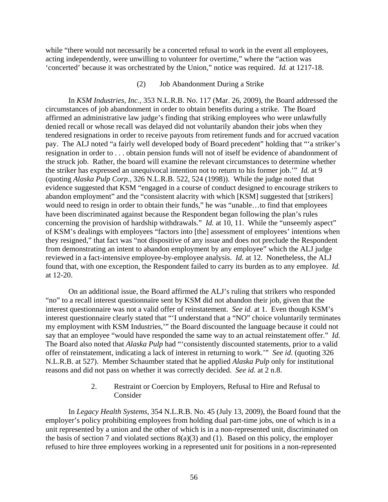while "there would not necessarily be a concerted refusal to work in the event all employees, acting independently, were unwilling to volunteer for overtime," where the "action was 'concerted' because it was orchestrated by the Union," notice was required. *Id.* at 1217-18.

### (2) Job Abandonment During a Strike

In *KSM Industries, Inc.*, 353 N.L.R.B. No. 117 (Mar. 26, 2009), the Board addressed the circumstances of job abandonment in order to obtain benefits during a strike. The Board affirmed an administrative law judge's finding that striking employees who were unlawfully denied recall or whose recall was delayed did not voluntarily abandon their jobs when they tendered resignations in order to receive payouts from retirement funds and for accrued vacation pay. The ALJ noted "a fairly well developed body of Board precedent" holding that "'a striker's resignation in order to . . . obtain pension funds will not of itself be evidence of abandonment of the struck job. Rather, the board will examine the relevant circumstances to determine whether the striker has expressed an unequivocal intention not to return to his former job.'" *Id.* at 9 (quoting *Alaska Pulp Corp.*, 326 N.L.R.B. 522, 524 (1998)). While the judge noted that evidence suggested that KSM "engaged in a course of conduct designed to encourage strikers to abandon employment" and the "consistent alacrity with which [KSM] suggested that [strikers] would need to resign in order to obtain their funds," he was "unable…to find that employees have been discriminated against because the Respondent began following the plan's rules concerning the provision of hardship withdrawals." *Id.* at 10, 11. While the "unseemly aspect" of KSM's dealings with employees "factors into [the] assessment of employees' intentions when they resigned," that fact was "not dispositive of any issue and does not preclude the Respondent from demonstrating an intent to abandon employment by any employee" which the ALJ judge reviewed in a fact-intensive employee-by-employee analysis. *Id.* at 12. Nonetheless, the ALJ found that, with one exception, the Respondent failed to carry its burden as to any employee. *Id.* at 12-20.

On an additional issue, the Board affirmed the ALJ's ruling that strikers who responded "no" to a recall interest questionnaire sent by KSM did not abandon their job, given that the interest questionnaire was not a valid offer of reinstatement. *See id.* at 1. Even though KSM's interest questionnaire clearly stated that "'I understand that a "NO" choice voluntarily terminates my employment with KSM Industries,'" the Board discounted the language because it could not say that an employee "would have responded the same way to an actual reinstatement offer." *Id.* The Board also noted that *Alaska Pulp* had "'consistently discounted statements, prior to a valid offer of reinstatement, indicating a lack of interest in returning to work.'" *See id*. (quoting 326 N.L.R.B. at 527). Member Schaumber stated that he applied *Alaska Pulp* only for institutional reasons and did not pass on whether it was correctly decided. *See id.* at 2 n.8.

# 2. Restraint or Coercion by Employers, Refusal to Hire and Refusal to Consider

In *Legacy Health Systems*, 354 N.L.R.B. No. 45 (July 13, 2009), the Board found that the employer's policy prohibiting employees from holding dual part-time jobs, one of which is in a unit represented by a union and the other of which is in a non-represented unit, discriminated on the basis of section 7 and violated sections  $8(a)(3)$  and (1). Based on this policy, the employer refused to hire three employees working in a represented unit for positions in a non-represented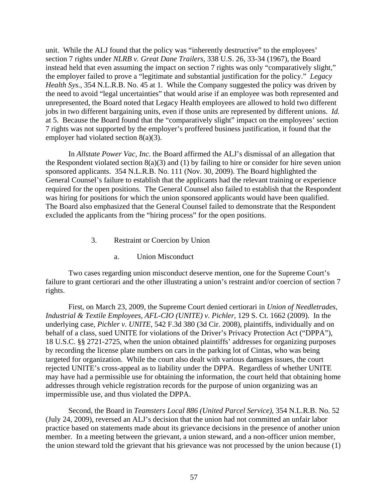unit. While the ALJ found that the policy was "inherently destructive" to the employees' section 7 rights under *NLRB v. Great Dane Trailers*, 338 U.S. 26, 33-34 (1967), the Board instead held that even assuming the impact on section 7 rights was only "comparatively slight," the employer failed to prove a "legitimate and substantial justification for the policy." *Legacy Health Sys.*, 354 N.L.R.B. No. 45 at 1. While the Company suggested the policy was driven by the need to avoid "legal uncertainties" that would arise if an employee was both represented and unrepresented, the Board noted that Legacy Health employees are allowed to hold two different jobs in two different bargaining units, even if those units are represented by different unions. *Id.* at 5. Because the Board found that the "comparatively slight" impact on the employees' section 7 rights was not supported by the employer's proffered business justification, it found that the employer had violated section 8(a)(3).

 In *Allstate Power Vac, Inc.* the Board affirmed the ALJ's dismissal of an allegation that the Respondent violated section  $8(a)(3)$  and (1) by failing to hire or consider for hire seven union sponsored applicants. 354 N.L.R.B. No. 111 (Nov. 30, 2009). The Board highlighted the General Counsel's failure to establish that the applicants had the relevant training or experience required for the open positions. The General Counsel also failed to establish that the Respondent was hiring for positions for which the union sponsored applicants would have been qualified. The Board also emphasized that the General Counsel failed to demonstrate that the Respondent excluded the applicants from the "hiring process" for the open positions.

- 3. Restraint or Coercion by Union
	- a. Union Misconduct

Two cases regarding union misconduct deserve mention, one for the Supreme Court's failure to grant certiorari and the other illustrating a union's restraint and/or coercion of section 7 rights.

First, on March 23, 2009, the Supreme Court denied certiorari in *Union of Needletrades, Industrial & Textile Employees, AFL-CIO (UNITE) v. Pichler*, 129 S. Ct. 1662 (2009). In the underlying case, *Pichler v. UNITE*, 542 F.3d 380 (3d Cir. 2008), plaintiffs, individually and on behalf of a class, sued UNITE for violations of the Driver's Privacy Protection Act ("DPPA"), 18 U.S.C. §§ 2721-2725, when the union obtained plaintiffs' addresses for organizing purposes by recording the license plate numbers on cars in the parking lot of Cintas, who was being targeted for organization. While the court also dealt with various damages issues, the court rejected UNITE's cross-appeal as to liability under the DPPA. Regardless of whether UNITE may have had a permissible use for obtaining the information, the court held that obtaining home addresses through vehicle registration records for the purpose of union organizing was an impermissible use, and thus violated the DPPA.

Second, the Board in *Teamsters Local 886 (United Parcel Service)*, 354 N.L.R.B. No. 52 (July 24, 2009), reversed an ALJ's decision that the union had not committed an unfair labor practice based on statements made about its grievance decisions in the presence of another union member. In a meeting between the grievant, a union steward, and a non-officer union member, the union steward told the grievant that his grievance was not processed by the union because (1)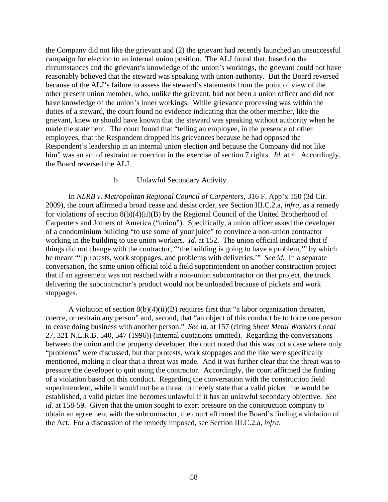the Company did not like the grievant and (2) the grievant had recently launched an unsuccessful campaign for election to an internal union position. The ALJ found that, based on the circumstances and the grievant's knowledge of the union's workings, the grievant could not have reasonably believed that the steward was speaking with union authority. But the Board reversed because of the ALJ's failure to assess the steward's statements from the point of view of the other present union member, who, unlike the grievant, had not been a union officer and did not have knowledge of the union's inner workings. While grievance processing was within the duties of a steward, the court found no evidence indicating that the other member, like the grievant, knew or should have known that the steward was speaking without authority when he made the statement. The court found that "telling an employee, in the presence of other employees, that the Respondent dropped his grievances because he had opposed the Respondent's leadership in an internal union election and because the Company did not like him" was an act of restraint or coercion in the exercise of section 7 rights. *Id.* at 4. Accordingly, the Board reversed the ALJ.

### b. Unlawful Secondary Activity

In *NLRB v. Metropolitan Regional Council of Carpenters*, 316 F. App'x 150 (3d Cir. 2009), the court affirmed a broad cease and desist order, *see* Section III.C.2.a, *infra*, as a remedy for violations of section 8(b)(4)(ii)(B) by the Regional Council of the United Brotherhood of Carpenters and Joiners of America ("union"). Specifically, a union officer asked the developer of a condominium building "to use some of your juice" to convince a non-union contractor working in the building to use union workers. *Id.* at 152. The union official indicated that if things did not change with the contractor, "'the building is going to have a problem,'" by which he meant "'[p]rotests, work stoppages, and problems with deliveries.'" *See id.* In a separate conversation, the same union official told a field superintendent on another construction project that if an agreement was not reached with a non-union subcontractor on that project, the truck delivering the subcontractor's product would not be unloaded because of pickets and work stoppages.

A violation of section  $8(b)(4)(ii)(B)$  requires first that "a labor organization threaten, coerce, or restrain any person" and, second, that "an object of this conduct be to force one person to cease doing business with another person." *See id.* at 157 (citing *Sheet Metal Workers Local*  27, 321 N.L.R.B. 540, 547 (1996)) (internal quotations omitted). Regarding the conversations between the union and the property developer, the court noted that this was not a case where only "problems" were discussed, but that protests, work stoppages and the like were specifically mentioned, making it clear that a threat was made. And it was further clear that the threat was to pressure the developer to quit using the contractor. Accordingly, the court affirmed the finding of a violation based on this conduct. Regarding the conversation with the construction field superintendent, while it would not be a threat to merely state that a valid picket line would be established, a valid picket line becomes unlawful if it has an unlawful secondary objective. *See id.* at 158-59. Given that the union sought to exert pressure on the construction company to obtain an agreement with the subcontractor, the court affirmed the Board's finding a violation of the Act. For a discussion of the remedy imposed, see Section III.C.2.a, *infra*.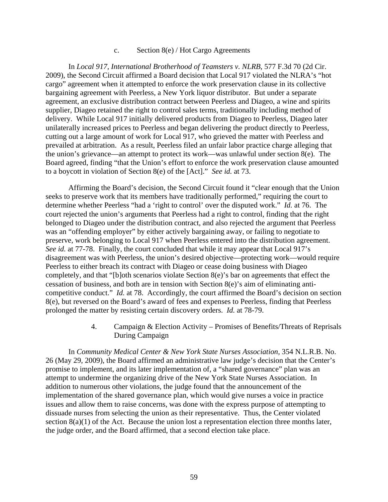### c. Section 8(e) / Hot Cargo Agreements

In *Local 917, International Brotherhood of Teamsters v. NLRB*, 577 F.3d 70 (2d Cir. 2009), the Second Circuit affirmed a Board decision that Local 917 violated the NLRA's "hot cargo" agreement when it attempted to enforce the work preservation clause in its collective bargaining agreement with Peerless, a New York liquor distributor. But under a separate agreement, an exclusive distribution contract between Peerless and Diageo, a wine and spirits supplier, Diageo retained the right to control sales terms, traditionally including method of delivery. While Local 917 initially delivered products from Diageo to Peerless, Diageo later unilaterally increased prices to Peerless and began delivering the product directly to Peerless, cutting out a large amount of work for Local 917, who grieved the matter with Peerless and prevailed at arbitration. As a result, Peerless filed an unfair labor practice charge alleging that the union's grievance—an attempt to protect its work—was unlawful under section 8(e). The Board agreed, finding "that the Union's effort to enforce the work preservation clause amounted to a boycott in violation of Section 8(e) of the [Act]." *See id.* at 73.

Affirming the Board's decision, the Second Circuit found it "clear enough that the Union seeks to preserve work that its members have traditionally performed," requiring the court to determine whether Peerless "had a 'right to control' over the disputed work." *Id.* at 76. The court rejected the union's arguments that Peerless had a right to control, finding that the right belonged to Diageo under the distribution contract, and also rejected the argument that Peerless was an "offending employer" by either actively bargaining away, or failing to negotiate to preserve, work belonging to Local 917 when Peerless entered into the distribution agreement. *See id.* at 77-78. Finally, the court concluded that while it may appear that Local 917's disagreement was with Peerless, the union's desired objective—protecting work—would require Peerless to either breach its contract with Diageo or cease doing business with Diageo completely, and that "[b]oth scenarios violate Section 8(e)'s bar on agreements that effect the cessation of business, and both are in tension with Section 8(e)'s aim of eliminating anticompetitive conduct." *Id.* at 78. Accordingly, the court affirmed the Board's decision on section 8(e), but reversed on the Board's award of fees and expenses to Peerless, finding that Peerless prolonged the matter by resisting certain discovery orders. *Id.* at 78-79.

> 4. Campaign & Election Activity – Promises of Benefits/Threats of Reprisals During Campaign

In *Community Medical Center & New York State Nurses Association,* 354 N.L.R.B. No. 26 (May 29, 2009), the Board affirmed an administrative law judge's decision that the Center's promise to implement, and its later implementation of, a "shared governance" plan was an attempt to undermine the organizing drive of the New York State Nurses Association. In addition to numerous other violations, the judge found that the announcement of the implementation of the shared governance plan, which would give nurses a voice in practice issues and allow them to raise concerns, was done with the express purpose of attempting to dissuade nurses from selecting the union as their representative. Thus, the Center violated section 8(a)(1) of the Act. Because the union lost a representation election three months later, the judge order, and the Board affirmed, that a second election take place.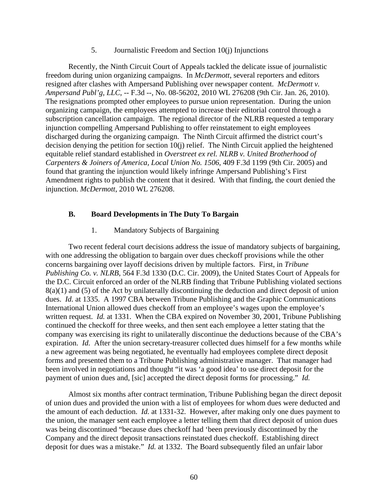5. Journalistic Freedom and Section 10(j) Injunctions

 Recently, the Ninth Circuit Court of Appeals tackled the delicate issue of journalistic freedom during union organizing campaigns. In *McDermott*, several reporters and editors resigned after clashes with Ampersand Publishing over newspaper content. *McDermott v. Ampersand Publ'g, LLC*, -- F.3d --, No. 08-56202, 2010 WL 276208 (9th Cir. Jan. 26, 2010). The resignations prompted other employees to pursue union representation. During the union organizing campaign, the employees attempted to increase their editorial control through a subscription cancellation campaign. The regional director of the NLRB requested a temporary injunction compelling Ampersand Publishing to offer reinstatement to eight employees discharged during the organizing campaign. The Ninth Circuit affirmed the district court's decision denying the petition for section 10(j) relief. The Ninth Circuit applied the heightened equitable relief standard established in *Overstreet ex rel. NLRB v. United Brotherhood of Carpenters & Joiners of America, Local Union No. 1506*, 409 F.3d 1199 (9th Cir. 2005) and found that granting the injunction would likely infringe Ampersand Publishing's First Amendment rights to publish the content that it desired. With that finding, the court denied the injunction. *McDermott*, 2010 WL 276208.

### **B. Board Developments in The Duty To Bargain**

1. Mandatory Subjects of Bargaining

Two recent federal court decisions address the issue of mandatory subjects of bargaining, with one addressing the obligation to bargain over dues checkoff provisions while the other concerns bargaining over layoff decisions driven by multiple factors. First, in *Tribune Publishing Co. v. NLRB*, 564 F.3d 1330 (D.C. Cir. 2009), the United States Court of Appeals for the D.C. Circuit enforced an order of the NLRB finding that Tribune Publishing violated sections 8(a)(1) and (5) of the Act by unilaterally discontinuing the deduction and direct deposit of union dues. *Id.* at 1335. A 1997 CBA between Tribune Publishing and the Graphic Communications International Union allowed dues checkoff from an employee's wages upon the employee's written request. *Id.* at 1331. When the CBA expired on November 30, 2001, Tribune Publishing continued the checkoff for three weeks, and then sent each employee a letter stating that the company was exercising its right to unilaterally discontinue the deductions because of the CBA's expiration. *Id.* After the union secretary-treasurer collected dues himself for a few months while a new agreement was being negotiated, he eventually had employees complete direct deposit forms and presented them to a Tribune Publishing administrative manager. That manager had been involved in negotiations and thought "it was 'a good idea' to use direct deposit for the payment of union dues and, [sic] accepted the direct deposit forms for processing." *Id.*

Almost six months after contract termination, Tribune Publishing began the direct deposit of union dues and provided the union with a list of employees for whom dues were deducted and the amount of each deduction. *Id.* at 1331-32. However, after making only one dues payment to the union, the manager sent each employee a letter telling them that direct deposit of union dues was being discontinued "because dues checkoff had 'been previously discontinued by the Company and the direct deposit transactions reinstated dues checkoff. Establishing direct deposit for dues was a mistake." *Id.* at 1332. The Board subsequently filed an unfair labor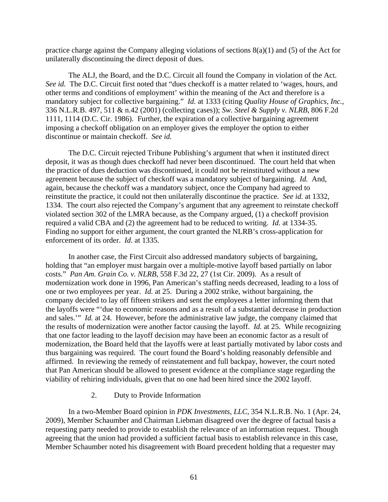practice charge against the Company alleging violations of sections 8(a)(1) and (5) of the Act for unilaterally discontinuing the direct deposit of dues.

The ALJ, the Board, and the D.C. Circuit all found the Company in violation of the Act. *See id.* The D.C. Circuit first noted that "dues checkoff is a matter related to 'wages, hours, and other terms and conditions of employment' within the meaning of the Act and therefore is a mandatory subject for collective bargaining." *Id.* at 1333 (citing *Quality House of Graphics, Inc.*, 336 N.L.R.B. 497, 511 & n.42 (2001) (collecting cases)); *Sw. Steel & Supply v. NLRB*, 806 F.2d 1111, 1114 (D.C. Cir. 1986). Further, the expiration of a collective bargaining agreement imposing a checkoff obligation on an employer gives the employer the option to either discontinue or maintain checkoff. *See id.*

The D.C. Circuit rejected Tribune Publishing's argument that when it instituted direct deposit, it was as though dues checkoff had never been discontinued. The court held that when the practice of dues deduction was discontinued, it could not be reinstituted without a new agreement because the subject of checkoff was a mandatory subject of bargaining. *Id.* And, again, because the checkoff was a mandatory subject, once the Company had agreed to reinstitute the practice, it could not then unilaterally discontinue the practice. *See id.* at 1332, 1334. The court also rejected the Company's argument that any agreement to reinstate checkoff violated section 302 of the LMRA because, as the Company argued, (1) a checkoff provision required a valid CBA and (2) the agreement had to be reduced to writing. *Id.* at 1334-35. Finding no support for either argument, the court granted the NLRB's cross-application for enforcement of its order. *Id.* at 1335.

In another case, the First Circuit also addressed mandatory subjects of bargaining, holding that "an employer must bargain over a multiple-motive layoff based partially on labor costs." *Pan Am. Grain Co. v. NLRB*, 558 F.3d 22, 27 (1st Cir. 2009). As a result of modernization work done in 1996, Pan American's staffing needs decreased, leading to a loss of one or two employees per year. *Id.* at 25. During a 2002 strike, without bargaining, the company decided to lay off fifteen strikers and sent the employees a letter informing them that the layoffs were "'due to economic reasons and as a result of a substantial decrease in production and sales.'" *Id.* at 24. However, before the administrative law judge, the company claimed that the results of modernization were another factor causing the layoff. *Id.* at 25. While recognizing that one factor leading to the layoff decision may have been an economic factor as a result of modernization, the Board held that the layoffs were at least partially motivated by labor costs and thus bargaining was required. The court found the Board's holding reasonably defensible and affirmed. In reviewing the remedy of reinstatement and full backpay, however, the court noted that Pan American should be allowed to present evidence at the compliance stage regarding the viability of rehiring individuals, given that no one had been hired since the 2002 layoff.

# 2. Duty to Provide Information

In a two-Member Board opinion in *PDK Investments, LLC*, 354 N.L.R.B. No. 1 (Apr. 24, 2009), Member Schaumber and Chairman Liebman disagreed over the degree of factual basis a requesting party needed to provide to establish the relevance of an information request. Though agreeing that the union had provided a sufficient factual basis to establish relevance in this case, Member Schaumber noted his disagreement with Board precedent holding that a requester may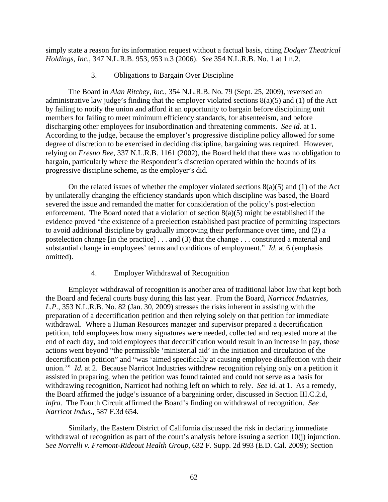simply state a reason for its information request without a factual basis, citing *Dodger Theatrical Holdings, Inc.*, 347 N.L.R.B. 953, 953 n.3 (2006). *See* 354 N.L.R.B. No. 1 at 1 n.2.

# 3. Obligations to Bargain Over Discipline

The Board in *Alan Ritchey, Inc.*, 354 N.L.R.B. No. 79 (Sept. 25, 2009), reversed an administrative law judge's finding that the employer violated sections 8(a)(5) and (1) of the Act by failing to notify the union and afford it an opportunity to bargain before disciplining unit members for failing to meet minimum efficiency standards, for absenteeism, and before discharging other employees for insubordination and threatening comments. *See id.* at 1. According to the judge, because the employer's progressive discipline policy allowed for some degree of discretion to be exercised in deciding discipline, bargaining was required. However, relying on *Fresno Bee*, 337 N.L.R.B. 1161 (2002), the Board held that there was no obligation to bargain, particularly where the Respondent's discretion operated within the bounds of its progressive discipline scheme, as the employer's did.

On the related issues of whether the employer violated sections  $8(a)(5)$  and (1) of the Act by unilaterally changing the efficiency standards upon which discipline was based, the Board severed the issue and remanded the matter for consideration of the policy's post-election enforcement. The Board noted that a violation of section  $8(a)(5)$  might be established if the evidence proved "the existence of a preelection established past practice of permitting inspectors to avoid additional discipline by gradually improving their performance over time, and (2) a postelection change [in the practice] . . . and (3) that the change . . . constituted a material and substantial change in employees' terms and conditions of employment." *Id.* at 6 (emphasis omitted).

# 4. Employer Withdrawal of Recognition

Employer withdrawal of recognition is another area of traditional labor law that kept both the Board and federal courts busy during this last year. From the Board, *Narricot Industries, L.P.*, 353 N.L.R.B. No. 82 (Jan. 30, 2009) stresses the risks inherent in assisting with the preparation of a decertification petition and then relying solely on that petition for immediate withdrawal. Where a Human Resources manager and supervisor prepared a decertification petition, told employees how many signatures were needed, collected and requested more at the end of each day, and told employees that decertification would result in an increase in pay, those actions went beyond "the permissible 'ministerial aid' in the initiation and circulation of the decertification petition" and "was 'aimed specifically at causing employee disaffection with their union.'" *Id.* at 2. Because Narricot Industries withdrew recognition relying only on a petition it assisted in preparing, when the petition was found tainted and could not serve as a basis for withdrawing recognition, Narricot had nothing left on which to rely. *See id.* at 1. As a remedy, the Board affirmed the judge's issuance of a bargaining order, discussed in Section III.C.2.d, *infra*. The Fourth Circuit affirmed the Board's finding on withdrawal of recognition. *See Narricot Indus.*, 587 F.3d 654.

Similarly, the Eastern District of California discussed the risk in declaring immediate withdrawal of recognition as part of the court's analysis before issuing a section 10(j) injunction. *See Norrelli v. Fremont-Rideout Health Group*, 632 F. Supp. 2d 993 (E.D. Cal. 2009); Section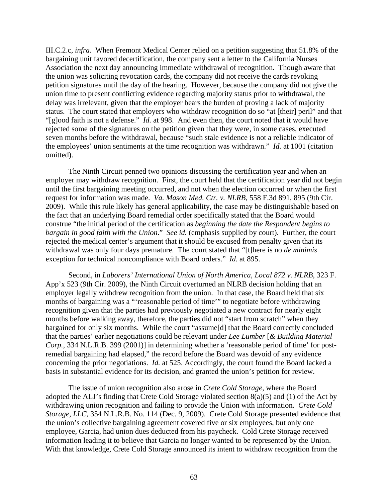III.C.2.c, *infra*. When Fremont Medical Center relied on a petition suggesting that 51.8% of the bargaining unit favored decertification, the company sent a letter to the California Nurses Association the next day announcing immediate withdrawal of recognition. Though aware that the union was soliciting revocation cards, the company did not receive the cards revoking petition signatures until the day of the hearing. However, because the company did not give the union time to present conflicting evidence regarding majority status prior to withdrawal, the delay was irrelevant, given that the employer bears the burden of proving a lack of majority status. The court stated that employers who withdraw recognition do so "at [their] peril" and that "[g]ood faith is not a defense." *Id.* at 998. And even then, the court noted that it would have rejected some of the signatures on the petition given that they were, in some cases, executed seven months before the withdrawal, because "such stale evidence is not a reliable indicator of the employees' union sentiments at the time recognition was withdrawn." *Id.* at 1001 (citation omitted).

The Ninth Circuit penned two opinions discussing the certification year and when an employer may withdraw recognition. First, the court held that the certification year did not begin until the first bargaining meeting occurred, and not when the election occurred or when the first request for information was made. *Va. Mason Med. Ctr. v. NLRB*, 558 F.3d 891, 895 (9th Cir. 2009). While this rule likely has general applicability, the case may be distinguishable based on the fact that an underlying Board remedial order specifically stated that the Board would construe "the initial period of the certification as *beginning the date the Respondent begins to bargain in good faith with the Union*." *See id.* (emphasis supplied by court). Further, the court rejected the medical center's argument that it should be excused from penalty given that its withdrawal was only four days premature. The court stated that "[t]here is no *de minimis*  exception for technical noncompliance with Board orders." *Id.* at 895.

Second, in *Laborers' International Union of North America, Local 872 v. NLRB*, 323 F. App'x 523 (9th Cir. 2009), the Ninth Circuit overturned an NLRB decision holding that an employer legally withdrew recognition from the union. In that case, the Board held that six months of bargaining was a "'reasonable period of time'" to negotiate before withdrawing recognition given that the parties had previously negotiated a new contract for nearly eight months before walking away, therefore, the parties did not "start from scratch" when they bargained for only six months. While the court "assume[d] that the Board correctly concluded that the parties' earlier negotiations could be relevant under *Lee Lumber* [*& Building Material Corp.*, 334 N.L.R.B. 399 (2001)] in determining whether a 'reasonable period of time' for postremedial bargaining had elapsed," the record before the Board was devoid of any evidence concerning the prior negotiations. *Id.* at 525. Accordingly, the court found the Board lacked a basis in substantial evidence for its decision, and granted the union's petition for review.

 The issue of union recognition also arose in *Crete Cold Storage*, where the Board adopted the ALJ's finding that Crete Cold Storage violated section 8(a)(5) and (1) of the Act by withdrawing union recognition and failing to provide the Union with information. *Crete Cold Storage, LLC*, 354 N.L.R.B. No. 114 (Dec. 9, 2009). Crete Cold Storage presented evidence that the union's collective bargaining agreement covered five or six employees, but only one employee, Garcia, had union dues deducted from his paycheck. Cold Crete Storage received information leading it to believe that Garcia no longer wanted to be represented by the Union. With that knowledge, Crete Cold Storage announced its intent to withdraw recognition from the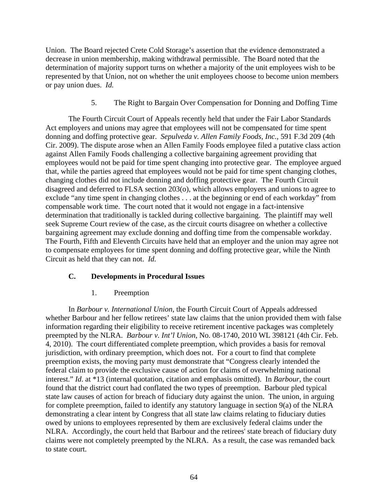Union. The Board rejected Crete Cold Storage's assertion that the evidence demonstrated a decrease in union membership, making withdrawal permissible. The Board noted that the determination of majority support turns on whether a majority of the unit employees wish to be represented by that Union, not on whether the unit employees choose to become union members or pay union dues. *Id.*

5. The Right to Bargain Over Compensation for Donning and Doffing Time

 The Fourth Circuit Court of Appeals recently held that under the Fair Labor Standards Act employers and unions may agree that employees will not be compensated for time spent donning and doffing protective gear. *Sepulveda v. Allen Family Foods, Inc.*, 591 F.3d 209 (4th Cir. 2009). The dispute arose when an Allen Family Foods employee filed a putative class action against Allen Family Foods challenging a collective bargaining agreement providing that employees would not be paid for time spent changing into protective gear. The employee argued that, while the parties agreed that employees would not be paid for time spent changing clothes, changing clothes did not include donning and doffing protective gear. The Fourth Circuit disagreed and deferred to FLSA section 203(o), which allows employers and unions to agree to exclude "any time spent in changing clothes . . . at the beginning or end of each workday" from compensable work time. The court noted that it would not engage in a fact-intensive determination that traditionally is tackled during collective bargaining. The plaintiff may well seek Supreme Court review of the case, as the circuit courts disagree on whether a collective bargaining agreement may exclude donning and doffing time from the compensable workday. The Fourth, Fifth and Eleventh Circuits have held that an employer and the union may agree not to compensate employees for time spent donning and doffing protective gear, while the Ninth Circuit as held that they can not. *Id.*

# **C. Developments in Procedural Issues**

# 1. Preemption

 In *Barbour v. International Union*, the Fourth Circuit Court of Appeals addressed whether Barbour and her fellow retirees' state law claims that the union provided them with false information regarding their eligibility to receive retirement incentive packages was completely preempted by the NLRA. *Barbour v. Int'l Union,* No. 08-1740, 2010 WL 398121 (4th Cir. Feb. 4, 2010). The court differentiated complete preemption, which provides a basis for removal jurisdiction, with ordinary preemption, which does not. For a court to find that complete preemption exists, the moving party must demonstrate that "Congress clearly intended the federal claim to provide the exclusive cause of action for claims of overwhelming national interest." *Id*. at \*13 (internal quotation, citation and emphasis omitted). In *Barbour*, the court found that the district court had conflated the two types of preemption. Barbour pled typical state law causes of action for breach of fiduciary duty against the union. The union, in arguing for complete preemption, failed to identify any statutory language in section 9(a) of the NLRA demonstrating a clear intent by Congress that all state law claims relating to fiduciary duties owed by unions to employees represented by them are exclusively federal claims under the NLRA. Accordingly, the court held that Barbour and the retirees' state breach of fiduciary duty claims were not completely preempted by the NLRA. As a result, the case was remanded back to state court.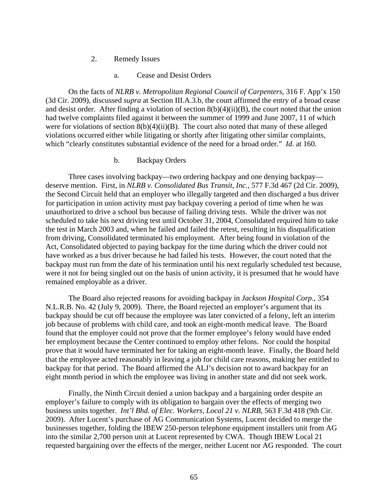- 2. Remedy Issues
	- a. Cease and Desist Orders

On the facts of *NLRB v. Metropolitan Regional Council of Carpenters*, 316 F. App'x 150 (3d Cir. 2009), discussed *supra* at Section III.A.3.b, the court affirmed the entry of a broad cease and desist order. After finding a violation of section 8(b)(4)(ii)(B), the court noted that the union had twelve complaints filed against it between the summer of 1999 and June 2007, 11 of which were for violations of section  $8(b)(4)(ii)(B)$ . The court also noted that many of these alleged violations occurred either while litigating or shortly after litigating other similar complaints, which "clearly constitutes substantial evidence of the need for a broad order." *Id.* at 160.

# b. Backpay Orders

Three cases involving backpay—two ordering backpay and one denying backpay deserve mention. First, in *NLRB v. Consolidated Bus Transit, Inc.*, 577 F.3d 467 (2d Cir. 2009), the Second Circuit held that an employer who illegally targeted and then discharged a bus driver for participation in union activity must pay backpay covering a period of time when he was unauthorized to drive a school bus because of failing driving tests. While the driver was not scheduled to take his next driving test until October 31, 2004, Consolidated required him to take the test in March 2003 and, when he failed and failed the retest, resulting in his disqualification from driving, Consolidated terminated his employment. After being found in violation of the Act, Consolidated objected to paying backpay for the time during which the driver could not have worked as a bus driver because he had failed his tests. However, the court noted that the backpay must run from the date of his termination until his next regularly scheduled test because, were it not for being singled out on the basis of union activity, it is presumed that he would have remained employable as a driver.

The Board also rejected reasons for avoiding backpay in *Jackson Hospital Corp.*, 354 N.L.R.B. No. 42 (July 9, 2009). There, the Board rejected an employer's argument that its backpay should be cut off because the employee was later convicted of a felony, left an interim job because of problems with child care, and took an eight-month medical leave. The Board found that the employer could not prove that the former employee's felony would have ended her employment because the Center continued to employ other felons. Nor could the hospital prove that it would have terminated her for taking an eight-month leave. Finally, the Board held that the employee acted reasonably in leaving a job for child care reasons, making her entitled to backpay for that period. The Board affirmed the ALJ's decision not to award backpay for an eight month period in which the employee was living in another state and did not seek work.

Finally, the Ninth Circuit denied a union backpay and a bargaining order despite an employer's failure to comply with its obligation to bargain over the effects of merging two business units together. *Int'l Bhd. of Elec. Workers, Local 21 v. NLRB*, 563 F.3d 418 (9th Cir. 2009). After Lucent's purchase of AG Communication Systems, Lucent decided to merge the businesses together, folding the IBEW 250-person telephone equipment installers unit from AG into the similar 2,700 person unit at Lucent represented by CWA. Though IBEW Local 21 requested bargaining over the effects of the merger, neither Lucent nor AG responded. The court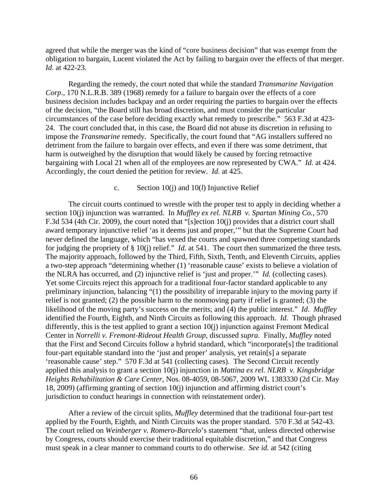agreed that while the merger was the kind of "core business decision" that was exempt from the obligation to bargain, Lucent violated the Act by failing to bargain over the effects of that merger. *Id.* at 422-23.

Regarding the remedy, the court noted that while the standard *Transmarine Navigation Corp.,* 170 N.L.R.B. 389 (1968) remedy for a failure to bargain over the effects of a core business decision includes backpay and an order requiring the parties to bargain over the effects of the decision, "the Board still has broad discretion, and must consider the particular circumstances of the case before deciding exactly what remedy to prescribe." 563 F.3d at 423- 24. The court concluded that, in this case, the Board did not abuse its discretion in refusing to impose the *Transmarine* remedy. Specifically, the court found that "AG installers suffered no detriment from the failure to bargain over effects, and even if there was some detriment, that harm is outweighed by the disruption that would likely be caused by forcing retroactive bargaining with Local 21 when all of the employees are now represented by CWA." *Id.* at 424. Accordingly, the court denied the petition for review. *Id.* at 425.

#### c. Section 10(j) and 10(*l*) Injunctive Relief

The circuit courts continued to wrestle with the proper test to apply in deciding whether a section 10(j) injunction was warranted. In *Muffley ex rel. NLRB v. Spartan Mining Co.*, 570 F.3d 534 (4th Cir. 2009), the court noted that "[s]ection 10(j) provides that a district court shall award temporary injunctive relief 'as it deems just and proper,'" but that the Supreme Court had never defined the language, which "has vexed the courts and spawned three competing standards for judging the propriety of § 10(j) relief." *Id.* at 541. The court then summarized the three tests. The majority approach, followed by the Third, Fifth, Sixth, Tenth, and Eleventh Circuits, applies a two-step approach "determining whether (1) 'reasonable cause' exists to believe a violation of the NLRA has occurred, and (2) injunctive relief is 'just and proper.'" *Id.* (collecting cases). Yet some Circuits reject this approach for a traditional four-factor standard applicable to any preliminary injunction, balancing "(1) the possibility of irreparable injury to the moving party if relief is not granted; (2) the possible harm to the nonmoving party if relief is granted; (3) the likelihood of the moving party's success on the merits; and (4) the public interest." *Id*. *Muffley*  identified the Fourth, Eighth, and Ninth Circuits as following this approach. *Id.* Though phrased differently, this is the test applied to grant a section 10(j) injunction against Fremont Medical Center in *Norrelli v. Fremont-Rideout Health Group*, discussed *supra*. Finally, *Muffley* noted that the First and Second Circuits follow a hybrid standard, which "incorporate[s] the traditional four-part equitable standard into the 'just and proper' analysis, yet retain[s] a separate 'reasonable cause' step." 570 F.3d at 541 (collecting cases). The Second Circuit recently applied this analysis to grant a section 10(j) injunction in *Mattina ex rel. NLRB v. Kingsbridge Heights Rehabilitation & Care Center*, Nos. 08-4059, 08-5067, 2009 WL 1383330 (2d Cir. May 18, 2009) (affirming granting of section 10(j) injunction and affirming district court's jurisdiction to conduct hearings in connection with reinstatement order).

After a review of the circuit splits, *Muffley* determined that the traditional four-part test applied by the Fourth, Eighth, and Ninth Circuits was the proper standard. 570 F.3d at 542-43. The court relied on *Weinberger v. Romero-Barcelo*'s statement "that, unless directed otherwise by Congress, courts should exercise their traditional equitable discretion," and that Congress must speak in a clear manner to command courts to do otherwise. *See id.* at 542 (citing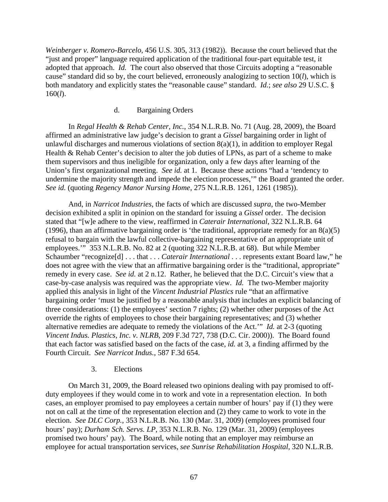*Weinberger v. Romero-Barcelo*, 456 U.S. 305, 313 (1982)). Because the court believed that the "just and proper" language required application of the traditional four-part equitable test, it adopted that approach. *Id.* The court also observed that those Circuits adopting a "reasonable cause" standard did so by, the court believed, erroneously analogizing to section 10(*l*), which is both mandatory and explicitly states the "reasonable cause" standard. *Id.*; *see also* 29 U.S.C. § 160(*l*).

# d. Bargaining Orders

In *Regal Health & Rehab Center, Inc.*, 354 N.L.R.B. No. 71 (Aug. 28, 2009), the Board affirmed an administrative law judge's decision to grant a *Gissel* bargaining order in light of unlawful discharges and numerous violations of section  $8(a)(1)$ , in addition to employer Regal Health & Rehab Center's decision to alter the job duties of LPNs, as part of a scheme to make them supervisors and thus ineligible for organization, only a few days after learning of the Union's first organizational meeting. *See id.* at 1. Because these actions "had a 'tendency to undermine the majority strength and impede the election processes,'" the Board granted the order. *See id.* (quoting *Regency Manor Nursing Home*, 275 N.L.R.B. 1261, 1261 (1985)).

And, in *Narricot Industries*, the facts of which are discussed *supra*, the two-Member decision exhibited a split in opinion on the standard for issuing a *Gissel* order. The decision stated that "[w]e adhere to the view, reaffirmed in *Caterair International*, 322 N.L.R.B. 64 (1996), than an affirmative bargaining order is 'the traditional, appropriate remedy for an  $8(a)(5)$ refusal to bargain with the lawful collective-bargaining representative of an appropriate unit of employees.'" 353 N.L.R.B. No. 82 at 2 (quoting 322 N.L.R.B. at 68). But while Member Schaumber "recognize[d] . . . that . . . *Caterair International* . . . represents extant Board law," he does not agree with the view that an affirmative bargaining order is the "traditional, appropriate" remedy in every case. *See id.* at 2 n.12. Rather, he believed that the D.C. Circuit's view that a case-by-case analysis was required was the appropriate view. *Id.* The two-Member majority applied this analysis in light of the *Vincent Industrial Plastics* rule "that an affirmative bargaining order 'must be justified by a reasonable analysis that includes an explicit balancing of three considerations: (1) the employees' section 7 rights; (2) whether other purposes of the Act override the rights of employees to chose their bargaining representatives; and (3) whether alternative remedies are adequate to remedy the violations of the Act.'" *Id.* at 2-3 (quoting *Vincent Indus. Plastics, Inc. v. NLRB*, 209 F.3d 727, 738 (D.C. Cir. 2000)). The Board found that each factor was satisfied based on the facts of the case, *id.* at 3, a finding affirmed by the Fourth Circuit. *See Narricot Indus.*, 587 F.3d 654.

# 3. Elections

On March 31, 2009, the Board released two opinions dealing with pay promised to offduty employees if they would come in to work and vote in a representation election. In both cases, an employer promised to pay employees a certain number of hours' pay if (1) they were not on call at the time of the representation election and (2) they came to work to vote in the election. *See DLC Corp.*, 353 N.L.R.B. No. 130 (Mar. 31, 2009) (employees promised four hours' pay); *Durham Sch. Servs. LP*, 353 N.L.R.B. No. 129 (Mar. 31, 2009) (employees promised two hours' pay). The Board, while noting that an employer may reimburse an employee for actual transportation services, *see Sunrise Rehabilitation Hospital*, 320 N.L.R.B.